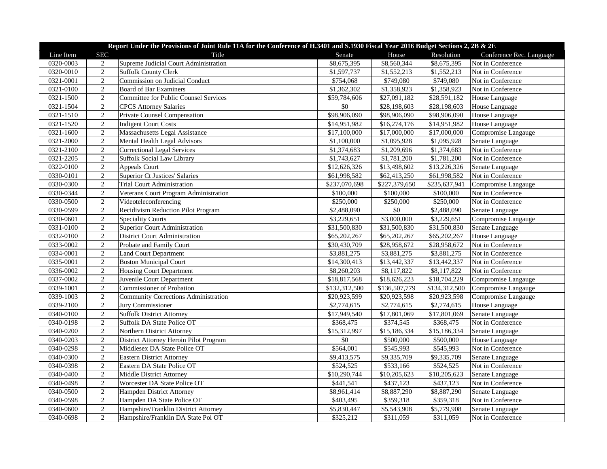|           | Report Under the Provisions of Joint Rule 11A for the Conference of H.3401 and S.1930 Fiscal Year 2016 Budget Sections 2, 2B & 2E |                                              |               |                          |               |                          |  |  |
|-----------|-----------------------------------------------------------------------------------------------------------------------------------|----------------------------------------------|---------------|--------------------------|---------------|--------------------------|--|--|
| Line Item | <b>SEC</b>                                                                                                                        | Title                                        | Senate        | House                    | Resolution    | Conference Rec. Language |  |  |
| 0320-0003 | 2                                                                                                                                 | Supreme Judicial Court Administration        | \$8,675,395   | \$8,560,344              | \$8,675,395   | Not in Conference        |  |  |
| 0320-0010 | $\overline{2}$                                                                                                                    | Suffolk County Clerk                         | \$1,597,737   | \$1,552,213              | \$1,552,213   | Not in Conference        |  |  |
| 0321-0001 | $\overline{2}$                                                                                                                    | Commission on Judicial Conduct               | \$754,068     | \$749,080                | \$749,080     | Not in Conference        |  |  |
| 0321-0100 | $\overline{2}$                                                                                                                    | <b>Board of Bar Examiners</b>                | \$1,362,302   | \$1,358,923              | \$1,358,923   | Not in Conference        |  |  |
| 0321-1500 | $\overline{2}$                                                                                                                    | <b>Committee for Public Counsel Services</b> | \$59,784,606  | \$27,091,182             | \$28,591,182  | House Language           |  |  |
| 0321-1504 | $\overline{2}$                                                                                                                    | <b>CPCS</b> Attorney Salaries                | \$0           | \$28,198,603             | \$28,198,603  | House Language           |  |  |
| 0321-1510 | $\overline{2}$                                                                                                                    | Private Counsel Compensation                 | \$98,906,090  | \$98,906,090             | \$98,906,090  | House Language           |  |  |
| 0321-1520 | $\overline{2}$                                                                                                                    | <b>Indigent Court Costs</b>                  | \$14,951,982  | \$16,274,176             | \$14,951,982  | House Language           |  |  |
| 0321-1600 | $\overline{2}$                                                                                                                    | Massachusetts Legal Assistance               | \$17,100,000  | \$17,000,000             | \$17,000,000  | Compromise Langauge      |  |  |
| 0321-2000 | $\sqrt{2}$                                                                                                                        | Mental Health Legal Advisors                 | \$1,100,000   | \$1,095,928              | \$1,095,928   | Senate Language          |  |  |
| 0321-2100 | $\overline{2}$                                                                                                                    | <b>Correctional Legal Services</b>           | \$1,374,683   | \$1,209,696              | \$1,374,683   | Not in Conference        |  |  |
| 0321-2205 | $\overline{2}$                                                                                                                    | Suffolk Social Law Library                   | \$1,743,627   | \$1,781,200              | \$1,781,200   | Not in Conference        |  |  |
| 0322-0100 | $\overline{2}$                                                                                                                    | <b>Appeals Court</b>                         | \$12,626,326  | \$13,498,602             | \$13,226,326  | Senate Language          |  |  |
| 0330-0101 | $\overline{2}$                                                                                                                    | <b>Superior Ct Justices' Salaries</b>        | \$61,998,582  | \$62,413,250             | \$61,998,582  | Not in Conference        |  |  |
| 0330-0300 | $\overline{2}$                                                                                                                    | <b>Trial Court Administration</b>            | \$237,070,698 | \$227,379,650            | \$235,637,941 | Compromise Langauge      |  |  |
| 0330-0344 | $\overline{2}$                                                                                                                    | Veterans Court Program Administration        | \$100,000     | \$100,000                | \$100,000     | Not in Conference        |  |  |
| 0330-0500 | $\overline{2}$                                                                                                                    | Videoteleconferencing                        | \$250,000     | \$250,000                | \$250,000     | Not in Conference        |  |  |
| 0330-0599 | $\overline{2}$                                                                                                                    | Recidivism Reduction Pilot Program           | \$2,488,090   | $\$0$                    | \$2,488,090   | Senate Language          |  |  |
| 0330-0601 | $\sqrt{2}$                                                                                                                        | <b>Speciality Courts</b>                     | \$3,229,651   | \$3,000,000              | \$3,229,651   | Compromise Langauge      |  |  |
| 0331-0100 | $\overline{2}$                                                                                                                    | Superior Court Administration                | \$31,500,830  | \$31,500,830             | \$31,500,830  | Senate Language          |  |  |
| 0332-0100 | 2                                                                                                                                 | <b>District Court Administration</b>         | \$65,202,267  | \$65,202,267             | \$65,202,267  | House Language           |  |  |
| 0333-0002 | $\overline{2}$                                                                                                                    | Probate and Family Court                     | \$30,430,709  | \$28,958,672             | \$28,958,672  | Not in Conference        |  |  |
| 0334-0001 | $\overline{2}$                                                                                                                    | <b>Land Court Department</b>                 | \$3,881,275   | \$3,881,275              | \$3,881,275   | Not in Conference        |  |  |
| 0335-0001 | $\sqrt{2}$                                                                                                                        | <b>Boston Municipal Court</b>                | \$14,300,413  | \$13,442,337             | \$13,442,337  | Not in Conference        |  |  |
| 0336-0002 | 2                                                                                                                                 | <b>Housing Court Department</b>              | \$8,260,203   | \$8,117,822              | \$8,117,822   | Not in Conference        |  |  |
| 0337-0002 | $\overline{2}$                                                                                                                    | Juvenile Court Department                    | \$18,817,568  | $\overline{$}18,626,223$ | \$18,704,229  | Compromise Langauge      |  |  |
| 0339-1001 | $\overline{2}$                                                                                                                    | Commissioner of Probation                    | \$132,312,500 | \$136,507,779            | \$134,312,500 | Compromise Langauge      |  |  |
| 0339-1003 | $\overline{2}$                                                                                                                    | <b>Community Corrections Administration</b>  | \$20,923,599  | \$20,923,598             | \$20,923,598  | Compromise Langauge      |  |  |
| 0339-2100 | $\overline{2}$                                                                                                                    | Jury Commissioner                            | \$2,774,615   | \$2,774,615              | \$2,774,615   | House Language           |  |  |
| 0340-0100 | 2                                                                                                                                 | <b>Suffolk District Attorney</b>             | \$17,949,540  | \$17,801,069             | \$17,801,069  | Senate Language          |  |  |
| 0340-0198 | $\overline{2}$                                                                                                                    | Suffolk DA State Police OT                   | \$368,475     | \$374,545                | \$368,475     | Not in Conference        |  |  |
| 0340-0200 | $\overline{2}$                                                                                                                    | Northern District Attorney                   | \$15,312,997  | \$15,186,334             | \$15,186,334  | Senate Language          |  |  |
| 0340-0203 | $\overline{2}$                                                                                                                    | District Attorney Heroin Pilot Program       | \$0           | \$500,000                | \$500,000     | House Language           |  |  |
| 0340-0298 | $\overline{2}$                                                                                                                    | Middlesex DA State Police OT                 | \$564,001     | \$545,993                | \$545,993     | Not in Conference        |  |  |
| 0340-0300 | 2                                                                                                                                 | <b>Eastern District Attorney</b>             | \$9,413,575   | \$9,335,709              | \$9,335,709   | Senate Language          |  |  |
| 0340-0398 | $\overline{2}$                                                                                                                    | Eastern DA State Police OT                   | \$524,525     | \$533,166                | \$524,525     | Not in Conference        |  |  |
| 0340-0400 | $\overline{2}$                                                                                                                    | Middle District Attorney                     | \$10,290,744  | \$10,205,623             | \$10,205,623  | Senate Language          |  |  |
| 0340-0498 | $\overline{2}$                                                                                                                    | Worcester DA State Police OT                 | \$441,541     | \$437,123                | \$437,123     | Not in Conference        |  |  |
| 0340-0500 | $\overline{2}$                                                                                                                    | Hampden District Attorney                    | \$8,961,414   | \$8,887,290              | \$8,887,290   | Senate Language          |  |  |
| 0340-0598 | 2                                                                                                                                 | Hampden DA State Police OT                   | \$403,495     | \$359,318                | \$359,318     | Not in Conference        |  |  |
| 0340-0600 | $\overline{2}$                                                                                                                    | Hampshire/Franklin District Attorney         | \$5,830,447   | \$5,543,908              | \$5,779,908   | Senate Language          |  |  |
| 0340-0698 | $\overline{2}$                                                                                                                    | Hampshire/Franklin DA State Pol OT           | \$325,212     | \$311,059                | \$311,059     | Not in Conference        |  |  |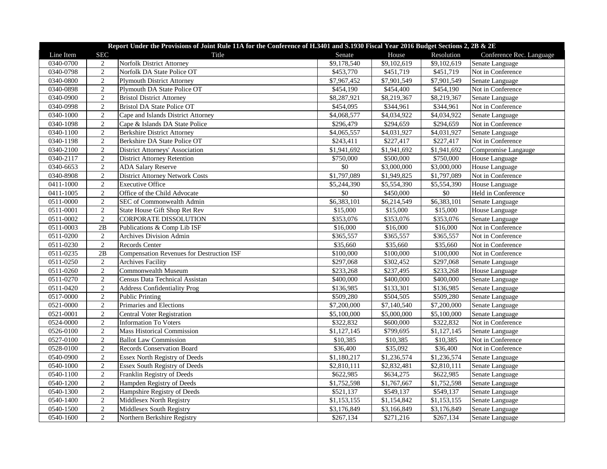|           | Report Under the Provisions of Joint Rule 11A for the Conference of H.3401 and S.1930 Fiscal Year 2016 Budget Sections 2, 2B & 2E |                                                  |             |                         |             |                          |  |  |
|-----------|-----------------------------------------------------------------------------------------------------------------------------------|--------------------------------------------------|-------------|-------------------------|-------------|--------------------------|--|--|
| Line Item | <b>SEC</b>                                                                                                                        | Title                                            | Senate      | House                   | Resolution  | Conference Rec. Language |  |  |
| 0340-0700 | $\overline{c}$                                                                                                                    | Norfolk District Attorney                        | \$9,178,540 | \$9,102,619             | \$9,102,619 | Senate Language          |  |  |
| 0340-0798 | 2                                                                                                                                 | Norfolk DA State Police OT                       | \$453,770   | \$451,719               | \$451,719   | Not in Conference        |  |  |
| 0340-0800 | 2                                                                                                                                 | <b>Plymouth District Attorney</b>                | \$7,967,452 | \$7,901,549             | \$7,901,549 | Senate Language          |  |  |
| 0340-0898 | $\sqrt{2}$                                                                                                                        | Plymouth DA State Police OT                      | \$454,190   | \$454,400               | \$454,190   | Not in Conference        |  |  |
| 0340-0900 | $\overline{2}$                                                                                                                    | <b>Bristol District Attorney</b>                 | \$8,287,921 | \$8,219,367             | \$8,219,367 | Senate Language          |  |  |
| 0340-0998 | $\overline{2}$                                                                                                                    | <b>Bristol DA State Police OT</b>                | \$454,095   | \$344,961               | \$344,961   | Not in Conference        |  |  |
| 0340-1000 | $\sqrt{2}$                                                                                                                        | Cape and Islands District Attorney               | \$4,068,577 | \$4,034,922             | \$4,034,922 | Senate Language          |  |  |
| 0340-1098 | $\overline{2}$                                                                                                                    | Cape & Islands DA State Police                   | \$296,479   | \$294,659               | \$294,659   | Not in Conference        |  |  |
| 0340-1100 | $\overline{2}$                                                                                                                    | <b>Berkshire District Attorney</b>               | \$4,065,557 | \$4,031,927             | \$4,031,927 | Senate Language          |  |  |
| 0340-1198 | $\overline{2}$                                                                                                                    | Berkshire DA State Police OT                     | \$243,411   | \$227,417               | \$227,417   | Not in Conference        |  |  |
| 0340-2100 | $\overline{2}$                                                                                                                    | District Attorneys' Association                  | \$1,941,692 | \$1,941,692             | \$1,941,692 | Compromise Langauge      |  |  |
| 0340-2117 | $\overline{2}$                                                                                                                    | <b>District Attorney Retention</b>               | \$750,000   | \$500,000               | \$750,000   | House Language           |  |  |
| 0340-6653 | $\overline{2}$                                                                                                                    | <b>ADA Salary Reserve</b>                        | \$0         | \$3,000,000             | \$3,000,000 | House Language           |  |  |
| 0340-8908 | $\sqrt{2}$                                                                                                                        | <b>District Attorney Network Costs</b>           | \$1,797,089 | \$1,949,825             | \$1,797,089 | Not in Conference        |  |  |
| 0411-1000 | $\overline{2}$                                                                                                                    | <b>Executive Office</b>                          | \$5,244,390 | \$5,554,390             | \$5,554,390 | House Language           |  |  |
| 0411-1005 | $\sqrt{2}$                                                                                                                        | Office of the Child Advocate                     | $\sqrt{6}$  | \$450,000               | $\sqrt{6}$  | Held in Conference       |  |  |
| 0511-0000 | $\overline{2}$                                                                                                                    | SEC of Commonwealth Admin                        | \$6,383,101 | \$6,214,549             | \$6,383,101 | Senate Language          |  |  |
| 0511-0001 | $\overline{2}$                                                                                                                    | State House Gift Shop Ret Rev                    | \$15,000    | \$15,000                | \$15,000    | House Language           |  |  |
| 0511-0002 | $\overline{2}$                                                                                                                    | <b>CORPORATE DISSOLUTION</b>                     | \$353,076   | \$353,076               | \$353,076   | Senate Language          |  |  |
| 0511-0003 | 2B                                                                                                                                | Publications & Comp Lib ISF                      | \$16,000    | \$16,000                | \$16,000    | Not in Conference        |  |  |
| 0511-0200 | $\overline{2}$                                                                                                                    | <b>Archives Division Admin</b>                   | \$365,557   | \$365,557               | \$365,557   | Not in Conference        |  |  |
| 0511-0230 | $\overline{2}$                                                                                                                    | Records Center                                   | \$35,660    | \$35,660                | \$35,660    | Not in Conference        |  |  |
| 0511-0235 | 2B                                                                                                                                | <b>Compensation Revenues for Destruction ISF</b> | \$100,000   | \$100,000               | \$100,000   | Not in Conference        |  |  |
| 0511-0250 | 2                                                                                                                                 | <b>Archives Facility</b>                         | \$297,068   | \$302,452               | \$297,068   | Senate Language          |  |  |
| 0511-0260 | $\overline{2}$                                                                                                                    | Commonwealth Museum                              | \$233,268   | \$237,495               | \$233,268   | House Language           |  |  |
| 0511-0270 | $\overline{2}$                                                                                                                    | Census Data Technical Assistan                   | \$400,000   | \$400,000               | \$400,000   | Senate Language          |  |  |
| 0511-0420 | $\sqrt{2}$                                                                                                                        | <b>Address Confidentiality Prog</b>              | \$136,985   | \$133,301               | \$136,985   | Senate Language          |  |  |
| 0517-0000 | $\overline{2}$                                                                                                                    | <b>Public Printing</b>                           | \$509,280   | \$504,505               | \$509,280   | Senate Language          |  |  |
| 0521-0000 | $\sqrt{2}$                                                                                                                        | Primaries and Elections                          | \$7,200,000 | \$7,140,540             | \$7,200,000 | Senate Language          |  |  |
| 0521-0001 | $\overline{2}$                                                                                                                    | Central Voter Registration                       | \$5,100,000 | \$5,000,000             | \$5,100,000 | Senate Language          |  |  |
| 0524-0000 | $\overline{2}$                                                                                                                    | <b>Information To Voters</b>                     | \$322,832   | \$600,000               | \$322,832   | Not in Conference        |  |  |
| 0526-0100 | $\overline{2}$                                                                                                                    | <b>Mass Historical Commission</b>                | \$1,127,145 | \$799,695               | \$1,127,145 | Senate Language          |  |  |
| 0527-0100 | $\overline{2}$                                                                                                                    | <b>Ballot Law Commission</b>                     | \$10,385    | \$10,385                | \$10,385    | Not in Conference        |  |  |
| 0528-0100 | $\overline{2}$                                                                                                                    | <b>Records Conservation Board</b>                | \$36,400    | \$35,092                | \$36,400    | Not in Conference        |  |  |
| 0540-0900 | $\overline{2}$                                                                                                                    | Essex North Registry of Deeds                    | \$1,180,217 | \$1,236,574             | \$1,236,574 | Senate Language          |  |  |
| 0540-1000 | $\sqrt{2}$                                                                                                                        | Essex South Registry of Deeds                    | \$2,810,111 | $\overline{$}2,832,481$ | \$2,810,111 | Senate Language          |  |  |
| 0540-1100 | $\sqrt{2}$                                                                                                                        | Franklin Registry of Deeds                       | \$622,985   | \$634,275               | \$622,985   | Senate Language          |  |  |
| 0540-1200 | $\overline{2}$                                                                                                                    | Hampden Registry of Deeds                        | \$1,752,598 | \$1,767,667             | \$1,752,598 | Senate Language          |  |  |
| 0540-1300 | $\overline{2}$                                                                                                                    | Hampshire Registry of Deeds                      | \$521,137   | \$549,137               | \$549,137   | Senate Language          |  |  |
| 0540-1400 | $\overline{2}$                                                                                                                    | Middlesex North Registry                         | \$1,153,155 | \$1,154,842             | \$1,153,155 | Senate Language          |  |  |
| 0540-1500 |                                                                                                                                   |                                                  |             |                         |             |                          |  |  |
|           | $\sqrt{2}$                                                                                                                        | Middlesex South Registry                         | \$3,176,849 | \$3,166,849             | \$3,176,849 | Senate Language          |  |  |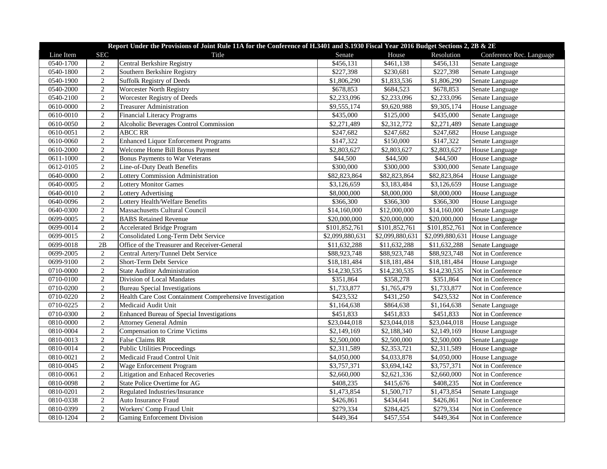|           | Report Under the Provisions of Joint Rule 11A for the Conference of H.3401 and S.1930 Fiscal Year 2016 Budget Sections 2, 2B & 2E |                                                          |                 |                         |                 |                          |  |  |
|-----------|-----------------------------------------------------------------------------------------------------------------------------------|----------------------------------------------------------|-----------------|-------------------------|-----------------|--------------------------|--|--|
| Line Item | <b>SEC</b>                                                                                                                        | Title                                                    | Senate          | House                   | Resolution      | Conference Rec. Language |  |  |
| 0540-1700 | 2                                                                                                                                 | Central Berkshire Registry                               | \$456,131       | \$461,138               | \$456,131       | Senate Language          |  |  |
| 0540-1800 | $\overline{2}$                                                                                                                    | Southern Berkshire Registry                              | \$227,398       | \$230,681               | \$227,398       | Senate Language          |  |  |
| 0540-1900 | $\overline{2}$                                                                                                                    | Suffolk Registry of Deeds                                | \$1,806,290     | \$1,833,536             | \$1,806,290     | Senate Language          |  |  |
| 0540-2000 | $\sqrt{2}$                                                                                                                        | <b>Worcester North Registry</b>                          | \$678,853       | \$684,523               | \$678,853       | Senate Language          |  |  |
| 0540-2100 | $\overline{2}$                                                                                                                    | Worcester Registry of Deeds                              | \$2,233,096     | \$2,233,096             | \$2,233,096     | Senate Language          |  |  |
| 0610-0000 | $\overline{2}$                                                                                                                    | <b>Treasurer Administration</b>                          | \$9,555,174     | $\overline{$9,620,988}$ | \$9,305,174     | House Language           |  |  |
| 0610-0010 | $\overline{2}$                                                                                                                    | Financial Literacy Programs                              | \$435,000       | \$125,000               | \$435,000       | Senate Language          |  |  |
| 0610-0050 | $\overline{2}$                                                                                                                    | Alcoholic Beverages Control Commission                   | \$2,271,489     | \$2,312,772             | \$2,271,489     | Senate Language          |  |  |
| 0610-0051 | $\overline{2}$                                                                                                                    | <b>ABCC RR</b>                                           | \$247,682       | \$247,682               | \$247,682       | House Language           |  |  |
| 0610-0060 | $\overline{2}$                                                                                                                    | <b>Enhanced Liquor Enforcement Programs</b>              | \$147,322       | \$150,000               | \$147,322       | Senate Language          |  |  |
| 0610-2000 | $\sqrt{2}$                                                                                                                        | Welcome Home Bill Bonus Payment                          | \$2,803,627     | \$2,803,627             | \$2,803,627     | House Language           |  |  |
| 0611-1000 | $\sqrt{2}$                                                                                                                        | Bonus Payments to War Veterans                           | \$44,500        | \$44,500                | \$44,500        | House Language           |  |  |
| 0612-0105 | $\overline{2}$                                                                                                                    | Line-of-Duty Death Benefits                              | \$300,000       | \$300,000               | \$300,000       | Senate Language          |  |  |
| 0640-0000 | $\overline{2}$                                                                                                                    | Lottery Commission Administration                        | \$82,823,864    | \$82,823,864            | \$82,823,864    | House Language           |  |  |
| 0640-0005 | $\overline{2}$                                                                                                                    | <b>Lottery Monitor Games</b>                             | \$3,126,659     | \$3,183,484             | \$3,126,659     | House Language           |  |  |
| 0640-0010 | $\overline{2}$                                                                                                                    | Lottery Advertising                                      | \$8,000,000     | \$8,000,000             | \$8,000,000     | House Language           |  |  |
| 0640-0096 | $\sqrt{2}$                                                                                                                        | Lottery Health/Welfare Benefits                          | \$366,300       | \$366,300               | \$366,300       | House Language           |  |  |
| 0640-0300 | $\overline{2}$                                                                                                                    | Massachusetts Cultural Council                           | \$14,160,000    | \$12,000,000            | \$14,160,000    | Senate Language          |  |  |
| 0699-0005 | $\overline{2}$                                                                                                                    | <b>BABS</b> Retained Revenue                             | \$20,000,000    | \$20,000,000            | \$20,000,000    | House Language           |  |  |
| 0699-0014 | $\overline{2}$                                                                                                                    | <b>Accelerated Bridge Program</b>                        | \$101,852,761   | \$101,852,761           | \$101,852,761   | Not in Conference        |  |  |
| 0699-0015 | $\overline{2}$                                                                                                                    | Consolidated Long-Term Debt Service                      | \$2,099,880,631 | \$2,099,880,631         | \$2,099,880,631 | House Language           |  |  |
| 0699-0018 | 2B                                                                                                                                | Office of the Treasurer and Receiver-General             | \$11,632,288    | \$11,632,288            | \$11,632,288    | Senate Language          |  |  |
| 0699-2005 | 2                                                                                                                                 | Central Artery/Tunnel Debt Service                       | \$88,923,748    | \$88,923,748            | \$88,923,748    | Not in Conference        |  |  |
| 0699-9100 | $\overline{2}$                                                                                                                    | Short-Term Debt Service                                  | \$18,181,484    | \$18,181,484            | \$18,181,484    | House Language           |  |  |
| 0710-0000 | $\overline{2}$                                                                                                                    | <b>State Auditor Administration</b>                      | \$14,230,535    | \$14,230,535            | \$14,230,535    | Not in Conference        |  |  |
| 0710-0100 | $\overline{2}$                                                                                                                    | Division of Local Mandates                               | \$351,864       | \$358,278               | \$351,864       | Not in Conference        |  |  |
| 0710-0200 | $\overline{2}$                                                                                                                    | <b>Bureau Special Investigations</b>                     | \$1,733,877     | \$1,765,479             | \$1,733,877     | Not in Conference        |  |  |
| 0710-0220 | $\sqrt{2}$                                                                                                                        | Health Care Cost Containment Comprehensive Investigation | \$423,532       | \$431,250               | \$423,532       | Not in Conference        |  |  |
| 0710-0225 | $\overline{2}$                                                                                                                    | Medicaid Audit Unit                                      | \$1,164,638     | \$864,638               | \$1,164,638     | Senate Language          |  |  |
| 0710-0300 | $\overline{2}$                                                                                                                    | Enhanced Bureau of Special Investigations                | \$451,833       | \$451,833               | \$451,833       | Not in Conference        |  |  |
| 0810-0000 | $\sqrt{2}$                                                                                                                        | <b>Attorney General Admin</b>                            | \$23,044,018    | \$23,044,018            | \$23,044,018    | <b>House Language</b>    |  |  |
| 0810-0004 | $\overline{2}$                                                                                                                    | Compensation to Crime Victims                            | \$2,149,169     | \$2,188,340             | \$2,149,169     | House Language           |  |  |
| 0810-0013 | $\sqrt{2}$                                                                                                                        | <b>False Claims RR</b>                                   | \$2,500,000     | \$2,500,000             | \$2,500,000     | Senate Language          |  |  |
| 0810-0014 | $\sqrt{2}$                                                                                                                        | <b>Public Utilities Proceedings</b>                      | \$2,311,589     | \$2,353,721             | \$2,311,589     | House Language           |  |  |
| 0810-0021 | $\overline{2}$                                                                                                                    | Medicaid Fraud Control Unit                              | \$4,050,000     | \$4,033,878             | \$4,050,000     | House Language           |  |  |
| 0810-0045 | $\overline{2}$                                                                                                                    | Wage Enforcement Program                                 | \$3,757,371     | \$3,694,142             | \$3,757,371     | Not in Conference        |  |  |
| 0810-0061 | $\overline{2}$                                                                                                                    | <b>Litigation and Enhaced Recoveries</b>                 | \$2,660,000     | \$2,621,336             | \$2,660,000     | Not in Conference        |  |  |
| 0810-0098 | $\overline{2}$                                                                                                                    | State Police Overtime for AG                             | \$408,235       | \$415,676               | \$408,235       | Not in Conference        |  |  |
| 0810-0201 | $\overline{2}$                                                                                                                    | Regulated Industries/Insurance                           | \$1,473,854     | \$1,500,717             | \$1,473,854     | Senate Language          |  |  |
| 0810-0338 | $\overline{2}$                                                                                                                    | Auto Insurance Fraud                                     | \$426,861       | \$434,641               | \$426,861       | Not in Conference        |  |  |
| 0810-0399 | $\sqrt{2}$                                                                                                                        | Workers' Comp Fraud Unit                                 | \$279,334       | \$284,425               | \$279,334       | Not in Conference        |  |  |
| 0810-1204 | $\overline{2}$                                                                                                                    | <b>Gaming Enforcement Division</b>                       | \$449,364       | \$457,554               | \$449,364       | Not in Conference        |  |  |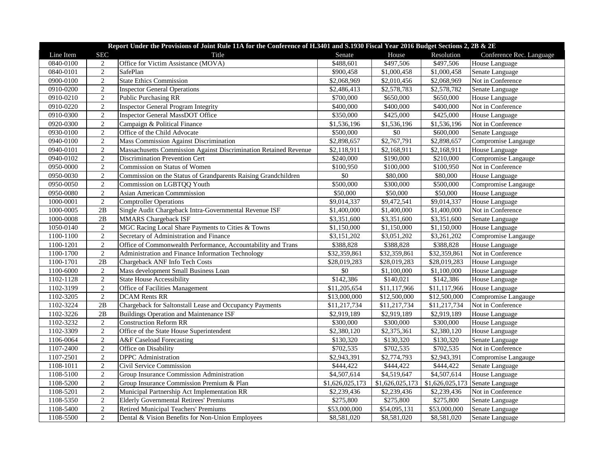|           | Report Under the Provisions of Joint Rule 11A for the Conference of H.3401 and S.1930 Fiscal Year 2016 Budget Sections 2, 2B & 2E |                                                                  |                 |                 |                 |                          |  |  |
|-----------|-----------------------------------------------------------------------------------------------------------------------------------|------------------------------------------------------------------|-----------------|-----------------|-----------------|--------------------------|--|--|
| Line Item | <b>SEC</b>                                                                                                                        | Title                                                            | Senate          | House           | Resolution      | Conference Rec. Language |  |  |
| 0840-0100 | 2                                                                                                                                 | Office for Victim Assistance (MOVA)                              | \$488,601       | \$497,506       | \$497,506       | House Language           |  |  |
| 0840-0101 | $\overline{2}$                                                                                                                    | SafePlan                                                         | \$900,458       | \$1,000,458     | \$1,000,458     | Senate Language          |  |  |
| 0900-0100 | $\overline{2}$                                                                                                                    | <b>State Ethics Commission</b>                                   | \$2,068,969     | \$2,010,456     | \$2,068,969     | Not in Conference        |  |  |
| 0910-0200 | $\overline{2}$                                                                                                                    | <b>Inspector General Operations</b>                              | \$2,486,413     | \$2,578,783     | \$2,578,782     | Senate Language          |  |  |
| 0910-0210 | $\overline{2}$                                                                                                                    | <b>Public Purchasing RR</b>                                      | \$700,000       | \$650,000       | \$650,000       | House Language           |  |  |
| 0910-0220 | $\overline{2}$                                                                                                                    | <b>Inspector General Program Integrity</b>                       | \$400,000       | \$400,000       | \$400,000       | Not in Conference        |  |  |
| 0910-0300 | $\sqrt{2}$                                                                                                                        | <b>Inspector General MassDOT Office</b>                          | \$350,000       | \$425,000       | \$425,000       | House Language           |  |  |
| 0920-0300 | $\overline{2}$                                                                                                                    | Campaign & Political Finance                                     | \$1,536,196     | \$1,536,196     | \$1,536,196     | Not in Conference        |  |  |
| 0930-0100 | $\overline{2}$                                                                                                                    | Office of the Child Advocate                                     | \$500,000       | $\overline{50}$ | \$600,000       | Senate Language          |  |  |
| 0940-0100 | $\overline{2}$                                                                                                                    | Mass Commission Against Discrimination                           | \$2,898,657     | \$2,767,791     | \$2,898,657     | Compromise Langauge      |  |  |
| 0940-0101 | $\overline{2}$                                                                                                                    | Massachusetts Commission Against Discrimination Retained Revenue | \$2,118,911     | \$2,168,911     | \$2,168,911     | House Language           |  |  |
| 0940-0102 | $\overline{2}$                                                                                                                    | Discrimination Prevention Cert                                   | \$240,000       | \$190,000       | \$210,000       | Compromise Langauge      |  |  |
| 0950-0000 | $\overline{2}$                                                                                                                    | Commission on Status of Women                                    | \$100,950       | \$100,000       | \$100,950       | Not in Conference        |  |  |
| 0950-0030 | $\sqrt{2}$                                                                                                                        | Commission on the Status of Grandparents Raising Grandchildren   | \$0             | \$80,000        | \$80,000        | House Language           |  |  |
| 0950-0050 | $\overline{2}$                                                                                                                    | Commission on LGBTQQ Youth                                       | \$500,000       | \$300,000       | \$500,000       | Compromise Langauge      |  |  |
| 0950-0080 | $\overline{2}$                                                                                                                    | Asian American Commmission                                       | \$50,000        | \$50,000        | \$50,000        | House Language           |  |  |
| 1000-0001 | $\overline{2}$                                                                                                                    | <b>Comptroller Operations</b>                                    | \$9,014,337     | \$9,472,541     | \$9,014,337     | House Language           |  |  |
| 1000-0005 | $\overline{2B}$                                                                                                                   | Single Audit Chargeback Intra-Governmental Revenue ISF           | \$1,400,000     | \$1,400,000     | \$1,400,000     | Not in Conference        |  |  |
| 1000-0008 | 2B                                                                                                                                | <b>MMARS</b> Chargeback ISF                                      | \$3,351,600     | \$3,351,600     | \$3,351,600     | Senate Language          |  |  |
| 1050-0140 | $\sqrt{2}$                                                                                                                        | MGC Racing Local Share Payments to Cities & Towns                | \$1,150,000     | \$1,150,000     | \$1,150,000     | House Language           |  |  |
| 1100-1100 | $\overline{2}$                                                                                                                    | Secretary of Administration and Finance                          | \$3,151,202     | \$3,051,202     | \$3,261,202     | Compromise Langauge      |  |  |
| 1100-1201 | $\overline{2}$                                                                                                                    | Office of Commonwealth Performance, Accountability and Trans     | \$388,828       | \$388,828       | \$388,828       | House Language           |  |  |
| 1100-1700 | $\overline{2}$                                                                                                                    | Administration and Finance Information Technology                | \$32,359,861    | \$32,359,861    | \$32,359,861    | Not in Conference        |  |  |
| 1100-1701 | 2B                                                                                                                                | Chargeback ANF Info Tech Costs                                   | \$28,019,283    | \$28,019,283    | \$28,019,283    | House Language           |  |  |
| 1100-6000 | $\overline{2}$                                                                                                                    | Mass development Small Business Loan                             | \$0             | \$1,100,000     | \$1,100,000     | House Language           |  |  |
| 1102-1128 | $\overline{2}$                                                                                                                    | <b>State House Accessibility</b>                                 | \$142,386       | \$140,021       | \$142,386       | House Language           |  |  |
| 1102-3199 | $\sqrt{2}$                                                                                                                        | Office of Facilities Management                                  | \$11,205,654    | \$11,117,966    | \$11,117,966    | House Language           |  |  |
| 1102-3205 | $\overline{2}$                                                                                                                    | <b>DCAM Rents RR</b>                                             | \$13,000,000    | \$12,500,000    | \$12,500,000    | Compromise Langauge      |  |  |
| 1102-3224 | $\overline{2B}$                                                                                                                   | Chargeback for Saltonstall Lease and Occupancy Payments          | \$11,217,734    | \$11,217,734    | \$11,217,734    | Not in Conference        |  |  |
| 1102-3226 | 2B                                                                                                                                | <b>Buildings Operation and Maintenance ISF</b>                   | \$2,919,189     | \$2,919,189     | \$2,919,189     | House Language           |  |  |
| 1102-3232 | $\overline{2}$                                                                                                                    | <b>Construction Reform RR</b>                                    | \$300,000       | \$300,000       | \$300,000       | House Language           |  |  |
| 1102-3309 | $\overline{2}$                                                                                                                    | Office of the State House Superintendent                         | \$2,380,120     | \$2,375,361     | \$2,380,120     | House Language           |  |  |
| 1106-0064 | $\overline{2}$                                                                                                                    | A&F Caseload Forecasting                                         | \$130,320       | \$130,320       | \$130,320       | Senate Language          |  |  |
| 1107-2400 | $\overline{2}$                                                                                                                    | Office on Disability                                             | \$702,535       | \$702,535       | \$702,535       | Not in Conference        |  |  |
| 1107-2501 | $\overline{2}$                                                                                                                    | DPPC Administration                                              | \$2,943,391     | \$2,774,793     | \$2,943,391     | Compromise Langauge      |  |  |
| 1108-1011 | $\overline{2}$                                                                                                                    | Civil Service Commission                                         | \$444,422       | \$444,422       | \$444,422       | Senate Language          |  |  |
| 1108-5100 | $\overline{2}$                                                                                                                    | Group Insurance Commission Administration                        | \$4,507,614     | \$4,519,647     | \$4,507,614     | House Language           |  |  |
| 1108-5200 | $\overline{2}$                                                                                                                    | Group Insurance Commission Premium & Plan                        | \$1,626,025,173 | \$1,626,025,173 | \$1,626,025,173 | Senate Language          |  |  |
| 1108-5201 | $\overline{2}$                                                                                                                    | Municipal Partnership Act Implementation RR                      | \$2,239,436     | \$2,239,436     | \$2,239,436     | Not in Conference        |  |  |
| 1108-5350 | $\overline{2}$                                                                                                                    | <b>Elderly Governmental Retirees' Premiums</b>                   | \$275,800       | \$275,800       | \$275,800       | Senate Language          |  |  |
| 1108-5400 | $\sqrt{2}$                                                                                                                        | Retired Municipal Teachers' Premiums                             | \$53,000,000    | \$54,095,131    | \$53,000,000    | Senate Language          |  |  |
| 1108-5500 | $\overline{2}$                                                                                                                    | Dental & Vision Benefits for Non-Union Employees                 | \$8,581,020     | \$8,581,020     | \$8,581,020     | Senate Language          |  |  |
|           |                                                                                                                                   |                                                                  |                 |                 |                 |                          |  |  |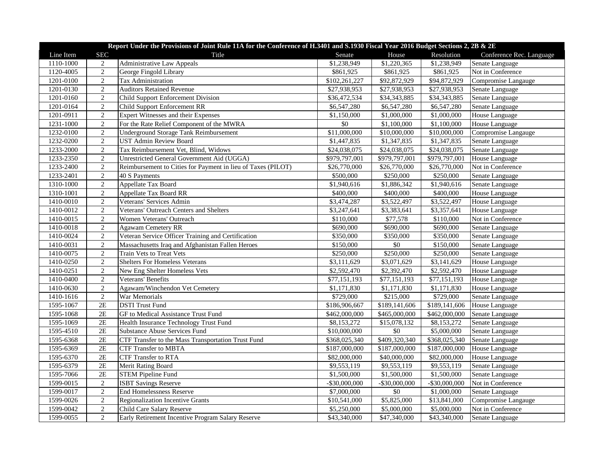|           | Report Under the Provisions of Joint Rule 11A for the Conference of H.3401 and S.1930 Fiscal Year 2016 Budget Sections 2, 2B & 2E |                                                              |               |                           |                  |                          |  |  |
|-----------|-----------------------------------------------------------------------------------------------------------------------------------|--------------------------------------------------------------|---------------|---------------------------|------------------|--------------------------|--|--|
| Line Item | <b>SEC</b>                                                                                                                        | Title                                                        | Senate        | House                     | Resolution       | Conference Rec. Language |  |  |
| 1110-1000 | 2                                                                                                                                 | <b>Administrative Law Appeals</b>                            | \$1,238,949   | \$1,220,365               | \$1,238,949      | Senate Language          |  |  |
| 1120-4005 | $\overline{2}$                                                                                                                    | George Fingold Library                                       | \$861,925     | \$861,925                 | \$861,925        | Not in Conference        |  |  |
| 1201-0100 | $\overline{2}$                                                                                                                    | Tax Administration                                           | \$102,261,227 | \$92,872,929              | \$94,872,929     | Compromise Langauge      |  |  |
| 1201-0130 | 2                                                                                                                                 | <b>Auditors Retained Revenue</b>                             | \$27,938,953  | \$27,938,953              | \$27,938,953     | Senate Language          |  |  |
| 1201-0160 | $\overline{2}$                                                                                                                    | Child Support Enforcement Division                           | \$36,472,534  | \$34,343,885              | \$34,343,885     | Senate Language          |  |  |
| 1201-0164 | 2                                                                                                                                 | Child Support Enforcement RR                                 | \$6,547,280   | \$6,547,280               | \$6,547,280      | Senate Language          |  |  |
| 1201-0911 | $\sqrt{2}$                                                                                                                        | Expert Witnesses and their Expenses                          | \$1,150,000   | \$1,000,000               | \$1,000,000      | House Language           |  |  |
| 1231-1000 | 2                                                                                                                                 | For the Rate Relief Component of the MWRA                    | \$0           | \$1,100,000               | \$1,100,000      | House Language           |  |  |
| 1232-0100 | $\overline{2}$                                                                                                                    | Underground Storage Tank Reimbursement                       | \$11,000,000  | \$10,000,000              | \$10,000,000     | Compromise Langauge      |  |  |
| 1232-0200 | $\overline{2}$                                                                                                                    | <b>UST Admin Review Board</b>                                | \$1,447,835   | \$1,347,835               | \$1,347,835      | Senate Language          |  |  |
| 1233-2000 | 2                                                                                                                                 | Tax Reimbursement Vet, Blind, Widows                         | \$24,038,075  | \$24,038,075              | \$24,038,075     | Senate Language          |  |  |
| 1233-2350 | $\overline{2}$                                                                                                                    | Unrestricted General Government Aid (UGGA)                   | \$979,797,001 | \$979,797,001             | \$979,797,001    | House Language           |  |  |
| 1233-2400 | 2                                                                                                                                 | Reimbursement to Cities for Payment in lieu of Taxes (PILOT) | \$26,770,000  | \$26,770,000              | \$26,770,000     | Not in Conference        |  |  |
| 1233-2401 | 2                                                                                                                                 | 40 S Payments                                                | \$500,000     | \$250,000                 | \$250,000        | Senate Language          |  |  |
| 1310-1000 | $\overline{2}$                                                                                                                    | Appellate Tax Board                                          | \$1,940,616   | \$1,886,342               | \$1,940,616      | Senate Language          |  |  |
| 1310-1001 | $\overline{2}$                                                                                                                    | <b>Appellate Tax Board RR</b>                                | \$400,000     | \$400,000                 | \$400,000        | House Language           |  |  |
| 1410-0010 | $\overline{2}$                                                                                                                    | Veterans' Services Admin                                     | \$3,474,287   | \$3,522,497               | \$3,522,497      | House Language           |  |  |
| 1410-0012 | 2                                                                                                                                 | Veterans' Outreach Centers and Shelters                      | \$3,247,641   | \$3,383,641               | \$3,357,641      | House Language           |  |  |
| 1410-0015 | $\sqrt{2}$                                                                                                                        | Women Veterans' Outreach                                     | \$110,000     | \$77,578                  | \$110,000        | Not in Conference        |  |  |
| 1410-0018 | $\overline{2}$                                                                                                                    | <b>Agawam Cemetery RR</b>                                    | \$690,000     | \$690,000                 | \$690,000        | Senate Language          |  |  |
| 1410-0024 | 2                                                                                                                                 | Veteran Service Officer Training and Certification           | \$350,000     | \$350,000                 | \$350,000        | Senate Language          |  |  |
| 1410-0031 | $\overline{2}$                                                                                                                    | Massachusetts Iraq and Afghanistan Fallen Heroes             | \$150,000     | $\$0$                     | \$150,000        | Senate Language          |  |  |
| 1410-0075 | $\overline{2}$                                                                                                                    | Train Vets to Treat Vets                                     | \$250,000     | \$250,000                 | \$250,000        | Senate Language          |  |  |
| 1410-0250 | 2                                                                                                                                 | <b>Shelters For Homeless Veterans</b>                        | \$3,111,629   | \$3,071,629               | \$3,141,629      | House Language           |  |  |
| 1410-0251 | $\overline{2}$                                                                                                                    | New Eng Shelter Homeless Vets                                | \$2,592,470   | \$2,392,470               | \$2,592,470      | House Language           |  |  |
| 1410-0400 | $\overline{2}$                                                                                                                    | Veterans' Benefits                                           | \$77,151,193  | \$77,151,193              | \$77,151,193     | House Language           |  |  |
| 1410-0630 | $\overline{2}$                                                                                                                    | Agawam/Winchendon Vet Cemetery                               | \$1,171,830   | \$1,171,830               | \$1,171,830      | House Language           |  |  |
| 1410-1616 | 2                                                                                                                                 | War Memorials                                                | \$729,000     | \$215,000                 | \$729,000        | Senate Language          |  |  |
| 1595-1067 | 2E                                                                                                                                | <b>DSTI</b> Trust Fund                                       | \$186,906,667 | $\overline{$189,141,606}$ | \$189,141,606    | House Language           |  |  |
| 1595-1068 | 2E                                                                                                                                | GF to Medical Assistance Trust Fund                          | \$462,000,000 | \$465,000,000             | \$462,000,000    | Senate Language          |  |  |
| 1595-1069 | 2E                                                                                                                                | Health Insurance Technology Trust Fund                       | \$8,153,272   | \$15,078,132              | \$8,153,272      | Senate Language          |  |  |
| 1595-4510 | 2E                                                                                                                                | Substance Abuse Services Fund                                | \$10,000,000  | $\$0$                     | \$5,000,000      | Senate Language          |  |  |
| 1595-6368 | 2E                                                                                                                                | CTF Transfer to the Mass Transportation Trust Fund           | \$368,025,340 | \$409,320,340             | \$368,025,340    | Senate Language          |  |  |
| 1595-6369 | $2E$                                                                                                                              | <b>CTF Transfer to MBTA</b>                                  | \$187,000,000 | \$187,000,000             | \$187,000,000    | House Language           |  |  |
| 1595-6370 | 2E                                                                                                                                | <b>CTF Transfer to RTA</b>                                   | \$82,000,000  | \$40,000,000              | \$82,000,000     | House Language           |  |  |
| 1595-6379 | 2E                                                                                                                                | Merit Rating Board                                           | \$9,553,119   | \$9,553,119               | \$9,553,119      | Senate Language          |  |  |
| 1595-7066 | 2E                                                                                                                                | <b>STEM Pipeline Fund</b>                                    | \$1,500,000   | \$1,500,000               | \$1,500,000      | Senate Language          |  |  |
| 1599-0015 | 2                                                                                                                                 | <b>ISBT Savings Reserve</b>                                  | -\$30,000,000 | -\$30,000,000             | $-$ \$30,000,000 | Not in Conference        |  |  |
| 1599-0017 | $\overline{2}$                                                                                                                    | <b>End Homelessness Reserve</b>                              | \$7,000,000   | $\overline{50}$           | \$1,000,000      | Senate Language          |  |  |
| 1599-0026 | 2                                                                                                                                 | Regionalization Incentive Grants                             | \$10,541,000  | \$5,825,000               | \$13,841,000     | Compromise Langauge      |  |  |
| 1599-0042 | $\sqrt{2}$                                                                                                                        | Child Care Salary Reserve                                    | \$5,250,000   | \$5,000,000               | \$5,000,000      | Not in Conference        |  |  |
| 1599-0055 | 2                                                                                                                                 | Early Retirement Incentive Program Salary Reserve            | \$43,340,000  | \$47,340,000              | \$43,340,000     | Senate Language          |  |  |
|           |                                                                                                                                   |                                                              |               |                           |                  |                          |  |  |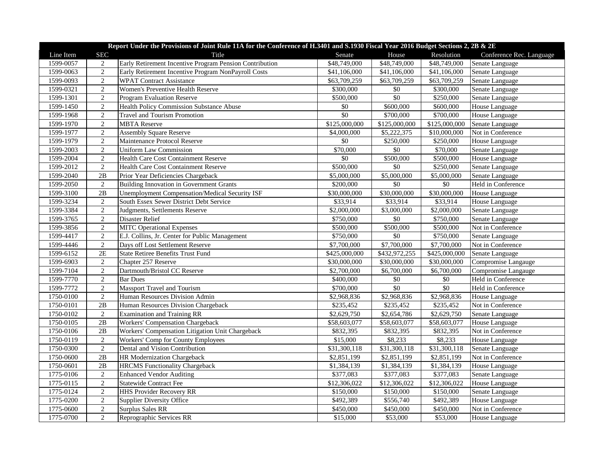| Line Item<br><b>SEC</b><br>Resolution<br>Title<br>Senate<br>House<br>Conference Rec. Language<br>Early Retirement Incentive Program Pension Contribution<br>1599-0057<br>\$48,749,000<br>\$48,749,000<br>\$48,749,000<br>Senate Language<br>2<br>$\overline{2}$<br>1599-0063<br>Early Retirement Incentive Program NonPayroll Costs<br>\$41,106,000<br>\$41,106,000<br>\$41,106,000<br>Senate Language<br>2<br><b>WPAT Contract Assistance</b><br>1599-0093<br>\$63,709,259<br>\$63,709,259<br>\$63,709,259<br>Senate Language<br>1599-0321<br>2<br>Women's Preventive Health Reserve<br>\$300,000<br>\$300,000<br>\$0<br>Senate Language<br>$\overline{50}$<br>1599-1301<br>2<br>\$500,000<br>\$250,000<br><b>Program Evaluation Reserve</b><br>Senate Language<br>1599-1450<br>$\overline{2}$<br>$\$0$<br>\$600,000<br>\$600,000<br>Health Policy Commission Substance Abuse<br>House Language<br>$\overline{50}$<br>\$700,000<br>\$700,000<br>1599-1968<br>2<br><b>Travel and Tourism Promotion</b><br>House Language<br>2<br><b>MBTA Reserve</b><br>\$125,000,000<br>1599-1970<br>\$125,000,000<br>\$125,000,000<br>Senate Language<br>$\overline{2}$<br>1599-1977<br><b>Assembly Square Reserve</b><br>\$4,000,000<br>\$5,222,375<br>\$10,000,000<br>Not in Conference<br>$\overline{2}$<br>\$0<br>Maintenance Protocol Reserve<br>\$250,000<br>\$250,000<br>1599-1979<br>House Language<br>2<br>\$70,000<br>\$0<br>\$70,000<br>1599-2003<br><b>Uniform Law Commission</b><br>Senate Language<br>$\overline{2}$<br>\$0<br>1599-2004<br>\$500,000<br>\$500,000<br>Health Care Cost Containment Reserve<br>House Language<br>1599-2012<br>2<br>\$500,000<br>\$0<br>\$250,000<br><b>Health Care Cost Containment Reserve</b><br>Senate Language<br>1599-2040<br>Prior Year Deficiencies Chargeback<br>\$5,000,000<br>\$5,000,000<br>\$5,000,000<br>2B<br>Senate Language<br>$\sqrt{50}$<br>2<br>\$200,000<br>\$0<br>Held in Conference<br>1599-2050<br><b>Building Innovation in Government Grants</b><br>\$30,000,000<br>\$30,000,000<br>1599-3100<br>2B<br>Unemployment Compensation/Medical Security ISF<br>\$30,000,000<br><b>House Language</b><br>1599-3234<br>2<br>South Essex Sewer District Debt Service<br>\$33,914<br>\$33,914<br>\$33,914<br>House Language<br>$\overline{2}$<br>\$2,000,000<br>1599-3384<br>Judgments, Settlements Reserve<br>\$3,000,000<br>\$2,000,000<br>Senate Language<br>$\sqrt{2}$<br>$\overline{50}$<br>1599-3765<br>Disaster Relief<br>\$750,000<br>\$750,000<br>Senate Language<br>$\overline{2}$<br>1599-3856<br>\$500,000<br>\$500,000<br>\$500,000<br><b>MITC Operational Expenses</b><br>Not in Conference<br>$\overline{2}$<br>\$0<br>1599-4417<br>E.J. Collins, Jr. Center for Public Management<br>\$750,000<br>\$750,000<br>Senate Language<br>$\overline{2}$<br>\$7,700,000<br>\$7,700,000<br>1599-4446<br>Days off Lost Settlement Reserve<br>\$7,700,000<br>Not in Conference<br>1599-6152<br>2E<br>\$425,000,000<br>\$432,972,255<br>\$425,000,000<br>State Retiree Benefits Trust Fund<br>Senate Language<br>1599-6903<br>2<br>Chapter 257 Reserve<br>\$30,000,000<br>\$30,000,000<br>\$30,000,000<br>Compromise Langauge<br>$\overline{2}$<br>1599-7104<br>Dartmouth/Bristol CC Reserve<br>\$2,700,000<br>\$6,700,000<br>\$6,700,000<br>Compromise Langauge<br>$\overline{2}$<br>\$400,000<br>$\overline{50}$<br>$\sqrt{$0}$<br>1599-7770<br><b>Bar Dues</b><br>Held in Conference<br>$\overline{2}$<br>$\overline{50}$<br>$\overline{50}$<br>1599-7772<br>Massport Travel and Tourism<br>\$700,000<br>Held in Conference<br>1750-0100<br>2<br>Human Resources Division Admin<br>\$2,968,836<br>\$2,968,836<br>\$2,968,836<br>House Language<br>1750-0101<br>2B<br>\$235,452<br>\$235,452<br>Human Resources Division Chargeback<br>\$235,452<br>Not in Conference<br>2<br>1750-0102<br><b>Examination and Training RR</b><br>\$2,629,750<br>\$2,654,786<br>\$2,629,750<br>Senate Language<br>1750-0105<br>2B<br>Workers' Compensation Chargeback<br>\$58,603,077<br>\$58,603,077<br>\$58,603,077<br>House Language<br>1750-0106<br>2B<br>Workers' Compensation Litigation Unit Chargeback<br>\$832,395<br>\$832,395<br>\$832,395<br>Not in Conference<br>1750-0119<br>2<br>\$15,000<br>\$8,233<br>\$8,233<br>Workers' Comp for County Employees<br>House Language<br>1750-0300<br>2<br>Dental and Vision Contribution<br>\$31,300,118<br>\$31,300,118<br>\$31,300,118<br>Senate Language<br>2B<br>Not in Conference<br>1750-0600<br>HR Modernization Chargeback<br>\$2,851,199<br>\$2,851,199<br>\$2,851,199<br>1750-0601<br>2B<br>\$1,384,139<br>\$1,384,139<br>\$1,384,139<br><b>HRCMS</b> Functionality Chargeback<br>House Language<br>$\sqrt{2}$<br>\$377,083<br>\$377,083<br>1775-0106<br><b>Enhanced Vendor Auditing</b><br>\$377,083<br>Senate Language<br>$\sqrt{2}$<br>1775-0115<br><b>Statewide Contract Fee</b><br>\$12,306,022<br>\$12,306,022<br>\$12,306,022<br>House Language<br>$\overline{2}$<br>1775-0124<br><b>HHS Provider Recovery RR</b><br>\$150,000<br>\$150,000<br>\$150,000<br>Senate Language<br>$\overline{2}$<br>1775-0200<br>\$492,389<br>\$556,740<br>\$492,389<br><b>Supplier Diversity Office</b><br>House Language<br>1775-0600<br>$\sqrt{2}$<br><b>Surplus Sales RR</b><br>\$450,000<br>\$450,000<br>\$450,000<br>Not in Conference |           | Report Under the Provisions of Joint Rule 11A for the Conference of H.3401 and S.1930 Fiscal Year 2016 Budget Sections 2, 2B & 2E |                          |          |          |          |                |  |  |
|---------------------------------------------------------------------------------------------------------------------------------------------------------------------------------------------------------------------------------------------------------------------------------------------------------------------------------------------------------------------------------------------------------------------------------------------------------------------------------------------------------------------------------------------------------------------------------------------------------------------------------------------------------------------------------------------------------------------------------------------------------------------------------------------------------------------------------------------------------------------------------------------------------------------------------------------------------------------------------------------------------------------------------------------------------------------------------------------------------------------------------------------------------------------------------------------------------------------------------------------------------------------------------------------------------------------------------------------------------------------------------------------------------------------------------------------------------------------------------------------------------------------------------------------------------------------------------------------------------------------------------------------------------------------------------------------------------------------------------------------------------------------------------------------------------------------------------------------------------------------------------------------------------------------------------------------------------------------------------------------------------------------------------------------------------------------------------------------------------------------------------------------------------------------------------------------------------------------------------------------------------------------------------------------------------------------------------------------------------------------------------------------------------------------------------------------------------------------------------------------------------------------------------------------------------------------------------------------------------------------------------------------------------------------------------------------------------------------------------------------------------------------------------------------------------------------------------------------------------------------------------------------------------------------------------------------------------------------------------------------------------------------------------------------------------------------------------------------------------------------------------------------------------------------------------------------------------------------------------------------------------------------------------------------------------------------------------------------------------------------------------------------------------------------------------------------------------------------------------------------------------------------------------------------------------------------------------------------------------------------------------------------------------------------------------------------------------------------------------------------------------------------------------------------------------------------------------------------------------------------------------------------------------------------------------------------------------------------------------------------------------------------------------------------------------------------------------------------------------------------------------------------------------------------------------------------------------------------------------------------------------------------------------------------------------------------------------------------------------------------------------------------------------------------------------------------------------------------------------------------------------------------------------------------------------------------------------------------------------------------------------------------------------------------------------------------------------------------------------------------------------------------------------------------------------------------------------------------------------------------------------------------------------------------------------------------------------------------------------------------------------------------------------------------------------------------------------------------------------------------------------------------------------------------------------------------------------------------------------------------------------------------------------------------------------------------------------|-----------|-----------------------------------------------------------------------------------------------------------------------------------|--------------------------|----------|----------|----------|----------------|--|--|
|                                                                                                                                                                                                                                                                                                                                                                                                                                                                                                                                                                                                                                                                                                                                                                                                                                                                                                                                                                                                                                                                                                                                                                                                                                                                                                                                                                                                                                                                                                                                                                                                                                                                                                                                                                                                                                                                                                                                                                                                                                                                                                                                                                                                                                                                                                                                                                                                                                                                                                                                                                                                                                                                                                                                                                                                                                                                                                                                                                                                                                                                                                                                                                                                                                                                                                                                                                                                                                                                                                                                                                                                                                                                                                                                                                                                                                                                                                                                                                                                                                                                                                                                                                                                                                                                                                                                                                                                                                                                                                                                                                                                                                                                                                                                                                                                                                                                                                                                                                                                                                                                                                                                                                                                                                                                                                                                 |           |                                                                                                                                   |                          |          |          |          |                |  |  |
|                                                                                                                                                                                                                                                                                                                                                                                                                                                                                                                                                                                                                                                                                                                                                                                                                                                                                                                                                                                                                                                                                                                                                                                                                                                                                                                                                                                                                                                                                                                                                                                                                                                                                                                                                                                                                                                                                                                                                                                                                                                                                                                                                                                                                                                                                                                                                                                                                                                                                                                                                                                                                                                                                                                                                                                                                                                                                                                                                                                                                                                                                                                                                                                                                                                                                                                                                                                                                                                                                                                                                                                                                                                                                                                                                                                                                                                                                                                                                                                                                                                                                                                                                                                                                                                                                                                                                                                                                                                                                                                                                                                                                                                                                                                                                                                                                                                                                                                                                                                                                                                                                                                                                                                                                                                                                                                                 |           |                                                                                                                                   |                          |          |          |          |                |  |  |
|                                                                                                                                                                                                                                                                                                                                                                                                                                                                                                                                                                                                                                                                                                                                                                                                                                                                                                                                                                                                                                                                                                                                                                                                                                                                                                                                                                                                                                                                                                                                                                                                                                                                                                                                                                                                                                                                                                                                                                                                                                                                                                                                                                                                                                                                                                                                                                                                                                                                                                                                                                                                                                                                                                                                                                                                                                                                                                                                                                                                                                                                                                                                                                                                                                                                                                                                                                                                                                                                                                                                                                                                                                                                                                                                                                                                                                                                                                                                                                                                                                                                                                                                                                                                                                                                                                                                                                                                                                                                                                                                                                                                                                                                                                                                                                                                                                                                                                                                                                                                                                                                                                                                                                                                                                                                                                                                 |           |                                                                                                                                   |                          |          |          |          |                |  |  |
|                                                                                                                                                                                                                                                                                                                                                                                                                                                                                                                                                                                                                                                                                                                                                                                                                                                                                                                                                                                                                                                                                                                                                                                                                                                                                                                                                                                                                                                                                                                                                                                                                                                                                                                                                                                                                                                                                                                                                                                                                                                                                                                                                                                                                                                                                                                                                                                                                                                                                                                                                                                                                                                                                                                                                                                                                                                                                                                                                                                                                                                                                                                                                                                                                                                                                                                                                                                                                                                                                                                                                                                                                                                                                                                                                                                                                                                                                                                                                                                                                                                                                                                                                                                                                                                                                                                                                                                                                                                                                                                                                                                                                                                                                                                                                                                                                                                                                                                                                                                                                                                                                                                                                                                                                                                                                                                                 |           |                                                                                                                                   |                          |          |          |          |                |  |  |
|                                                                                                                                                                                                                                                                                                                                                                                                                                                                                                                                                                                                                                                                                                                                                                                                                                                                                                                                                                                                                                                                                                                                                                                                                                                                                                                                                                                                                                                                                                                                                                                                                                                                                                                                                                                                                                                                                                                                                                                                                                                                                                                                                                                                                                                                                                                                                                                                                                                                                                                                                                                                                                                                                                                                                                                                                                                                                                                                                                                                                                                                                                                                                                                                                                                                                                                                                                                                                                                                                                                                                                                                                                                                                                                                                                                                                                                                                                                                                                                                                                                                                                                                                                                                                                                                                                                                                                                                                                                                                                                                                                                                                                                                                                                                                                                                                                                                                                                                                                                                                                                                                                                                                                                                                                                                                                                                 |           |                                                                                                                                   |                          |          |          |          |                |  |  |
|                                                                                                                                                                                                                                                                                                                                                                                                                                                                                                                                                                                                                                                                                                                                                                                                                                                                                                                                                                                                                                                                                                                                                                                                                                                                                                                                                                                                                                                                                                                                                                                                                                                                                                                                                                                                                                                                                                                                                                                                                                                                                                                                                                                                                                                                                                                                                                                                                                                                                                                                                                                                                                                                                                                                                                                                                                                                                                                                                                                                                                                                                                                                                                                                                                                                                                                                                                                                                                                                                                                                                                                                                                                                                                                                                                                                                                                                                                                                                                                                                                                                                                                                                                                                                                                                                                                                                                                                                                                                                                                                                                                                                                                                                                                                                                                                                                                                                                                                                                                                                                                                                                                                                                                                                                                                                                                                 |           |                                                                                                                                   |                          |          |          |          |                |  |  |
|                                                                                                                                                                                                                                                                                                                                                                                                                                                                                                                                                                                                                                                                                                                                                                                                                                                                                                                                                                                                                                                                                                                                                                                                                                                                                                                                                                                                                                                                                                                                                                                                                                                                                                                                                                                                                                                                                                                                                                                                                                                                                                                                                                                                                                                                                                                                                                                                                                                                                                                                                                                                                                                                                                                                                                                                                                                                                                                                                                                                                                                                                                                                                                                                                                                                                                                                                                                                                                                                                                                                                                                                                                                                                                                                                                                                                                                                                                                                                                                                                                                                                                                                                                                                                                                                                                                                                                                                                                                                                                                                                                                                                                                                                                                                                                                                                                                                                                                                                                                                                                                                                                                                                                                                                                                                                                                                 |           |                                                                                                                                   |                          |          |          |          |                |  |  |
|                                                                                                                                                                                                                                                                                                                                                                                                                                                                                                                                                                                                                                                                                                                                                                                                                                                                                                                                                                                                                                                                                                                                                                                                                                                                                                                                                                                                                                                                                                                                                                                                                                                                                                                                                                                                                                                                                                                                                                                                                                                                                                                                                                                                                                                                                                                                                                                                                                                                                                                                                                                                                                                                                                                                                                                                                                                                                                                                                                                                                                                                                                                                                                                                                                                                                                                                                                                                                                                                                                                                                                                                                                                                                                                                                                                                                                                                                                                                                                                                                                                                                                                                                                                                                                                                                                                                                                                                                                                                                                                                                                                                                                                                                                                                                                                                                                                                                                                                                                                                                                                                                                                                                                                                                                                                                                                                 |           |                                                                                                                                   |                          |          |          |          |                |  |  |
|                                                                                                                                                                                                                                                                                                                                                                                                                                                                                                                                                                                                                                                                                                                                                                                                                                                                                                                                                                                                                                                                                                                                                                                                                                                                                                                                                                                                                                                                                                                                                                                                                                                                                                                                                                                                                                                                                                                                                                                                                                                                                                                                                                                                                                                                                                                                                                                                                                                                                                                                                                                                                                                                                                                                                                                                                                                                                                                                                                                                                                                                                                                                                                                                                                                                                                                                                                                                                                                                                                                                                                                                                                                                                                                                                                                                                                                                                                                                                                                                                                                                                                                                                                                                                                                                                                                                                                                                                                                                                                                                                                                                                                                                                                                                                                                                                                                                                                                                                                                                                                                                                                                                                                                                                                                                                                                                 |           |                                                                                                                                   |                          |          |          |          |                |  |  |
|                                                                                                                                                                                                                                                                                                                                                                                                                                                                                                                                                                                                                                                                                                                                                                                                                                                                                                                                                                                                                                                                                                                                                                                                                                                                                                                                                                                                                                                                                                                                                                                                                                                                                                                                                                                                                                                                                                                                                                                                                                                                                                                                                                                                                                                                                                                                                                                                                                                                                                                                                                                                                                                                                                                                                                                                                                                                                                                                                                                                                                                                                                                                                                                                                                                                                                                                                                                                                                                                                                                                                                                                                                                                                                                                                                                                                                                                                                                                                                                                                                                                                                                                                                                                                                                                                                                                                                                                                                                                                                                                                                                                                                                                                                                                                                                                                                                                                                                                                                                                                                                                                                                                                                                                                                                                                                                                 |           |                                                                                                                                   |                          |          |          |          |                |  |  |
|                                                                                                                                                                                                                                                                                                                                                                                                                                                                                                                                                                                                                                                                                                                                                                                                                                                                                                                                                                                                                                                                                                                                                                                                                                                                                                                                                                                                                                                                                                                                                                                                                                                                                                                                                                                                                                                                                                                                                                                                                                                                                                                                                                                                                                                                                                                                                                                                                                                                                                                                                                                                                                                                                                                                                                                                                                                                                                                                                                                                                                                                                                                                                                                                                                                                                                                                                                                                                                                                                                                                                                                                                                                                                                                                                                                                                                                                                                                                                                                                                                                                                                                                                                                                                                                                                                                                                                                                                                                                                                                                                                                                                                                                                                                                                                                                                                                                                                                                                                                                                                                                                                                                                                                                                                                                                                                                 |           |                                                                                                                                   |                          |          |          |          |                |  |  |
|                                                                                                                                                                                                                                                                                                                                                                                                                                                                                                                                                                                                                                                                                                                                                                                                                                                                                                                                                                                                                                                                                                                                                                                                                                                                                                                                                                                                                                                                                                                                                                                                                                                                                                                                                                                                                                                                                                                                                                                                                                                                                                                                                                                                                                                                                                                                                                                                                                                                                                                                                                                                                                                                                                                                                                                                                                                                                                                                                                                                                                                                                                                                                                                                                                                                                                                                                                                                                                                                                                                                                                                                                                                                                                                                                                                                                                                                                                                                                                                                                                                                                                                                                                                                                                                                                                                                                                                                                                                                                                                                                                                                                                                                                                                                                                                                                                                                                                                                                                                                                                                                                                                                                                                                                                                                                                                                 |           |                                                                                                                                   |                          |          |          |          |                |  |  |
|                                                                                                                                                                                                                                                                                                                                                                                                                                                                                                                                                                                                                                                                                                                                                                                                                                                                                                                                                                                                                                                                                                                                                                                                                                                                                                                                                                                                                                                                                                                                                                                                                                                                                                                                                                                                                                                                                                                                                                                                                                                                                                                                                                                                                                                                                                                                                                                                                                                                                                                                                                                                                                                                                                                                                                                                                                                                                                                                                                                                                                                                                                                                                                                                                                                                                                                                                                                                                                                                                                                                                                                                                                                                                                                                                                                                                                                                                                                                                                                                                                                                                                                                                                                                                                                                                                                                                                                                                                                                                                                                                                                                                                                                                                                                                                                                                                                                                                                                                                                                                                                                                                                                                                                                                                                                                                                                 |           |                                                                                                                                   |                          |          |          |          |                |  |  |
|                                                                                                                                                                                                                                                                                                                                                                                                                                                                                                                                                                                                                                                                                                                                                                                                                                                                                                                                                                                                                                                                                                                                                                                                                                                                                                                                                                                                                                                                                                                                                                                                                                                                                                                                                                                                                                                                                                                                                                                                                                                                                                                                                                                                                                                                                                                                                                                                                                                                                                                                                                                                                                                                                                                                                                                                                                                                                                                                                                                                                                                                                                                                                                                                                                                                                                                                                                                                                                                                                                                                                                                                                                                                                                                                                                                                                                                                                                                                                                                                                                                                                                                                                                                                                                                                                                                                                                                                                                                                                                                                                                                                                                                                                                                                                                                                                                                                                                                                                                                                                                                                                                                                                                                                                                                                                                                                 |           |                                                                                                                                   |                          |          |          |          |                |  |  |
|                                                                                                                                                                                                                                                                                                                                                                                                                                                                                                                                                                                                                                                                                                                                                                                                                                                                                                                                                                                                                                                                                                                                                                                                                                                                                                                                                                                                                                                                                                                                                                                                                                                                                                                                                                                                                                                                                                                                                                                                                                                                                                                                                                                                                                                                                                                                                                                                                                                                                                                                                                                                                                                                                                                                                                                                                                                                                                                                                                                                                                                                                                                                                                                                                                                                                                                                                                                                                                                                                                                                                                                                                                                                                                                                                                                                                                                                                                                                                                                                                                                                                                                                                                                                                                                                                                                                                                                                                                                                                                                                                                                                                                                                                                                                                                                                                                                                                                                                                                                                                                                                                                                                                                                                                                                                                                                                 |           |                                                                                                                                   |                          |          |          |          |                |  |  |
|                                                                                                                                                                                                                                                                                                                                                                                                                                                                                                                                                                                                                                                                                                                                                                                                                                                                                                                                                                                                                                                                                                                                                                                                                                                                                                                                                                                                                                                                                                                                                                                                                                                                                                                                                                                                                                                                                                                                                                                                                                                                                                                                                                                                                                                                                                                                                                                                                                                                                                                                                                                                                                                                                                                                                                                                                                                                                                                                                                                                                                                                                                                                                                                                                                                                                                                                                                                                                                                                                                                                                                                                                                                                                                                                                                                                                                                                                                                                                                                                                                                                                                                                                                                                                                                                                                                                                                                                                                                                                                                                                                                                                                                                                                                                                                                                                                                                                                                                                                                                                                                                                                                                                                                                                                                                                                                                 |           |                                                                                                                                   |                          |          |          |          |                |  |  |
|                                                                                                                                                                                                                                                                                                                                                                                                                                                                                                                                                                                                                                                                                                                                                                                                                                                                                                                                                                                                                                                                                                                                                                                                                                                                                                                                                                                                                                                                                                                                                                                                                                                                                                                                                                                                                                                                                                                                                                                                                                                                                                                                                                                                                                                                                                                                                                                                                                                                                                                                                                                                                                                                                                                                                                                                                                                                                                                                                                                                                                                                                                                                                                                                                                                                                                                                                                                                                                                                                                                                                                                                                                                                                                                                                                                                                                                                                                                                                                                                                                                                                                                                                                                                                                                                                                                                                                                                                                                                                                                                                                                                                                                                                                                                                                                                                                                                                                                                                                                                                                                                                                                                                                                                                                                                                                                                 |           |                                                                                                                                   |                          |          |          |          |                |  |  |
|                                                                                                                                                                                                                                                                                                                                                                                                                                                                                                                                                                                                                                                                                                                                                                                                                                                                                                                                                                                                                                                                                                                                                                                                                                                                                                                                                                                                                                                                                                                                                                                                                                                                                                                                                                                                                                                                                                                                                                                                                                                                                                                                                                                                                                                                                                                                                                                                                                                                                                                                                                                                                                                                                                                                                                                                                                                                                                                                                                                                                                                                                                                                                                                                                                                                                                                                                                                                                                                                                                                                                                                                                                                                                                                                                                                                                                                                                                                                                                                                                                                                                                                                                                                                                                                                                                                                                                                                                                                                                                                                                                                                                                                                                                                                                                                                                                                                                                                                                                                                                                                                                                                                                                                                                                                                                                                                 |           |                                                                                                                                   |                          |          |          |          |                |  |  |
|                                                                                                                                                                                                                                                                                                                                                                                                                                                                                                                                                                                                                                                                                                                                                                                                                                                                                                                                                                                                                                                                                                                                                                                                                                                                                                                                                                                                                                                                                                                                                                                                                                                                                                                                                                                                                                                                                                                                                                                                                                                                                                                                                                                                                                                                                                                                                                                                                                                                                                                                                                                                                                                                                                                                                                                                                                                                                                                                                                                                                                                                                                                                                                                                                                                                                                                                                                                                                                                                                                                                                                                                                                                                                                                                                                                                                                                                                                                                                                                                                                                                                                                                                                                                                                                                                                                                                                                                                                                                                                                                                                                                                                                                                                                                                                                                                                                                                                                                                                                                                                                                                                                                                                                                                                                                                                                                 |           |                                                                                                                                   |                          |          |          |          |                |  |  |
|                                                                                                                                                                                                                                                                                                                                                                                                                                                                                                                                                                                                                                                                                                                                                                                                                                                                                                                                                                                                                                                                                                                                                                                                                                                                                                                                                                                                                                                                                                                                                                                                                                                                                                                                                                                                                                                                                                                                                                                                                                                                                                                                                                                                                                                                                                                                                                                                                                                                                                                                                                                                                                                                                                                                                                                                                                                                                                                                                                                                                                                                                                                                                                                                                                                                                                                                                                                                                                                                                                                                                                                                                                                                                                                                                                                                                                                                                                                                                                                                                                                                                                                                                                                                                                                                                                                                                                                                                                                                                                                                                                                                                                                                                                                                                                                                                                                                                                                                                                                                                                                                                                                                                                                                                                                                                                                                 |           |                                                                                                                                   |                          |          |          |          |                |  |  |
|                                                                                                                                                                                                                                                                                                                                                                                                                                                                                                                                                                                                                                                                                                                                                                                                                                                                                                                                                                                                                                                                                                                                                                                                                                                                                                                                                                                                                                                                                                                                                                                                                                                                                                                                                                                                                                                                                                                                                                                                                                                                                                                                                                                                                                                                                                                                                                                                                                                                                                                                                                                                                                                                                                                                                                                                                                                                                                                                                                                                                                                                                                                                                                                                                                                                                                                                                                                                                                                                                                                                                                                                                                                                                                                                                                                                                                                                                                                                                                                                                                                                                                                                                                                                                                                                                                                                                                                                                                                                                                                                                                                                                                                                                                                                                                                                                                                                                                                                                                                                                                                                                                                                                                                                                                                                                                                                 |           |                                                                                                                                   |                          |          |          |          |                |  |  |
|                                                                                                                                                                                                                                                                                                                                                                                                                                                                                                                                                                                                                                                                                                                                                                                                                                                                                                                                                                                                                                                                                                                                                                                                                                                                                                                                                                                                                                                                                                                                                                                                                                                                                                                                                                                                                                                                                                                                                                                                                                                                                                                                                                                                                                                                                                                                                                                                                                                                                                                                                                                                                                                                                                                                                                                                                                                                                                                                                                                                                                                                                                                                                                                                                                                                                                                                                                                                                                                                                                                                                                                                                                                                                                                                                                                                                                                                                                                                                                                                                                                                                                                                                                                                                                                                                                                                                                                                                                                                                                                                                                                                                                                                                                                                                                                                                                                                                                                                                                                                                                                                                                                                                                                                                                                                                                                                 |           |                                                                                                                                   |                          |          |          |          |                |  |  |
|                                                                                                                                                                                                                                                                                                                                                                                                                                                                                                                                                                                                                                                                                                                                                                                                                                                                                                                                                                                                                                                                                                                                                                                                                                                                                                                                                                                                                                                                                                                                                                                                                                                                                                                                                                                                                                                                                                                                                                                                                                                                                                                                                                                                                                                                                                                                                                                                                                                                                                                                                                                                                                                                                                                                                                                                                                                                                                                                                                                                                                                                                                                                                                                                                                                                                                                                                                                                                                                                                                                                                                                                                                                                                                                                                                                                                                                                                                                                                                                                                                                                                                                                                                                                                                                                                                                                                                                                                                                                                                                                                                                                                                                                                                                                                                                                                                                                                                                                                                                                                                                                                                                                                                                                                                                                                                                                 |           |                                                                                                                                   |                          |          |          |          |                |  |  |
|                                                                                                                                                                                                                                                                                                                                                                                                                                                                                                                                                                                                                                                                                                                                                                                                                                                                                                                                                                                                                                                                                                                                                                                                                                                                                                                                                                                                                                                                                                                                                                                                                                                                                                                                                                                                                                                                                                                                                                                                                                                                                                                                                                                                                                                                                                                                                                                                                                                                                                                                                                                                                                                                                                                                                                                                                                                                                                                                                                                                                                                                                                                                                                                                                                                                                                                                                                                                                                                                                                                                                                                                                                                                                                                                                                                                                                                                                                                                                                                                                                                                                                                                                                                                                                                                                                                                                                                                                                                                                                                                                                                                                                                                                                                                                                                                                                                                                                                                                                                                                                                                                                                                                                                                                                                                                                                                 |           |                                                                                                                                   |                          |          |          |          |                |  |  |
|                                                                                                                                                                                                                                                                                                                                                                                                                                                                                                                                                                                                                                                                                                                                                                                                                                                                                                                                                                                                                                                                                                                                                                                                                                                                                                                                                                                                                                                                                                                                                                                                                                                                                                                                                                                                                                                                                                                                                                                                                                                                                                                                                                                                                                                                                                                                                                                                                                                                                                                                                                                                                                                                                                                                                                                                                                                                                                                                                                                                                                                                                                                                                                                                                                                                                                                                                                                                                                                                                                                                                                                                                                                                                                                                                                                                                                                                                                                                                                                                                                                                                                                                                                                                                                                                                                                                                                                                                                                                                                                                                                                                                                                                                                                                                                                                                                                                                                                                                                                                                                                                                                                                                                                                                                                                                                                                 |           |                                                                                                                                   |                          |          |          |          |                |  |  |
|                                                                                                                                                                                                                                                                                                                                                                                                                                                                                                                                                                                                                                                                                                                                                                                                                                                                                                                                                                                                                                                                                                                                                                                                                                                                                                                                                                                                                                                                                                                                                                                                                                                                                                                                                                                                                                                                                                                                                                                                                                                                                                                                                                                                                                                                                                                                                                                                                                                                                                                                                                                                                                                                                                                                                                                                                                                                                                                                                                                                                                                                                                                                                                                                                                                                                                                                                                                                                                                                                                                                                                                                                                                                                                                                                                                                                                                                                                                                                                                                                                                                                                                                                                                                                                                                                                                                                                                                                                                                                                                                                                                                                                                                                                                                                                                                                                                                                                                                                                                                                                                                                                                                                                                                                                                                                                                                 |           |                                                                                                                                   |                          |          |          |          |                |  |  |
|                                                                                                                                                                                                                                                                                                                                                                                                                                                                                                                                                                                                                                                                                                                                                                                                                                                                                                                                                                                                                                                                                                                                                                                                                                                                                                                                                                                                                                                                                                                                                                                                                                                                                                                                                                                                                                                                                                                                                                                                                                                                                                                                                                                                                                                                                                                                                                                                                                                                                                                                                                                                                                                                                                                                                                                                                                                                                                                                                                                                                                                                                                                                                                                                                                                                                                                                                                                                                                                                                                                                                                                                                                                                                                                                                                                                                                                                                                                                                                                                                                                                                                                                                                                                                                                                                                                                                                                                                                                                                                                                                                                                                                                                                                                                                                                                                                                                                                                                                                                                                                                                                                                                                                                                                                                                                                                                 |           |                                                                                                                                   |                          |          |          |          |                |  |  |
|                                                                                                                                                                                                                                                                                                                                                                                                                                                                                                                                                                                                                                                                                                                                                                                                                                                                                                                                                                                                                                                                                                                                                                                                                                                                                                                                                                                                                                                                                                                                                                                                                                                                                                                                                                                                                                                                                                                                                                                                                                                                                                                                                                                                                                                                                                                                                                                                                                                                                                                                                                                                                                                                                                                                                                                                                                                                                                                                                                                                                                                                                                                                                                                                                                                                                                                                                                                                                                                                                                                                                                                                                                                                                                                                                                                                                                                                                                                                                                                                                                                                                                                                                                                                                                                                                                                                                                                                                                                                                                                                                                                                                                                                                                                                                                                                                                                                                                                                                                                                                                                                                                                                                                                                                                                                                                                                 |           |                                                                                                                                   |                          |          |          |          |                |  |  |
|                                                                                                                                                                                                                                                                                                                                                                                                                                                                                                                                                                                                                                                                                                                                                                                                                                                                                                                                                                                                                                                                                                                                                                                                                                                                                                                                                                                                                                                                                                                                                                                                                                                                                                                                                                                                                                                                                                                                                                                                                                                                                                                                                                                                                                                                                                                                                                                                                                                                                                                                                                                                                                                                                                                                                                                                                                                                                                                                                                                                                                                                                                                                                                                                                                                                                                                                                                                                                                                                                                                                                                                                                                                                                                                                                                                                                                                                                                                                                                                                                                                                                                                                                                                                                                                                                                                                                                                                                                                                                                                                                                                                                                                                                                                                                                                                                                                                                                                                                                                                                                                                                                                                                                                                                                                                                                                                 |           |                                                                                                                                   |                          |          |          |          |                |  |  |
|                                                                                                                                                                                                                                                                                                                                                                                                                                                                                                                                                                                                                                                                                                                                                                                                                                                                                                                                                                                                                                                                                                                                                                                                                                                                                                                                                                                                                                                                                                                                                                                                                                                                                                                                                                                                                                                                                                                                                                                                                                                                                                                                                                                                                                                                                                                                                                                                                                                                                                                                                                                                                                                                                                                                                                                                                                                                                                                                                                                                                                                                                                                                                                                                                                                                                                                                                                                                                                                                                                                                                                                                                                                                                                                                                                                                                                                                                                                                                                                                                                                                                                                                                                                                                                                                                                                                                                                                                                                                                                                                                                                                                                                                                                                                                                                                                                                                                                                                                                                                                                                                                                                                                                                                                                                                                                                                 |           |                                                                                                                                   |                          |          |          |          |                |  |  |
|                                                                                                                                                                                                                                                                                                                                                                                                                                                                                                                                                                                                                                                                                                                                                                                                                                                                                                                                                                                                                                                                                                                                                                                                                                                                                                                                                                                                                                                                                                                                                                                                                                                                                                                                                                                                                                                                                                                                                                                                                                                                                                                                                                                                                                                                                                                                                                                                                                                                                                                                                                                                                                                                                                                                                                                                                                                                                                                                                                                                                                                                                                                                                                                                                                                                                                                                                                                                                                                                                                                                                                                                                                                                                                                                                                                                                                                                                                                                                                                                                                                                                                                                                                                                                                                                                                                                                                                                                                                                                                                                                                                                                                                                                                                                                                                                                                                                                                                                                                                                                                                                                                                                                                                                                                                                                                                                 |           |                                                                                                                                   |                          |          |          |          |                |  |  |
|                                                                                                                                                                                                                                                                                                                                                                                                                                                                                                                                                                                                                                                                                                                                                                                                                                                                                                                                                                                                                                                                                                                                                                                                                                                                                                                                                                                                                                                                                                                                                                                                                                                                                                                                                                                                                                                                                                                                                                                                                                                                                                                                                                                                                                                                                                                                                                                                                                                                                                                                                                                                                                                                                                                                                                                                                                                                                                                                                                                                                                                                                                                                                                                                                                                                                                                                                                                                                                                                                                                                                                                                                                                                                                                                                                                                                                                                                                                                                                                                                                                                                                                                                                                                                                                                                                                                                                                                                                                                                                                                                                                                                                                                                                                                                                                                                                                                                                                                                                                                                                                                                                                                                                                                                                                                                                                                 |           |                                                                                                                                   |                          |          |          |          |                |  |  |
|                                                                                                                                                                                                                                                                                                                                                                                                                                                                                                                                                                                                                                                                                                                                                                                                                                                                                                                                                                                                                                                                                                                                                                                                                                                                                                                                                                                                                                                                                                                                                                                                                                                                                                                                                                                                                                                                                                                                                                                                                                                                                                                                                                                                                                                                                                                                                                                                                                                                                                                                                                                                                                                                                                                                                                                                                                                                                                                                                                                                                                                                                                                                                                                                                                                                                                                                                                                                                                                                                                                                                                                                                                                                                                                                                                                                                                                                                                                                                                                                                                                                                                                                                                                                                                                                                                                                                                                                                                                                                                                                                                                                                                                                                                                                                                                                                                                                                                                                                                                                                                                                                                                                                                                                                                                                                                                                 |           |                                                                                                                                   |                          |          |          |          |                |  |  |
|                                                                                                                                                                                                                                                                                                                                                                                                                                                                                                                                                                                                                                                                                                                                                                                                                                                                                                                                                                                                                                                                                                                                                                                                                                                                                                                                                                                                                                                                                                                                                                                                                                                                                                                                                                                                                                                                                                                                                                                                                                                                                                                                                                                                                                                                                                                                                                                                                                                                                                                                                                                                                                                                                                                                                                                                                                                                                                                                                                                                                                                                                                                                                                                                                                                                                                                                                                                                                                                                                                                                                                                                                                                                                                                                                                                                                                                                                                                                                                                                                                                                                                                                                                                                                                                                                                                                                                                                                                                                                                                                                                                                                                                                                                                                                                                                                                                                                                                                                                                                                                                                                                                                                                                                                                                                                                                                 |           |                                                                                                                                   |                          |          |          |          |                |  |  |
|                                                                                                                                                                                                                                                                                                                                                                                                                                                                                                                                                                                                                                                                                                                                                                                                                                                                                                                                                                                                                                                                                                                                                                                                                                                                                                                                                                                                                                                                                                                                                                                                                                                                                                                                                                                                                                                                                                                                                                                                                                                                                                                                                                                                                                                                                                                                                                                                                                                                                                                                                                                                                                                                                                                                                                                                                                                                                                                                                                                                                                                                                                                                                                                                                                                                                                                                                                                                                                                                                                                                                                                                                                                                                                                                                                                                                                                                                                                                                                                                                                                                                                                                                                                                                                                                                                                                                                                                                                                                                                                                                                                                                                                                                                                                                                                                                                                                                                                                                                                                                                                                                                                                                                                                                                                                                                                                 |           |                                                                                                                                   |                          |          |          |          |                |  |  |
|                                                                                                                                                                                                                                                                                                                                                                                                                                                                                                                                                                                                                                                                                                                                                                                                                                                                                                                                                                                                                                                                                                                                                                                                                                                                                                                                                                                                                                                                                                                                                                                                                                                                                                                                                                                                                                                                                                                                                                                                                                                                                                                                                                                                                                                                                                                                                                                                                                                                                                                                                                                                                                                                                                                                                                                                                                                                                                                                                                                                                                                                                                                                                                                                                                                                                                                                                                                                                                                                                                                                                                                                                                                                                                                                                                                                                                                                                                                                                                                                                                                                                                                                                                                                                                                                                                                                                                                                                                                                                                                                                                                                                                                                                                                                                                                                                                                                                                                                                                                                                                                                                                                                                                                                                                                                                                                                 |           |                                                                                                                                   |                          |          |          |          |                |  |  |
|                                                                                                                                                                                                                                                                                                                                                                                                                                                                                                                                                                                                                                                                                                                                                                                                                                                                                                                                                                                                                                                                                                                                                                                                                                                                                                                                                                                                                                                                                                                                                                                                                                                                                                                                                                                                                                                                                                                                                                                                                                                                                                                                                                                                                                                                                                                                                                                                                                                                                                                                                                                                                                                                                                                                                                                                                                                                                                                                                                                                                                                                                                                                                                                                                                                                                                                                                                                                                                                                                                                                                                                                                                                                                                                                                                                                                                                                                                                                                                                                                                                                                                                                                                                                                                                                                                                                                                                                                                                                                                                                                                                                                                                                                                                                                                                                                                                                                                                                                                                                                                                                                                                                                                                                                                                                                                                                 |           |                                                                                                                                   |                          |          |          |          |                |  |  |
|                                                                                                                                                                                                                                                                                                                                                                                                                                                                                                                                                                                                                                                                                                                                                                                                                                                                                                                                                                                                                                                                                                                                                                                                                                                                                                                                                                                                                                                                                                                                                                                                                                                                                                                                                                                                                                                                                                                                                                                                                                                                                                                                                                                                                                                                                                                                                                                                                                                                                                                                                                                                                                                                                                                                                                                                                                                                                                                                                                                                                                                                                                                                                                                                                                                                                                                                                                                                                                                                                                                                                                                                                                                                                                                                                                                                                                                                                                                                                                                                                                                                                                                                                                                                                                                                                                                                                                                                                                                                                                                                                                                                                                                                                                                                                                                                                                                                                                                                                                                                                                                                                                                                                                                                                                                                                                                                 |           |                                                                                                                                   |                          |          |          |          |                |  |  |
|                                                                                                                                                                                                                                                                                                                                                                                                                                                                                                                                                                                                                                                                                                                                                                                                                                                                                                                                                                                                                                                                                                                                                                                                                                                                                                                                                                                                                                                                                                                                                                                                                                                                                                                                                                                                                                                                                                                                                                                                                                                                                                                                                                                                                                                                                                                                                                                                                                                                                                                                                                                                                                                                                                                                                                                                                                                                                                                                                                                                                                                                                                                                                                                                                                                                                                                                                                                                                                                                                                                                                                                                                                                                                                                                                                                                                                                                                                                                                                                                                                                                                                                                                                                                                                                                                                                                                                                                                                                                                                                                                                                                                                                                                                                                                                                                                                                                                                                                                                                                                                                                                                                                                                                                                                                                                                                                 |           |                                                                                                                                   |                          |          |          |          |                |  |  |
|                                                                                                                                                                                                                                                                                                                                                                                                                                                                                                                                                                                                                                                                                                                                                                                                                                                                                                                                                                                                                                                                                                                                                                                                                                                                                                                                                                                                                                                                                                                                                                                                                                                                                                                                                                                                                                                                                                                                                                                                                                                                                                                                                                                                                                                                                                                                                                                                                                                                                                                                                                                                                                                                                                                                                                                                                                                                                                                                                                                                                                                                                                                                                                                                                                                                                                                                                                                                                                                                                                                                                                                                                                                                                                                                                                                                                                                                                                                                                                                                                                                                                                                                                                                                                                                                                                                                                                                                                                                                                                                                                                                                                                                                                                                                                                                                                                                                                                                                                                                                                                                                                                                                                                                                                                                                                                                                 |           |                                                                                                                                   |                          |          |          |          |                |  |  |
|                                                                                                                                                                                                                                                                                                                                                                                                                                                                                                                                                                                                                                                                                                                                                                                                                                                                                                                                                                                                                                                                                                                                                                                                                                                                                                                                                                                                                                                                                                                                                                                                                                                                                                                                                                                                                                                                                                                                                                                                                                                                                                                                                                                                                                                                                                                                                                                                                                                                                                                                                                                                                                                                                                                                                                                                                                                                                                                                                                                                                                                                                                                                                                                                                                                                                                                                                                                                                                                                                                                                                                                                                                                                                                                                                                                                                                                                                                                                                                                                                                                                                                                                                                                                                                                                                                                                                                                                                                                                                                                                                                                                                                                                                                                                                                                                                                                                                                                                                                                                                                                                                                                                                                                                                                                                                                                                 |           |                                                                                                                                   |                          |          |          |          |                |  |  |
|                                                                                                                                                                                                                                                                                                                                                                                                                                                                                                                                                                                                                                                                                                                                                                                                                                                                                                                                                                                                                                                                                                                                                                                                                                                                                                                                                                                                                                                                                                                                                                                                                                                                                                                                                                                                                                                                                                                                                                                                                                                                                                                                                                                                                                                                                                                                                                                                                                                                                                                                                                                                                                                                                                                                                                                                                                                                                                                                                                                                                                                                                                                                                                                                                                                                                                                                                                                                                                                                                                                                                                                                                                                                                                                                                                                                                                                                                                                                                                                                                                                                                                                                                                                                                                                                                                                                                                                                                                                                                                                                                                                                                                                                                                                                                                                                                                                                                                                                                                                                                                                                                                                                                                                                                                                                                                                                 |           |                                                                                                                                   |                          |          |          |          |                |  |  |
|                                                                                                                                                                                                                                                                                                                                                                                                                                                                                                                                                                                                                                                                                                                                                                                                                                                                                                                                                                                                                                                                                                                                                                                                                                                                                                                                                                                                                                                                                                                                                                                                                                                                                                                                                                                                                                                                                                                                                                                                                                                                                                                                                                                                                                                                                                                                                                                                                                                                                                                                                                                                                                                                                                                                                                                                                                                                                                                                                                                                                                                                                                                                                                                                                                                                                                                                                                                                                                                                                                                                                                                                                                                                                                                                                                                                                                                                                                                                                                                                                                                                                                                                                                                                                                                                                                                                                                                                                                                                                                                                                                                                                                                                                                                                                                                                                                                                                                                                                                                                                                                                                                                                                                                                                                                                                                                                 | 1775-0700 | $\overline{2}$                                                                                                                    | Reprographic Services RR | \$15,000 | \$53,000 | \$53,000 | House Language |  |  |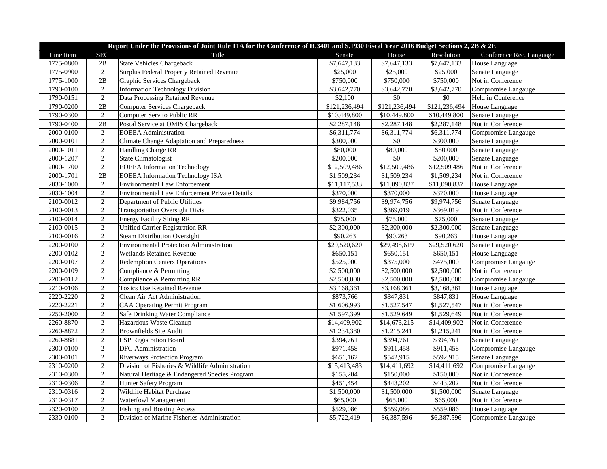|           | Report Under the Provisions of Joint Rule 11A for the Conference of H.3401 and S.1930 Fiscal Year 2016 Budget Sections 2, 2B & 2E |                                                   |                          |                 |               |                          |  |  |
|-----------|-----------------------------------------------------------------------------------------------------------------------------------|---------------------------------------------------|--------------------------|-----------------|---------------|--------------------------|--|--|
| Line Item | <b>SEC</b>                                                                                                                        | Title                                             | Senate                   | House           | Resolution    | Conference Rec. Language |  |  |
| 1775-0800 | 2B                                                                                                                                | <b>State Vehicles Chargeback</b>                  | \$7,647,133              | \$7,647,133     | \$7,647,133   | House Language           |  |  |
| 1775-0900 | $\overline{2}$                                                                                                                    | <b>Surplus Federal Property Retained Revenue</b>  | \$25,000                 | \$25,000        | \$25,000      | Senate Language          |  |  |
| 1775-1000 | 2B                                                                                                                                | Graphic Services Chargeback                       | \$750,000                | \$750,000       | \$750,000     | Not in Conference        |  |  |
| 1790-0100 | $\mathbf{2}$                                                                                                                      | <b>Information Technology Division</b>            | \$3,642,770              | \$3,642,770     | \$3,642,770   | Compromise Langauge      |  |  |
| 1790-0151 | $\overline{2}$                                                                                                                    | Data Processing Retained Revenue                  | \$2,100                  | $\$0$           | $\$0$         | Held in Conference       |  |  |
| 1790-0200 | $\overline{2B}$                                                                                                                   | <b>Computer Services Chargeback</b>               | \$121,236,494            | \$121,236,494   | \$121,236,494 | House Language           |  |  |
| 1790-0300 | $\overline{2}$                                                                                                                    | <b>Computer Serv to Public RR</b>                 | \$10,449,800             | \$10,449,800    | \$10,449,800  | Senate Language          |  |  |
| 1790-0400 | $\overline{2B}$                                                                                                                   | Postal Service at OMIS Chargeback                 | \$2,287,148              | \$2,287,148     | \$2,287,148   | Not in Conference        |  |  |
| 2000-0100 | $\mathbf{2}$                                                                                                                      | <b>EOEEA</b> Administration                       | \$6,311,774              | \$6,311,774     | \$6,311,774   | Compromise Langauge      |  |  |
| 2000-0101 | $\overline{2}$                                                                                                                    | <b>Climate Change Adaptation and Preparedness</b> | \$300,000                | \$0             | \$300,000     | Senate Language          |  |  |
| 2000-1011 | $\overline{2}$                                                                                                                    | Handling Charge RR                                | \$80,000                 | \$80,000        | \$80,000      | Senate Language          |  |  |
| 2000-1207 | $\overline{2}$                                                                                                                    | <b>State Climatologist</b>                        | \$200,000                | $\overline{50}$ | \$200,000     | Senate Language          |  |  |
| 2000-1700 | $\overline{2}$                                                                                                                    | <b>EOEEA</b> Information Technology               | \$12,509,486             | \$12,509,486    | \$12,509,486  | Not in Conference        |  |  |
| 2000-1701 | 2B                                                                                                                                | <b>EOEEA</b> Information Technology ISA           | \$1,509,234              | \$1,509,234     | \$1,509,234   | Not in Conference        |  |  |
| 2030-1000 | $\overline{2}$                                                                                                                    | <b>Environmental Law Enforcement</b>              | \$11,117,533             | \$11,090,837    | \$11,090,837  | House Language           |  |  |
| 2030-1004 | $\overline{2}$                                                                                                                    | Environmental Law Enforcement Private Details     | \$370,000                | \$370,000       | \$370,000     | House Language           |  |  |
| 2100-0012 | $\sqrt{2}$                                                                                                                        | Department of Public Utilities                    | \$9,984,756              | \$9,974,756     | \$9,974,756   | Senate Language          |  |  |
| 2100-0013 | $\overline{2}$                                                                                                                    | <b>Transportation Oversight Divis</b>             | \$322,035                | \$369,019       | \$369,019     | Not in Conference        |  |  |
| 2100-0014 | $\overline{2}$                                                                                                                    | <b>Energy Facility Siting RR</b>                  | \$75,000                 | \$75,000        | \$75,000      | Senate Language          |  |  |
| 2100-0015 | $\overline{2}$                                                                                                                    | <b>Unified Carrier Registration RR</b>            | \$2,300,000              | \$2,300,000     | \$2,300,000   | Senate Language          |  |  |
| 2100-0016 | $\overline{2}$                                                                                                                    | <b>Steam Distribution Oversight</b>               | \$90,263                 | \$90,263        | \$90,263      | House Language           |  |  |
| 2200-0100 | $\overline{2}$                                                                                                                    | <b>Environmental Protection Administration</b>    | \$29,520,620             | \$29,498,619    | \$29,520,620  | Senate Language          |  |  |
| 2200-0102 | $\overline{2}$                                                                                                                    | <b>Wetlands Retained Revenue</b>                  | \$650,151                | \$650,151       | \$650,151     | House Language           |  |  |
| 2200-0107 | $\overline{2}$                                                                                                                    | <b>Redemption Centers Operations</b>              | \$525,000                | \$375,000       | \$475,000     | Compromise Langauge      |  |  |
| 2200-0109 | $\overline{2}$                                                                                                                    | Compliance & Permitting                           | \$2,500,000              | \$2,500,000     | \$2,500,000   | Not in Conference        |  |  |
| 2200-0112 | $\overline{2}$                                                                                                                    | Compliance & Permitting RR                        | \$2,500,000              | \$2,500,000     | \$2,500,000   | Compromise Langauge      |  |  |
| 2210-0106 | $\sqrt{2}$                                                                                                                        | <b>Toxics Use Retained Revenue</b>                | \$3,168,361              | \$3,168,361     | \$3,168,361   | House Language           |  |  |
| 2220-2220 | 2                                                                                                                                 | Clean Air Act Administration                      | \$873,766                | \$847,831       | \$847,831     | House Language           |  |  |
| 2220-2221 | $\overline{2}$                                                                                                                    | <b>CAA Operating Permit Program</b>               | \$1,606,993              | \$1,527,547     | \$1,527,547   | Not in Conference        |  |  |
| 2250-2000 | $\overline{2}$                                                                                                                    | Safe Drinking Water Compliance                    | \$1,597,399              | \$1,529,649     | \$1,529,649   | Not in Conference        |  |  |
| 2260-8870 | $\overline{2}$                                                                                                                    | Hazardous Waste Cleanup                           | $\overline{$}14,409,902$ | \$14,673,215    | \$14,409,902  | Not in Conference        |  |  |
| 2260-8872 | $\overline{2}$                                                                                                                    | <b>Brownfields Site Audit</b>                     | \$1,234,380              | \$1,215,241     | \$1,215,241   | Not in Conference        |  |  |
| 2260-8881 | $\overline{2}$                                                                                                                    | <b>LSP Registration Board</b>                     | \$394,761                | \$394,761       | \$394,761     | Senate Language          |  |  |
| 2300-0100 | $\overline{2}$                                                                                                                    | DFG Administration                                | $\overline{$}971,458$    | \$911,458       | \$911,458     | Compromise Langauge      |  |  |
| 2300-0101 | $\overline{2}$                                                                                                                    | <b>Riverways Protection Program</b>               | \$651,162                | \$542,915       | \$592,915     | Senate Language          |  |  |
| 2310-0200 | $\overline{2}$                                                                                                                    | Division of Fisheries & Wildlife Administration   | \$15,413,483             | \$14,411,692    | \$14,411,692  | Compromise Langauge      |  |  |
| 2310-0300 | $\overline{2}$                                                                                                                    | Natural Heritage & Endangered Species Program     | \$155,204                | \$150,000       | \$150,000     | Not in Conference        |  |  |
| 2310-0306 | $\overline{2}$                                                                                                                    | Hunter Safety Program                             | \$451,454                | \$443,202       | \$443,202     | Not in Conference        |  |  |
| 2310-0316 | $\overline{2}$                                                                                                                    | Wildlife Habitat Purchase                         | \$1,500,000              | \$1,500,000     | \$1,500,000   | Senate Language          |  |  |
| 2310-0317 | $\overline{2}$                                                                                                                    | <b>Waterfowl Management</b>                       | \$65,000                 | \$65,000        | \$65,000      | Not in Conference        |  |  |
| 2320-0100 | $\sqrt{2}$                                                                                                                        | <b>Fishing and Boating Access</b>                 | \$529,086                | \$559,086       | \$559,086     | House Language           |  |  |
| 2330-0100 | $\overline{2}$                                                                                                                    | Division of Marine Fisheries Administration       | \$5,722,419              | \$6,387,596     | \$6,387,596   | Compromise Langauge      |  |  |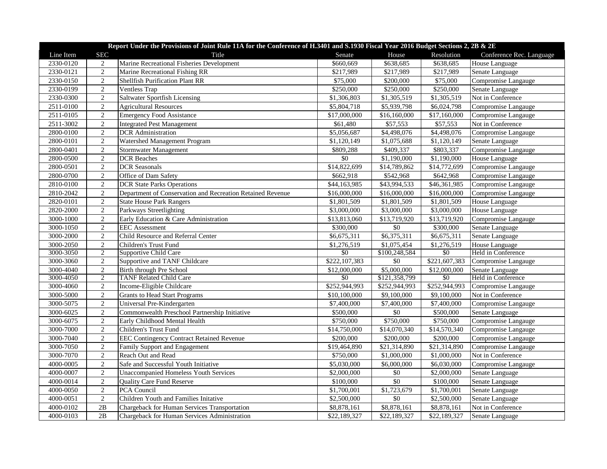|           | Report Under the Provisions of Joint Rule 11A for the Conference of H.3401 and S.1930 Fiscal Year 2016 Budget Sections 2, 2B & 2E |                                                            |                          |                 |                      |                          |  |  |
|-----------|-----------------------------------------------------------------------------------------------------------------------------------|------------------------------------------------------------|--------------------------|-----------------|----------------------|--------------------------|--|--|
| Line Item | <b>SEC</b>                                                                                                                        | Title                                                      | Senate                   | House           | Resolution           | Conference Rec. Language |  |  |
| 2330-0120 | 2                                                                                                                                 | Marine Recreational Fisheries Development                  | \$660,669                | \$638,685       | \$638,685            | House Language           |  |  |
| 2330-0121 | $\overline{2}$                                                                                                                    | Marine Recreational Fishing RR                             | \$217,989                | \$217,989       | \$217,989            | Senate Language          |  |  |
| 2330-0150 | $\overline{2}$                                                                                                                    | <b>Shellfish Purification Plant RR</b>                     | \$75,000                 | \$200,000       | $\overline{$}75,000$ | Compromise Langauge      |  |  |
| 2330-0199 | $\overline{2}$                                                                                                                    | Ventless Trap                                              | \$250,000                | \$250,000       | \$250,000            | Senate Language          |  |  |
| 2330-0300 | $\overline{2}$                                                                                                                    | Saltwater Sportfish Licensing                              | \$1,306,803              | \$1,305,519     | \$1,305,519          | Not in Conference        |  |  |
| 2511-0100 | $\overline{2}$                                                                                                                    | <b>Agricultural Resources</b>                              | \$5,804,718              | \$5,939,798     | \$6,024,798          | Compromise Langauge      |  |  |
| 2511-0105 | $\overline{2}$                                                                                                                    | <b>Emergency Food Assistance</b>                           | \$17,000,000             | \$16,160,000    | \$17,160,000         | Compromise Langauge      |  |  |
| 2511-3002 | 2                                                                                                                                 | <b>Integrated Pest Management</b>                          | \$61,480                 | \$57,553        | \$57,553             | Not in Conference        |  |  |
| 2800-0100 | $\overline{2}$                                                                                                                    | <b>DCR</b> Administration                                  | \$5,056,687              | \$4,498,076     | \$4,498,076          | Compromise Langauge      |  |  |
| 2800-0101 | $\overline{2}$                                                                                                                    | Watershed Management Program                               | \$1,120,149              | \$1,075,688     | \$1,120,149          | Senate Language          |  |  |
| 2800-0401 | $\sqrt{2}$                                                                                                                        | Stormwater Management                                      | \$809,288                | \$409,337       | \$803,337            | Compromise Langauge      |  |  |
| 2800-0500 | $\overline{2}$                                                                                                                    | <b>DCR</b> Beaches                                         | \$0                      | \$1,190,000     | \$1,190,000          | House Language           |  |  |
| 2800-0501 | $\overline{2}$                                                                                                                    | <b>DCR</b> Seasonals                                       | $\overline{$14,822,699}$ | \$14,789,862    | \$14,772,699         | Compromise Langauge      |  |  |
| 2800-0700 | $\overline{2}$                                                                                                                    | Office of Dam Safety                                       | \$662,918                | \$542,968       | \$642,968            | Compromise Langauge      |  |  |
| 2810-0100 | $\overline{2}$                                                                                                                    | <b>DCR</b> State Parks Operations                          | \$44,163,985             | \$43,994,533    | \$46,361,985         | Compromise Langauge      |  |  |
| 2810-2042 | $\overline{2}$                                                                                                                    | Department of Conservation and Recreation Retained Revenue | \$16,000,000             | \$16,000,000    | \$16,000,000         | Compromise Langauge      |  |  |
| 2820-0101 | $\sqrt{2}$                                                                                                                        | <b>State House Park Rangers</b>                            | \$1,801,509              | \$1,801,509     | \$1,801,509          | House Language           |  |  |
| 2820-2000 | $\overline{2}$                                                                                                                    | Parkways Streetlighting                                    | \$3,000,000              | \$3,000,000     | \$3,000,000          | House Language           |  |  |
| 3000-1000 | $\overline{2}$                                                                                                                    | Early Education & Care Administration                      | \$13,813,060             | \$13,719,920    | \$13,719,920         | Compromise Langauge      |  |  |
| 3000-1050 | $\overline{2}$                                                                                                                    | <b>EEC</b> Assessment                                      | \$300,000                | $\$0$           | \$300,000            | Senate Language          |  |  |
| 3000-2000 | 2                                                                                                                                 | Child Resource and Referral Center                         | \$6,675,311              | \$6,375,311     | \$6,675,311          | Senate Language          |  |  |
| 3000-2050 | $\overline{2}$                                                                                                                    | Children's Trust Fund                                      | \$1,276,519              | \$1,075,454     | \$1,276,519          | House Language           |  |  |
| 3000-3050 | $\overline{2}$                                                                                                                    | Supportive Child Care                                      | \$0                      | \$100,248,584   | \$0                  | Held in Conference       |  |  |
| 3000-3060 | 2                                                                                                                                 | Supportive and TANF Childcare                              | \$222,107,383            | $\overline{50}$ | \$221,607,383        | Compromise Langauge      |  |  |
| 3000-4040 | $\overline{2}$                                                                                                                    | Birth through Pre School                                   | \$12,000,000             | \$5,000,000     | \$12,000,000         | Senate Language          |  |  |
| 3000-4050 | 2                                                                                                                                 | <b>TANF Related Child Care</b>                             | \$0                      | \$121,358,799   | $\sqrt{6}$           | Held in Conference       |  |  |
| 3000-4060 | $\overline{2}$                                                                                                                    | Income-Eligible Childcare                                  | \$252,944,993            | \$252,944,993   | \$252,944,993        | Compromise Langauge      |  |  |
| 3000-5000 | $\overline{2}$                                                                                                                    | <b>Grants to Head Start Programs</b>                       | \$10,100,000             | \$9,100,000     | \$9,100,000          | Not in Conference        |  |  |
| 3000-5075 | $\overline{2}$                                                                                                                    | Universal Pre-Kindergarten                                 | \$7,400,000              | \$7,400,000     | \$7,400,000          | Compromise Langauge      |  |  |
| 3000-6025 | $\overline{2}$                                                                                                                    | Commonwealth Preschool Partnership Initiative              | \$500,000                | \$0             | \$500,000            | Senate Language          |  |  |
| 3000-6075 | $\overline{2}$                                                                                                                    | Early Childhood Mental Health                              | \$750,000                | \$750,000       | \$750,000            | Compromise Langauge      |  |  |
| 3000-7000 | $\sqrt{2}$                                                                                                                        | Children's Trust Fund                                      | \$14,750,000             | \$14,070,340    | \$14,570,340         | Compromise Langauge      |  |  |
| 3000-7040 | 2                                                                                                                                 | <b>EEC Contingency Contract Retained Revenue</b>           | \$200,000                | \$200,000       | \$200,000            | Compromise Langauge      |  |  |
| 3000-7050 | $\sqrt{2}$                                                                                                                        | Family Support and Engagement                              | \$19,464,890             | \$21,314,890    | \$21,314,890         | Compromise Langauge      |  |  |
| 3000-7070 | $\overline{2}$                                                                                                                    | Reach Out and Read                                         | \$750,000                | \$1,000,000     | \$1,000,000          | Not in Conference        |  |  |
| 4000-0005 | $\overline{2}$                                                                                                                    | Safe and Successful Youth Initiative                       | \$5,030,000              | \$6,000,000     | \$6,030,000          | Compromise Langauge      |  |  |
| 4000-0007 | $\overline{2}$                                                                                                                    | <b>Unaccompanied Homeless Youth Services</b>               | \$2,000,000              | \$0             | \$2,000,000          | Senate Language          |  |  |
| 4000-0014 | $\overline{2}$                                                                                                                    | <b>Quality Care Fund Reserve</b>                           | \$100,000                | $\sqrt{$0}$     | \$100,000            | Senate Language          |  |  |
| 4000-0050 | $\sqrt{2}$                                                                                                                        | PCA Council                                                | \$1,700,001              | \$1,723,679     | \$1,700,001          | Senate Language          |  |  |
| 4000-0051 | $\overline{2}$                                                                                                                    | Children Youth and Families Initative                      | \$2,500,000              | $\overline{50}$ | \$2,500,000          | Senate Language          |  |  |
| 4000-0102 | 2B                                                                                                                                | Chargeback for Human Services Transportation               | \$8,878,161              | \$8,878,161     | \$8,878,161          | Not in Conference        |  |  |
| 4000-0103 | 2B                                                                                                                                | Chargeback for Human Services Administration               | \$22,189,327             | \$22,189,327    | \$22,189,327         | Senate Language          |  |  |
|           |                                                                                                                                   |                                                            |                          |                 |                      |                          |  |  |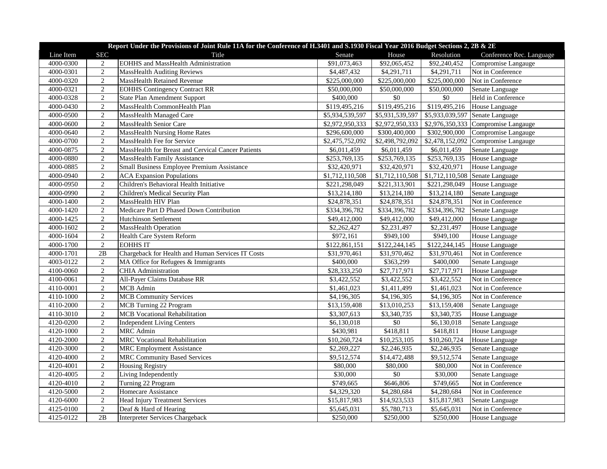|           | Report Under the Provisions of Joint Rule 11A for the Conference of H.3401 and S.1930 Fiscal Year 2016 Budget Sections 2, 2B & 2E |                                                    |                 |                         |                 |                                      |  |  |
|-----------|-----------------------------------------------------------------------------------------------------------------------------------|----------------------------------------------------|-----------------|-------------------------|-----------------|--------------------------------------|--|--|
| Line Item | <b>SEC</b>                                                                                                                        | Title                                              | Senate          | House                   | Resolution      | Conference Rec. Language             |  |  |
| 4000-0300 | 2                                                                                                                                 | <b>EOHHS</b> and MassHealth Administration         | \$91,073,463    | \$92,065,452            | \$92,240,452    | Compromise Langauge                  |  |  |
| 4000-0301 | $\overline{2}$                                                                                                                    | <b>MassHealth Auditing Reviews</b>                 | \$4,487,432     | \$4,291,711             | \$4,291,711     | Not in Conference                    |  |  |
| 4000-0320 | $\overline{2}$                                                                                                                    | <b>MassHealth Retained Revenue</b>                 | \$225,000,000   | \$225,000,000           | \$225,000,000   | Not in Conference                    |  |  |
| 4000-0321 | $\mathbf{2}$                                                                                                                      | <b>EOHHS Contingency Contract RR</b>               | \$50,000,000    | \$50,000,000            | \$50,000,000    | Senate Language                      |  |  |
| 4000-0328 | $\overline{2}$                                                                                                                    | State Plan Amendment Support                       | \$400,000       | $\overline{50}$         | $\overline{50}$ | Held in Conference                   |  |  |
| 4000-0430 | $\overline{2}$                                                                                                                    | MassHealth CommonHealth Plan                       | \$119,495,216   | \$119,495,216           | \$119,495,216   | House Language                       |  |  |
| 4000-0500 | $\sqrt{2}$                                                                                                                        | MassHealth Managed Care                            | \$5,934,539,597 | \$5,931,539,597         | \$5,933,039,597 | Senate Language                      |  |  |
| 4000-0600 | $\overline{2}$                                                                                                                    | MassHealth Senior Care                             | \$2,972,950,333 | \$2,972,950,333         |                 | $$2,976,350,333$ Compromise Langauge |  |  |
| 4000-0640 | $\sqrt{2}$                                                                                                                        | <b>MassHealth Nursing Home Rates</b>               | \$296,600,000   | \$300,400,000           | \$302,900,000   | Compromise Langauge                  |  |  |
| 4000-0700 | $\overline{2}$                                                                                                                    | MassHealth Fee for Service                         | \$2,475,752,092 | \$2,498,792,092         | \$2,478,152,092 | Compromise Langauge                  |  |  |
| 4000-0875 | $\overline{2}$                                                                                                                    | MassHealth for Breast and Cervical Cancer Patients | \$6,011,459     | \$6,011,459             | \$6,011,459     | Senate Language                      |  |  |
| 4000-0880 | $\overline{2}$                                                                                                                    | <b>MassHealth Family Assistance</b>                | \$253,769,135   | \$253,769,135           | \$253,769,135   | House Language                       |  |  |
| 4000-0885 | $\overline{2}$                                                                                                                    | Small Business Employee Premium Assistance         | \$32,420,971    | \$32,420,971            | \$32,420,971    | House Language                       |  |  |
| 4000-0940 | 2                                                                                                                                 | <b>ACA Expansion Populations</b>                   | \$1,712,110,508 | \$1,712,110,508         | \$1,712,110,508 | Senate Language                      |  |  |
| 4000-0950 | $\overline{2}$                                                                                                                    | Children's Behavioral Health Initiative            | \$221,298,049   | \$221,313,901           | \$221,298,049   | House Language                       |  |  |
| 4000-0990 | $\overline{2}$                                                                                                                    | Children's Medical Security Plan                   | \$13,214,180    | \$13,214,180            | \$13,214,180    | Senate Language                      |  |  |
| 4000-1400 | $\mathbf{2}$                                                                                                                      | MassHealth HIV Plan                                | \$24,878,351    | \$24,878,351            | \$24,878,351    | Not in Conference                    |  |  |
| 4000-1420 | $\overline{2}$                                                                                                                    | Medicare Part D Phased Down Contribution           | \$334,396,782   | \$334,396,782           | \$334,396,782   | Senate Language                      |  |  |
| 4000-1425 | $\sqrt{2}$                                                                                                                        | <b>Hutchinson Settlement</b>                       | \$49,412,000    | \$49,412,000            | \$49,412,000    | House Language                       |  |  |
| 4000-1602 | $\sqrt{2}$                                                                                                                        | <b>MassHealth Operation</b>                        | \$2,262,427     | \$2,231,497             | \$2,231,497     | House Language                       |  |  |
| 4000-1604 | $\overline{2}$                                                                                                                    | <b>Health Care System Reform</b>                   | \$972,161       | \$949,100               | \$949,100       | House Language                       |  |  |
| 4000-1700 | $\overline{2}$                                                                                                                    | <b>EOHHS IT</b>                                    | \$122,861,151   | \$122,244,145           | \$122,244,145   | House Language                       |  |  |
| 4000-1701 | 2B                                                                                                                                | Chargeback for Health and Human Services IT Costs  | \$31,970,461    | \$31,970,462            | \$31,970,461    | Not in Conference                    |  |  |
| 4003-0122 | $\overline{c}$                                                                                                                    | MA Office for Refugees & Immigrants                | \$400,000       | \$363,299               | \$400,000       | Senate Language                      |  |  |
| 4100-0060 | $\overline{2}$                                                                                                                    | <b>CHIA Administration</b>                         | \$28,333,250    | \$27,717,971            | \$27,717,971    | House Language                       |  |  |
| 4100-0061 | $\overline{2}$                                                                                                                    | All-Payer Claims Database RR                       | \$3,422,552     | \$3,422,552             | \$3,422,552     | Not in Conference                    |  |  |
| 4110-0001 | $\overline{2}$                                                                                                                    | <b>MCB</b> Admin                                   | \$1,461,023     | $\overline{31,}411,499$ | \$1,461,023     | Not in Conference                    |  |  |
| 4110-1000 | $\overline{2}$                                                                                                                    | <b>MCB Community Services</b>                      | \$4,196,305     | \$4,196,305             | \$4,196,305     | Not in Conference                    |  |  |
| 4110-2000 | $\overline{2}$                                                                                                                    | MCB Turning 22 Program                             | \$13,159,408    | \$13,010,253            | \$13,159,408    | Senate Language                      |  |  |
| 4110-3010 | $\sqrt{2}$                                                                                                                        | <b>MCB</b> Vocational Rehabilitation               | \$3,307,613     | \$3,340,735             | \$3,340,735     | House Language                       |  |  |
| 4120-0200 | $\sqrt{2}$                                                                                                                        | <b>Independent Living Centers</b>                  | \$6,130,018     | $\$0$                   | \$6,130,018     | Senate Language                      |  |  |
| 4120-1000 | $\sqrt{2}$                                                                                                                        | <b>MRC</b> Admin                                   | \$430,981       | \$418,811               | \$418,811       | House Language                       |  |  |
| 4120-2000 | $\overline{2}$                                                                                                                    | <b>MRC</b> Vocational Rehabilitation               | \$10,260,724    | \$10,253,105            | \$10,260,724    | House Language                       |  |  |
| 4120-3000 | $\overline{2}$                                                                                                                    | <b>MRC</b> Employment Assistance                   | \$2,269,227     | \$2,246,935             | \$2,246,935     | Senate Language                      |  |  |
| 4120-4000 | $\overline{2}$                                                                                                                    | <b>MRC Community Based Services</b>                | \$9,512,574     | \$14,472,488            | \$9,512,574     | Senate Language                      |  |  |
| 4120-4001 | $\overline{2}$                                                                                                                    | <b>Housing Registry</b>                            | \$80,000        | \$80,000                | \$80,000        | Not in Conference                    |  |  |
| 4120-4005 | $\sqrt{2}$                                                                                                                        | Living Independently                               | \$30,000        | \$0                     | \$30,000        | Senate Language                      |  |  |
| 4120-4010 | $\sqrt{2}$                                                                                                                        | Turning 22 Program                                 | \$749,665       | \$646,806               | \$749,665       | Not in Conference                    |  |  |
| 4120-5000 | $\overline{2}$                                                                                                                    | Homecare Assistance                                | \$4,329,320     | \$4,280,684             | \$4,280,684     | Not in Conference                    |  |  |
| 4120-6000 | $\overline{2}$                                                                                                                    | <b>Head Injury Treatment Services</b>              | \$15,817,983    | \$14,923,533            | \$15,817,983    | Senate Language                      |  |  |
| 4125-0100 | $\overline{2}$                                                                                                                    | Deaf & Hard of Hearing                             | \$5,645,031     | \$5,780,713             | \$5,645,031     | Not in Conference                    |  |  |
| 4125-0122 | 2B                                                                                                                                | <b>Interpreter Services Chargeback</b>             | \$250,000       | \$250,000               | \$250,000       | House Language                       |  |  |
|           |                                                                                                                                   |                                                    |                 |                         |                 |                                      |  |  |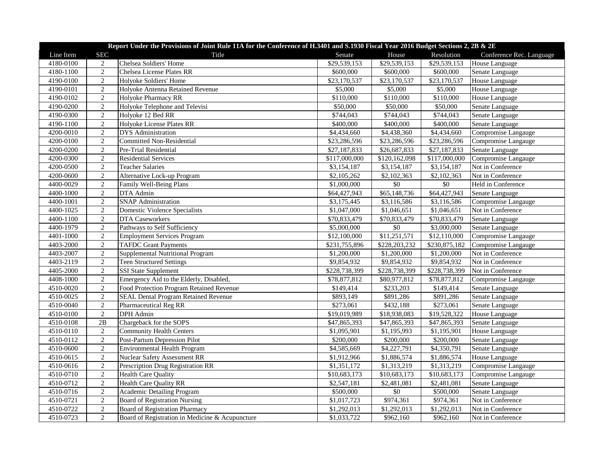|           | Report Under the Provisions of Joint Rule 11A for the Conference of H.3401 and S.1930 Fiscal Year 2016 Budget Sections 2, 2B & 2E |                                                 |               |                       |               |                          |  |  |
|-----------|-----------------------------------------------------------------------------------------------------------------------------------|-------------------------------------------------|---------------|-----------------------|---------------|--------------------------|--|--|
| Line Item | <b>SEC</b>                                                                                                                        | Title                                           | Senate        | House                 | Resolution    | Conference Rec. Language |  |  |
| 4180-0100 | $\overline{c}$                                                                                                                    | Chelsea Soldiers' Home                          | \$29,539,153  | \$29,539,153          | \$29,539,153  | House Language           |  |  |
| 4180-1100 | 2                                                                                                                                 | Chelsea License Plates RR                       | \$600,000     | \$600,000             | \$600,000     | Senate Language          |  |  |
| 4190-0100 | $\overline{2}$                                                                                                                    | Holyoke Soldiers' Home                          | \$23,170,537  | \$23,170,537          | \$23,170,537  | House Language           |  |  |
| 4190-0101 | $\sqrt{2}$                                                                                                                        | Holyoke Antenna Retained Revenue                | \$5,000       | \$5,000               | \$5,000       | House Language           |  |  |
| 4190-0102 | $\overline{2}$                                                                                                                    | Holyoke Pharmacy RR                             | \$110,000     | $\overline{$}110,000$ | \$110,000     | House Language           |  |  |
| 4190-0200 | $\overline{2}$                                                                                                                    | Holyoke Telephone and Televisi                  | \$50,000      | \$50,000              | \$50,000      | Senate Language          |  |  |
| 4190-0300 | $\overline{2}$                                                                                                                    | Holyoke 12 Bed RR                               | \$744,043     | \$744,043             | \$744,043     | Senate Language          |  |  |
| 4190-1100 | $\overline{2}$                                                                                                                    | Holyoke License Plates RR                       | \$400,000     | \$400,000             | \$400,000     | Senate Language          |  |  |
| 4200-0010 | $\overline{2}$                                                                                                                    | DYS Administration                              | \$4,434,660   | \$4,438,360           | \$4,434,660   | Compromise Langauge      |  |  |
| 4200-0100 | $\overline{2}$                                                                                                                    | <b>Committed Non-Residential</b>                | \$23,286,596  | \$23,286,596          | \$23,286,596  | Compromise Langauge      |  |  |
| 4200-0200 | $\overline{2}$                                                                                                                    | Pre-Trial Residential                           | \$27,187,833  | \$26,687,833          | \$27,187,833  | Senate Language          |  |  |
| 4200-0300 | $\overline{2}$                                                                                                                    | <b>Residential Services</b>                     | \$117,000,000 | \$120,162,098         | \$117,000,000 | Compromise Langauge      |  |  |
| 4200-0500 | $\overline{2}$                                                                                                                    | <b>Teacher Salaries</b>                         | \$3,154,187   | \$3,154,187           | \$3,154,187   | Not in Conference        |  |  |
| 4200-0600 | $\sqrt{2}$                                                                                                                        | Alternative Lock-up Program                     | \$2,105,262   | \$2,102,363           | \$2,102,363   | Not in Conference        |  |  |
| 4400-0029 | $\sqrt{2}$                                                                                                                        | <b>Family Well-Being Plans</b>                  | \$1,000,000   | \$0                   | $\$0$         | Held in Conference       |  |  |
| 4400-1000 | $\sqrt{2}$                                                                                                                        | DTA Admin                                       | \$64,427,943  | \$65,148,736          | \$64,427,943  | Senate Language          |  |  |
| 4400-1001 | $\overline{2}$                                                                                                                    | SNAP Administration                             | \$3,175,445   | \$3,116,586           | \$3,116,586   | Compromise Langauge      |  |  |
| 4400-1025 | 2                                                                                                                                 | Domestic Violence Specialists                   | \$1,047,000   | \$1,046,651           | \$1,046,651   | Not in Conference        |  |  |
| 4400-1100 | $\overline{2}$                                                                                                                    | <b>DTA Caseworkers</b>                          | \$70,833,479  | \$70,833,479          | \$70,833,479  | Senate Language          |  |  |
| 4400-1979 | $\sqrt{2}$                                                                                                                        | Pathways to Self Sufficiency                    | \$5,000,000   | \$0                   | \$3,000,000   | Senate Language          |  |  |
| 4401-1000 | $\sqrt{2}$                                                                                                                        | <b>Employment Services Program</b>              | \$12,100,000  | \$11,251,571          | \$12,110,000  | Compromise Langauge      |  |  |
| 4403-2000 | $\overline{2}$                                                                                                                    | <b>TAFDC Grant Payments</b>                     | \$231,755,896 | \$228,203,232         | \$230,875,182 | Compromise Langauge      |  |  |
| 4403-2007 | 2                                                                                                                                 | Supplemental Nutritional Program                | \$1,200,000   | \$1,200,000           | \$1,200,000   | Not in Conference        |  |  |
| 4403-2119 | 2                                                                                                                                 | <b>Teen Structured Settings</b>                 | \$9,854,932   | \$9,854,932           | \$9,854,932   | Not in Conference        |  |  |
| 4405-2000 | $\overline{2}$                                                                                                                    | <b>SSI State Supplement</b>                     | \$228,738,399 | \$228,738,399         | \$228,738,399 | Not in Conference        |  |  |
| 4408-1000 | $\sqrt{2}$                                                                                                                        | Emergency Aid to the Elderly, Disabled,         | \$78,877,812  | \$80,977,812          | \$78,877,812  | Compromise Langauge      |  |  |
| 4510-0020 | $\overline{2}$                                                                                                                    | Food Protection Program Retained Revenue        | \$149,414     | $\overline{$}233,203$ | \$149,414     | Senate Language          |  |  |
| 4510-0025 | $\mathbf{2}$                                                                                                                      | <b>SEAL Dental Program Retained Revenue</b>     | \$893,149     | \$891,286             | \$891,286     | Senate Language          |  |  |
| 4510-0040 | $\sqrt{2}$                                                                                                                        | <b>Pharmaceutical Reg RR</b>                    | \$273,061     | \$432,188             | \$273,061     | Senate Language          |  |  |
| 4510-0100 | $\overline{2}$                                                                                                                    | DPH Admin                                       | \$19,019,989  | \$18,938,083          | \$19,528,322  | House Language           |  |  |
| 4510-0108 | 2B                                                                                                                                | Chargeback for the SOPS                         | \$47,865,393  | \$47,865,393          | \$47,865,393  | Senate Language          |  |  |
| 4510-0110 | $\overline{2}$                                                                                                                    | <b>Community Health Centers</b>                 | \$1,095,901   | \$1,195,993           | \$1,195,901   | House Language           |  |  |
| 4510-0112 | $\overline{2}$                                                                                                                    | Post-Partum Depression Pilot                    | \$200,000     | \$200,000             | \$200,000     | Senate Language          |  |  |
| 4510-0600 | $\mathbf{2}$                                                                                                                      | <b>Environmental Health Program</b>             | \$4,585,669   | \$4,227,791           | \$4,350,791   | Senate Language          |  |  |
| 4510-0615 | $\mathbf{2}$                                                                                                                      | <b>Nuclear Safety Assessment RR</b>             | \$1,912,966   | \$1,886,574           | \$1,886,574   | House Language           |  |  |
| 4510-0616 | $\sqrt{2}$                                                                                                                        | Prescription Drug Registration RR               | \$1,351,172   | \$1,313,219           | \$1,313,219   | Compromise Langauge      |  |  |
| 4510-0710 | $\sqrt{2}$                                                                                                                        | Health Care Quality                             | \$10,683,173  | \$10,683,173          | \$10,683,173  | Compromise Langauge      |  |  |
| 4510-0712 | $\overline{2}$                                                                                                                    | <b>Health Care Quality RR</b>                   | \$2,547,181   | \$2,481,081           | \$2,481,081   | Senate Language          |  |  |
| 4510-0716 | $\overline{2}$                                                                                                                    | <b>Academic Detailing Program</b>               | \$500,000     | \$0                   | \$500,000     | Senate Language          |  |  |
| 4510-0721 | $\overline{2}$                                                                                                                    | <b>Board of Registration Nursing</b>            | \$1,017,723   | \$974,361             | \$974,361     | Not in Conference        |  |  |
| 4510-0722 | $\sqrt{2}$                                                                                                                        | <b>Board of Registration Pharmacy</b>           | \$1,292,013   | \$1,292,013           | \$1,292,013   | Not in Conference        |  |  |
|           |                                                                                                                                   |                                                 |               |                       |               |                          |  |  |
| 4510-0723 | $\overline{2}$                                                                                                                    | Board of Registration in Medicine & Acupuncture | \$1,033,722   | \$962,160             | \$962,160     | Not in Conference        |  |  |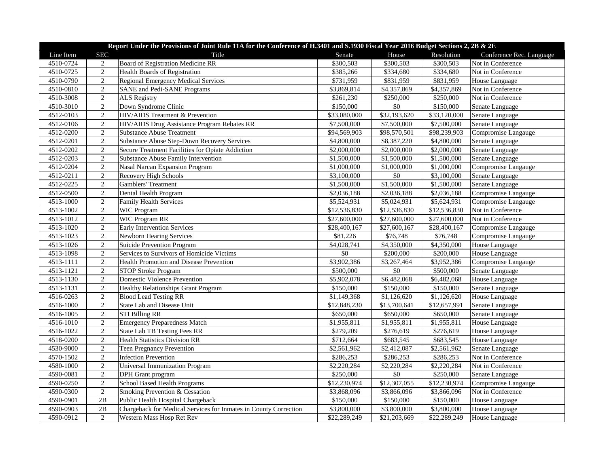|           | Report Under the Provisions of Joint Rule 11A for the Conference of H.3401 and S.1930 Fiscal Year 2016 Budget Sections 2, 2B & 2E |                                                                  |                       |              |              |                          |  |  |
|-----------|-----------------------------------------------------------------------------------------------------------------------------------|------------------------------------------------------------------|-----------------------|--------------|--------------|--------------------------|--|--|
| Line Item | <b>SEC</b>                                                                                                                        | Title                                                            | Senate                | House        | Resolution   | Conference Rec. Language |  |  |
| 4510-0724 | 2                                                                                                                                 | <b>Board of Registration Medicine RR</b>                         | \$300,503             | \$300,503    | \$300,503    | Not in Conference        |  |  |
| 4510-0725 | $\overline{2}$                                                                                                                    | Health Boards of Registration                                    | \$385,266             | \$334,680    | \$334,680    | Not in Conference        |  |  |
| 4510-0790 | 2                                                                                                                                 | <b>Regional Emergency Medical Services</b>                       | \$731,959             | \$831,959    | \$831,959    | House Language           |  |  |
| 4510-0810 | 2                                                                                                                                 | <b>SANE</b> and Pedi-SANE Programs                               | \$3,869,814           | \$4,357,869  | \$4,357,869  | Not in Conference        |  |  |
| 4510-3008 | $\sqrt{2}$                                                                                                                        | <b>ALS Registry</b>                                              | \$261,230             | \$250,000    | \$250,000    | Not in Conference        |  |  |
| 4510-3010 | 2                                                                                                                                 | Down Syndrome Clinic                                             | \$150,000             | \$0          | \$150,000    | Senate Language          |  |  |
| 4512-0103 | $\sqrt{2}$                                                                                                                        | HIV/AIDS Treatment & Prevention                                  | \$33,080,000          | \$32,193,620 | \$33,120,000 | Senate Language          |  |  |
| 4512-0106 | 2                                                                                                                                 | HIV/AIDS Drug Assistance Program Rebates RR                      | \$7,500,000           | \$7,500,000  | \$7,500,000  | Senate Language          |  |  |
| 4512-0200 | $\overline{2}$                                                                                                                    | <b>Substance Abuse Treatment</b>                                 | \$94,569,903          | \$98,570,501 | \$98,239,903 | Compromise Langauge      |  |  |
| 4512-0201 | $\overline{2}$                                                                                                                    | Substance Abuse Step-Down Recovery Services                      | \$4,800,000           | \$8,387,220  | \$4,800,000  | Senate Language          |  |  |
| 4512-0202 | 2                                                                                                                                 | Secure Treatment Facilities for Opiate Addiction                 | \$2,000,000           | \$2,000,000  | \$2,000,000  | Senate Language          |  |  |
| 4512-0203 | $\overline{2}$                                                                                                                    | Substance Abuse Family Intervention                              | \$1,500,000           | \$1,500,000  | \$1,500,000  | Senate Language          |  |  |
| 4512-0204 | 2                                                                                                                                 | Nasal Narcan Expansion Program                                   | \$1,000,000           | \$1,000,000  | \$1,000,000  | Compromise Langauge      |  |  |
| 4512-0211 | 2                                                                                                                                 | Recovery High Schools                                            | \$3,100,000           | \$0          | \$3,100,000  | Senate Language          |  |  |
| 4512-0225 | $\overline{2}$                                                                                                                    | <b>Gamblers' Treatment</b>                                       | \$1,500,000           | \$1,500,000  | \$1,500,000  | Senate Language          |  |  |
| 4512-0500 | $\overline{2}$                                                                                                                    | Dental Health Program                                            | \$2,036,188           | \$2,036,188  | \$2,036,188  | Compromise Langauge      |  |  |
| 4513-1000 | $\overline{2}$                                                                                                                    | <b>Family Health Services</b>                                    | \$5,524,931           | \$5,024,931  | \$5,624,931  | Compromise Langauge      |  |  |
| 4513-1002 | 2                                                                                                                                 | <b>WIC Program</b>                                               | \$12,536,830          | \$12,536,830 | \$12,536,830 | Not in Conference        |  |  |
| 4513-1012 | $\sqrt{2}$                                                                                                                        | WIC Program RR                                                   | \$27,600,000          | \$27,600,000 | \$27,600,000 | Not in Conference        |  |  |
| 4513-1020 | $\overline{2}$                                                                                                                    | <b>Early Intervention Services</b>                               | \$28,400,167          | \$27,600,167 | \$28,400,167 | Compromise Langauge      |  |  |
| 4513-1023 | $\overline{2}$                                                                                                                    | <b>Newborn Hearing Services</b>                                  | \$81,226              | \$76,748     | \$76,748     | Compromise Langauge      |  |  |
| 4513-1026 | $\overline{2}$                                                                                                                    | <b>Suicide Prevention Program</b>                                | \$4,028,741           | \$4,350,000  | \$4,350,000  | House Language           |  |  |
| 4513-1098 | $\overline{2}$                                                                                                                    | Services to Survivors of Homicide Victims                        | \$0                   | \$200,000    | \$200,000    | House Language           |  |  |
| 4513-1111 | 2                                                                                                                                 | Health Promotion and Disease Prevention                          | \$3,902,386           | \$3,267,464  | \$3,952,386  | Compromise Langauge      |  |  |
| 4513-1121 | $\overline{2}$                                                                                                                    | STOP Stroke Program                                              | \$500,000             | $\$0$        | \$500,000    | Senate Language          |  |  |
| 4513-1130 | $\overline{2}$                                                                                                                    | Domestic Violence Prevention                                     | \$5,902,078           | \$6,482,068  | \$6,482,068  | House Language           |  |  |
| 4513-1131 | $\overline{2}$                                                                                                                    | <b>Healthy Relationships Grant Program</b>                       | \$150,000             | \$150,000    | \$150,000    | Senate Language          |  |  |
| 4516-0263 | 2                                                                                                                                 | <b>Blood Lead Testing RR</b>                                     | \$1,149,368           | \$1,126,620  | \$1,126,620  | House Language           |  |  |
| 4516-1000 | $\overline{2}$                                                                                                                    | State Lab and Disease Unit                                       | \$12,848,230          | \$13,700,641 | \$12,657,991 | Senate Language          |  |  |
| 4516-1005 | $\sqrt{2}$                                                                                                                        | STI Billing RR                                                   | \$650,000             | \$650,000    | \$650,000    | Senate Language          |  |  |
| 4516-1010 | $\sqrt{2}$                                                                                                                        | <b>Emergency Preparedness Match</b>                              | \$1,955,811           | \$1,955,811  | \$1,955,811  | House Language           |  |  |
| 4516-1022 | 2                                                                                                                                 | State Lab TB Testing Fees RR                                     | \$279,209             | \$276,619    | \$276,619    | House Language           |  |  |
| 4518-0200 | 2                                                                                                                                 | <b>Health Statistics Division RR</b>                             | \$712,664             | \$683,545    | \$683,545    | House Language           |  |  |
| 4530-9000 | 2                                                                                                                                 | Teen Pregnancy Prevention                                        | \$2,561,962           | \$2,412,087  | \$2,561,962  | Senate Language          |  |  |
| 4570-1502 | $\overline{2}$                                                                                                                    | <b>Infection Prevention</b>                                      | \$286,253             | \$286,253    | \$286,253    | Not in Conference        |  |  |
| 4580-1000 | $\overline{2}$                                                                                                                    | Universal Immunization Program                                   | \$2,220,284           | \$2,220,284  | \$2,220,284  | Not in Conference        |  |  |
| 4590-0081 | $\sqrt{2}$                                                                                                                        | <b>DPH</b> Grant program                                         | \$250,000             | \$0          | \$250,000    | Senate Language          |  |  |
| 4590-0250 | 2                                                                                                                                 | School Based Health Programs                                     | \$12,230,974          | \$12,307,055 | \$12,230,974 | Compromise Langauge      |  |  |
| 4590-0300 | $\overline{2}$                                                                                                                    | Smoking Prevention & Cessation                                   | \$3,868,096           | \$3,866,096  | \$3,866,096  | Not in Conference        |  |  |
| 4590-0901 | 2B                                                                                                                                | Public Health Hospital Chargeback                                | $\overline{$}150,000$ | \$150,000    | \$150,000    | House Language           |  |  |
| 4590-0903 | 2B                                                                                                                                | Chargeback for Medical Services for Inmates in County Correction | \$3,800,000           | \$3,800,000  | \$3,800,000  | House Language           |  |  |
| 4590-0912 | 2                                                                                                                                 | Western Mass Hosp Ret Rev                                        | \$22,289,249          | \$21,203,669 | \$22,289,249 | House Language           |  |  |
|           |                                                                                                                                   |                                                                  |                       |              |              |                          |  |  |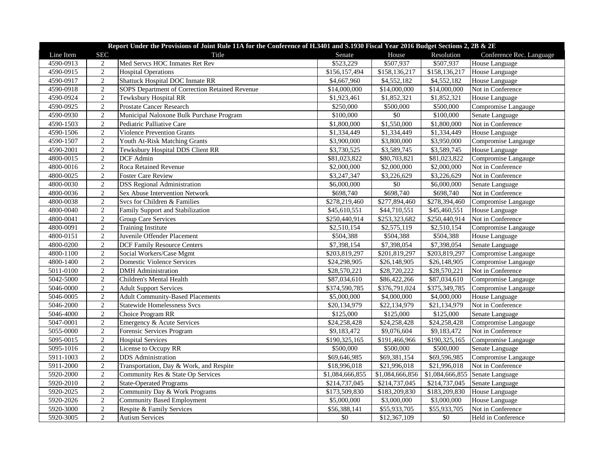|                        | Report Under the Provisions of Joint Rule 11A for the Conference of H.3401 and S.1930 Fiscal Year 2016 Budget Sections 2, 2B & 2E |                                                     |                       |                              |                     |                                         |  |  |
|------------------------|-----------------------------------------------------------------------------------------------------------------------------------|-----------------------------------------------------|-----------------------|------------------------------|---------------------|-----------------------------------------|--|--|
| Line Item              | <b>SEC</b>                                                                                                                        | Title                                               | Senate                | House                        | Resolution          | Conference Rec. Language                |  |  |
| 4590-0913              | 2                                                                                                                                 | Med Servcs HOC Inmates Ret Rev                      | \$523,229             | \$507,937                    | \$507,937           | House Language                          |  |  |
| 4590-0915              | $\overline{2}$                                                                                                                    | Hospital Operations                                 | \$156,157,494         | \$158,136,217                | \$158,136,217       | House Language                          |  |  |
| 4590-0917              | $\overline{2}$                                                                                                                    | <b>Shattuck Hospital DOC Inmate RR</b>              | \$4,667,960           | \$4,552,182                  | \$4,552,182         | House Language                          |  |  |
| 4590-0918              | $\overline{2}$                                                                                                                    | SOPS Department of Correction Retained Revenue      | \$14,000,000          | \$14,000,000                 | \$14,000,000        | Not in Conference                       |  |  |
| 4590-0924              | $\overline{2}$                                                                                                                    | Tewksbury Hospital RR                               | \$1,923,461           | \$1,852,321                  | \$1,852,321         | House Language                          |  |  |
| 4590-0925              | 2                                                                                                                                 | Prostate Cancer Research                            | \$250,000             | \$500,000                    | \$500,000           | Compromise Langauge                     |  |  |
| 4590-0930              | $\overline{2}$                                                                                                                    | Municipal Naloxone Bulk Purchase Program            | \$100,000             | $\overline{50}$              | \$100,000           | Senate Language                         |  |  |
| 4590-1503              | $\overline{2}$                                                                                                                    | Pediatric Palliative Care                           | \$1,800,000           | \$1,550,000                  | \$1,800,000         | Not in Conference                       |  |  |
| 4590-1506              | $\overline{2}$                                                                                                                    | <b>Violence Prevention Grants</b>                   | \$1,334,449           | \$1,334,449                  | \$1,334,449         | House Language                          |  |  |
| 4590-1507              | $\overline{2}$                                                                                                                    | Youth At-Risk Matching Grants                       | \$3,900,000           | \$3,800,000                  | \$3,950,000         | Compromise Langauge                     |  |  |
| 4590-2001              | $\overline{2}$                                                                                                                    | Tewksbury Hospital DDS Client RR                    | \$3,730,525           | \$3,589,745                  | \$3,589,745         | House Language                          |  |  |
| 4800-0015              | $\overline{2}$                                                                                                                    | DCF Admin                                           | \$81,023,822          | \$80,703,821                 | \$81,023,822        | Compromise Langauge                     |  |  |
| 4800-0016              | $\overline{2}$                                                                                                                    | Roca Retained Revenue                               | \$2,000,000           | \$2,000,000                  | \$2,000,000         | Not in Conference                       |  |  |
| 4800-0025              | $\overline{2}$                                                                                                                    | <b>Foster Care Review</b>                           | \$3,247,347           | \$3,226,629                  | \$3,226,629         | Not in Conference                       |  |  |
| 4800-0030              | $\overline{2}$                                                                                                                    | <b>DSS Regional Administration</b>                  | \$6,000,000           | \$0                          | \$6,000,000         | Senate Language                         |  |  |
| 4800-0036              | $\overline{2}$                                                                                                                    | Sex Abuse Intervention Network                      | \$698,740             | \$698,740                    | \$698,740           | Not in Conference                       |  |  |
| 4800-0038              | $\sqrt{2}$                                                                                                                        | Svcs for Children & Families                        | \$278,219,460         | \$277,894,460                | \$278,394,460       | Compromise Langauge                     |  |  |
| 4800-0040              | $\overline{2}$                                                                                                                    | Family Support and Stabilization                    | \$45,610,551          | \$44,710,551                 | \$45,460,551        | House Language                          |  |  |
| 4800-0041              | $\overline{2}$                                                                                                                    | <b>Group Care Services</b>                          | \$250,440,914         | \$253,323,682                | \$250,440,914       | Not in Conference                       |  |  |
| 4800-0091              | $\overline{2}$                                                                                                                    | <b>Training Institute</b>                           | \$2,510,154           | \$2,575,119                  | \$2,510,154         | Compromise Langauge                     |  |  |
| 4800-0151              | $\overline{2}$                                                                                                                    | Juvenile Offender Placement                         | \$504,388             | \$504,388                    | \$504,388           | House Language                          |  |  |
| 4800-0200              | $\overline{2}$                                                                                                                    | <b>DCF Family Resource Centers</b>                  | \$7,398,154           | \$7,398,054                  | \$7,398,054         | Senate Language                         |  |  |
| 4800-1100              | $\overline{2}$                                                                                                                    | Social Workers/Case Mgmt                            | \$203,819,297         | \$201,819,297                | \$203,819,297       | Compromise Langauge                     |  |  |
| 4800-1400              | $\sqrt{2}$                                                                                                                        | <b>Domestic Violence Services</b>                   | \$24,298,905          | \$26,148,905                 | \$26,148,905        | Compromise Langauge                     |  |  |
| 5011-0100              | $\overline{2}$                                                                                                                    | <b>DMH</b> Administration                           | \$28,570,221          | \$28,720,222                 | \$28,570,221        | Not in Conference                       |  |  |
| 5042-5000              | $\overline{2}$                                                                                                                    | Children's Mental Health                            | \$87,034,610          | \$86,422,266                 | \$87,034,610        | Compromise Langauge                     |  |  |
| 5046-0000              | $\sqrt{2}$                                                                                                                        | <b>Adult Support Services</b>                       | \$374,590,785         | \$376,791,024                | \$375,349,785       | Compromise Langauge                     |  |  |
| 5046-0005              | 2                                                                                                                                 | <b>Adult Community-Based Placements</b>             | \$5,000,000           | \$4,000,000                  | \$4,000,000         | House Language                          |  |  |
| 5046-2000              | $\overline{2}$                                                                                                                    | <b>Statewide Homelessness Svcs</b>                  | \$20,134,979          | \$22,134,979                 | \$21,134,979        | Not in Conference                       |  |  |
| 5046-4000              | $\overline{2}$                                                                                                                    | Choice Program RR                                   | \$125,000             | \$125,000                    | \$125,000           | Senate Language                         |  |  |
| 5047-0001              | $\overline{2}$                                                                                                                    | Emergency & Acute Services                          | \$24,258,428          | \$24,258,428                 | \$24,258,428        | Compromise Langauge                     |  |  |
| 5055-0000              | $\overline{2}$                                                                                                                    | Forensic Services Program                           | \$9,183,472           | \$9,076,604                  | \$9,183,472         | Not in Conference                       |  |  |
| 5095-0015              | $\overline{2}$                                                                                                                    | <b>Hospital Services</b>                            | \$190,325,165         | \$191,466,966                | \$190,325,165       | Compromise Langauge                     |  |  |
| 5095-1016              | $\overline{2}$                                                                                                                    | License to Occupy RR                                | \$500,000             | \$500,000                    | \$500,000           | Senate Language                         |  |  |
| 5911-1003              | $\overline{2}$                                                                                                                    | <b>DDS</b> Administration                           | \$69,646,985          | \$69,381,154                 | \$69,596,985        | Compromise Langauge                     |  |  |
| 5911-2000              | $\overline{2}$                                                                                                                    | Transportation, Day & Work, and Respite             | \$18,996,018          | \$21,996,018                 | \$21,996,018        | Not in Conference                       |  |  |
| 5920-2000              | $\overline{2}$                                                                                                                    | Community Res & State Op Services                   | \$1,084,666,855       | \$1,084,666,856              | \$1,084,666,855     | Senate Language                         |  |  |
| 5920-2010              | $\mathbf{2}$                                                                                                                      | <b>State-Operated Programs</b>                      | \$214,737,045         | \$214,737,045                | \$214,737,045       | Senate Language                         |  |  |
| 5920-2025              | $\overline{2}$                                                                                                                    | Community Day & Work Programs                       | \$173,509,830         | \$183,209,830                | \$183,209,830       | House Language                          |  |  |
| 5920-2026              | $\overline{2}$                                                                                                                    | <b>Community Based Employment</b>                   | \$5,000,000           | \$3,000,000                  | \$3,000,000         | House Language                          |  |  |
|                        |                                                                                                                                   |                                                     |                       |                              |                     |                                         |  |  |
|                        |                                                                                                                                   |                                                     |                       |                              |                     |                                         |  |  |
| 5920-3000<br>5920-3005 | $\mathbf{2}$<br>$\overline{2}$                                                                                                    | Respite & Family Services<br><b>Autism Services</b> | \$56,388,141<br>$\$0$ | \$55,933,705<br>\$12,367,109 | \$55,933,705<br>\$0 | Not in Conference<br>Held in Conference |  |  |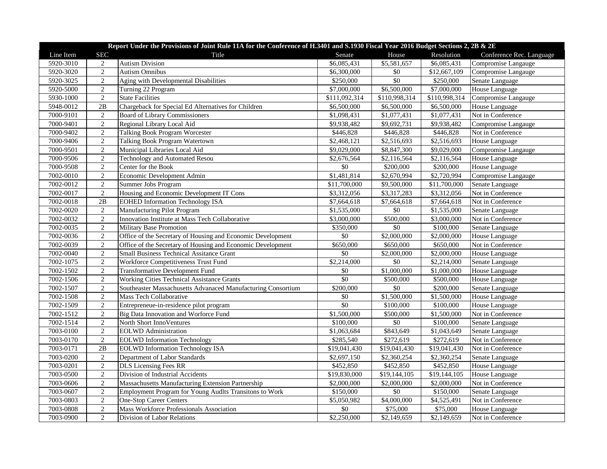| Report Under the Provisions of Joint Rule 11A for the Conference of H.3401 and S.1930 Fiscal Year 2016 Budget Sections 2, 2B & 2E |                |                                                              |                         |                 |               |                          |  |
|-----------------------------------------------------------------------------------------------------------------------------------|----------------|--------------------------------------------------------------|-------------------------|-----------------|---------------|--------------------------|--|
| Line Item                                                                                                                         | <b>SEC</b>     | Title                                                        | Senate                  | House           | Resolution    | Conference Rec. Language |  |
| 5920-3010                                                                                                                         | 2              | <b>Autism Division</b>                                       | \$6,085,431             | \$5,581,657     | \$6,085,431   | Compromise Langauge      |  |
| 5920-3020                                                                                                                         | $\sqrt{2}$     | <b>Autism Omnibus</b>                                        | \$6,300,000             | $\overline{50}$ | \$12,667,109  | Compromise Langauge      |  |
| 5920-3025                                                                                                                         | 2              | Aging with Developmental Disabilities                        | \$250,000               | \$0             | \$250,000     | Senate Language          |  |
| 5920-5000                                                                                                                         | $\overline{2}$ | Turning 22 Program                                           | \$7,000,000             | \$6,500,000     | \$7,000,000   | House Language           |  |
| 5930-1000                                                                                                                         | $\overline{2}$ | <b>State Facilities</b>                                      | \$111,092,314           | \$110,998,314   | \$110,998,314 | Compromise Langauge      |  |
| 5948-0012                                                                                                                         | $2\mathrm{B}$  | Chargeback for Special Ed Alternatives for Children          | \$6,500,000             | \$6,500,000     | \$6,500,000   | House Language           |  |
| 7000-9101                                                                                                                         | 2              | <b>Board of Library Commissioners</b>                        | \$1,098,431             | \$1,077,431     | \$1,077,431   | Not in Conference        |  |
| 7000-9401                                                                                                                         | 2              | Regional Library Local Aid                                   | \$9,938,482             | \$9,692,731     | \$9,938,482   | Compromise Langauge      |  |
| 7000-9402                                                                                                                         | $\overline{2}$ | Talking Book Program Worcester                               | \$446,828               | \$446,828       | \$446,828     | Not in Conference        |  |
| 7000-9406                                                                                                                         | $\overline{2}$ | Talking Book Program Watertown                               | \$2,468,121             | \$2,516,693     | \$2,516,693   | House Language           |  |
| 7000-9501                                                                                                                         | $\overline{2}$ | Municipal Libraries Local Aid                                | \$9,029,000             | \$8,847,300     | \$9,029,000   | Compromise Langauge      |  |
| 7000-9506                                                                                                                         | $\overline{2}$ | Technology and Automated Resou                               | \$2,676,564             | \$2,116,564     | \$2,116,564   | House Language           |  |
| 7000-9508                                                                                                                         | 2              | Center for the Book                                          | \$0                     | \$200,000       | \$200,000     | House Language           |  |
| 7002-0010                                                                                                                         | $\sqrt{2}$     | Economic Development Admin                                   | \$1,481,814             | \$2,670,994     | \$2,720,994   | Compromise Langauge      |  |
| 7002-0012                                                                                                                         | $\overline{2}$ | Summer Jobs Program                                          | \$11,700,000            | \$9,500,000     | \$11,700,000  | Senate Language          |  |
| 7002-0017                                                                                                                         | 2              | Housing and Economic Development IT Cons                     | \$3,312,056             | \$3,317,283     | \$3,312,056   | Not in Conference        |  |
| 7002-0018                                                                                                                         | 2B             | <b>EOHED Information Technology ISA</b>                      | \$7,664,618             | \$7,664,618     | \$7,664,618   | Not in Conference        |  |
| 7002-0020                                                                                                                         | 2              | Manufacturing Pilot Program                                  | \$1,535,000             | \$0             | \$1,535,000   | Senate Language          |  |
| 7002-0032                                                                                                                         | $\overline{2}$ | Innovation Institute at Mass Tech Collaborative              | \$3,000,000             | \$500,000       | \$3,000,000   | Not in Conference        |  |
| 7002-0035                                                                                                                         | $\overline{2}$ | Military Base Promotion                                      | \$350,000               | \$0             | \$100,000     | Senate Language          |  |
| 7002-0036                                                                                                                         | $\overline{2}$ | Office of the Secretary of Housing and Economic Development  | \$0                     | \$2,000,000     | \$2,000,000   | House Language           |  |
| 7002-0039                                                                                                                         | $\overline{2}$ | Office of the Secretary of Housing and Economic Development  | \$650,000               | \$650,000       | \$650,000     | Not in Conference        |  |
| 7002-0040                                                                                                                         | 2              | Small Business Technical Assitance Grant                     | \$0                     | \$2,000,000     | \$2,000,000   | House Language           |  |
| 7002-1075                                                                                                                         | 2              | Workforce Competitiveness Trust Fund                         | \$2,214,000             | \$0             | \$2,214,000   | Senate Language          |  |
| 7002-1502                                                                                                                         | 2              | <b>Transformative Development Fund</b>                       | \$0                     | \$1,000,000     | \$1,000,000   | House Language           |  |
| 7002-1506                                                                                                                         | $\overline{2}$ | Working Cities Technical Assistance Grants                   | $\overline{50}$         | \$500,000       | \$500,000     | House Language           |  |
| 7002-1507                                                                                                                         | $\overline{2}$ | Southeaster Massachusetts Advanaced Manufacturing Consortium | \$200,000               | \$0             | \$200,000     | Senate Language          |  |
| 7002-1508                                                                                                                         | 2              | Mass Tech Collaborative                                      | \$0                     | \$1,500,000     | \$1,500,000   | House Language           |  |
| 7002-1509                                                                                                                         | $\sqrt{2}$     | Entrepreneue-in-residence pilot program                      | $\overline{50}$         | \$100,000       | \$100,000     | House Language           |  |
| 7002-1512                                                                                                                         | $\sqrt{2}$     | Big Data Innovation and Worforce Fund                        | $\overline{$}1,500,000$ | \$500,000       | \$1,500,000   | Not in Conference        |  |
| 7002-1514                                                                                                                         | $\overline{2}$ | North Short InnoVentures                                     | \$100,000               | $\sqrt{6}$      | \$100,000     | Senate Language          |  |
| 7003-0100                                                                                                                         | $\overline{2}$ | <b>EOLWD</b> Administration                                  | \$1,063,684             | \$843,649       | \$1,043,649   | Senate Language          |  |
| 7003-0170                                                                                                                         | $\overline{2}$ | <b>EOLWD</b> Information Technology                          | \$285,540               | \$272,619       | \$272,619     | Not in Conference        |  |
| 7003-0171                                                                                                                         | $2\mathrm{B}$  | <b>EOLWD</b> Information Technology ISA                      | \$19,041,430            | \$19,041,430    | \$19,041,430  | Not in Conference        |  |
| 7003-0200                                                                                                                         | $\overline{2}$ | Department of Labor Standards                                | \$2,697,150             | \$2,360,254     | \$2,360,254   | Senate Language          |  |
| 7003-0201                                                                                                                         | 2              | <b>DLS</b> Licensing Fees RR                                 | \$452,850               | \$452,850       | \$452,850     | House Language           |  |
| 7003-0500                                                                                                                         | $\sqrt{2}$     | Division of Industrial Accidents                             | \$19,830,000            | \$19,144,105    | \$19,144,105  | House Language           |  |
| 7003-0606                                                                                                                         | 2              | Massachusetts Manufacturing Extension Partnership            | \$2,000,000             | \$2,000,000     | \$2,000,000   | Not in Conference        |  |
| 7003-0607                                                                                                                         | $\overline{2}$ | Employment Program for Young Audlts Transitons to Work       | \$150,000               | \$0             | \$150,000     | Senate Language          |  |
| 7003-0803                                                                                                                         | $\overline{2}$ | <b>One-Stop Career Centers</b>                               | \$5,050,982             | \$4,000,000     | \$4,525,491   | Not in Conference        |  |
| 7003-0808                                                                                                                         | $\sqrt{2}$     | Mass Workforce Professionals Association                     | \$0                     | \$75,000        | \$75,000      | House Language           |  |
| 7003-0900                                                                                                                         | $\overline{2}$ | Division of Labor Relations                                  | \$2,250,000             | \$2,149,659     | \$2,149,659   | Not in Conference        |  |
|                                                                                                                                   |                |                                                              |                         |                 |               |                          |  |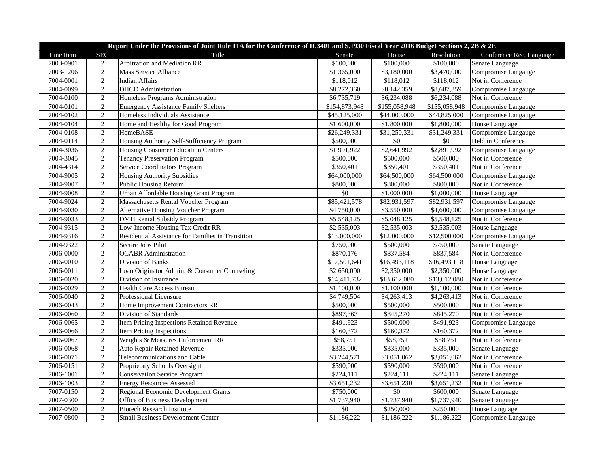| Line Item<br><b>SEC</b><br>Resolution<br>Title<br>Senate<br>House<br>Conference Rec. Language<br>Arbitration and Mediation RR<br>7003-0901<br>\$100,000<br>\$100,000<br>Senate Language<br>2<br>\$100,000<br>$\overline{2}$<br>7003-1206<br><b>Mass Service Alliance</b><br>\$1,365,000<br>\$3,180,000<br>\$3,470,000<br>Compromise Langauge<br>$\overline{2}$<br>7004-0001<br>\$118,012<br>\$118,012<br>Not in Conference<br><b>Indian Affairs</b><br>\$118,012<br>7004-0099<br>$\overline{2}$<br><b>DHCD</b> Administration<br>\$8,272,360<br>\$8,687,359<br>\$8,142,359<br>Compromise Langauge<br>$\overline{2}$<br>7004-0100<br>\$6,735,719<br>\$6,234,088<br>\$6,234,088<br><b>Homeless Programs Administration</b><br>Not in Conference<br>7004-0101<br>$\overline{2}$<br>\$154,873,948<br>\$155,058,948<br>\$155,058,948<br><b>Emergency Assistance Family Shelters</b><br>Compromise Langauge<br>$\sqrt{2}$<br>7004-0102<br>Homeless Individuals Assistance<br>\$45,125,000<br>\$44,000,000<br>\$44,825,000<br>Compromise Langauge<br>$\overline{2}$<br>7004-0104<br>\$1,800,000<br>Home and Healthy for Good Program<br>\$1,600,000<br>\$1,800,000<br>House Language<br>$\sqrt{2}$<br>7004-0108<br>\$31,249,331<br>HomeBASE<br>\$26,249,331<br>\$31,250,331<br>Compromise Langauge<br>$\overline{2}$<br>\$0<br>\$0<br>7004-0114<br>Housing Authority Self-Sufficiency Program<br>\$500,000<br>Held in Conference<br>7004-3036<br>$\overline{2}$<br>Housing Consumer Education Centers<br>\$1,991,922<br>\$2,641,992<br>\$2,891,992<br>Compromise Langauge<br>$\overline{2}$<br>7004-3045<br>\$500,000<br>\$500,000<br>\$500,000<br><b>Tenancy Preservation Program</b><br>Not in Conference<br>$\overline{2}$<br>7004-4314<br>\$350,401<br>Service Coordinators Program<br>\$350,401<br>\$350,401<br>Not in Conference |
|---------------------------------------------------------------------------------------------------------------------------------------------------------------------------------------------------------------------------------------------------------------------------------------------------------------------------------------------------------------------------------------------------------------------------------------------------------------------------------------------------------------------------------------------------------------------------------------------------------------------------------------------------------------------------------------------------------------------------------------------------------------------------------------------------------------------------------------------------------------------------------------------------------------------------------------------------------------------------------------------------------------------------------------------------------------------------------------------------------------------------------------------------------------------------------------------------------------------------------------------------------------------------------------------------------------------------------------------------------------------------------------------------------------------------------------------------------------------------------------------------------------------------------------------------------------------------------------------------------------------------------------------------------------------------------------------------------------------------------------------------------------------------------------------------------------------------------|
|                                                                                                                                                                                                                                                                                                                                                                                                                                                                                                                                                                                                                                                                                                                                                                                                                                                                                                                                                                                                                                                                                                                                                                                                                                                                                                                                                                                                                                                                                                                                                                                                                                                                                                                                                                                                                                 |
|                                                                                                                                                                                                                                                                                                                                                                                                                                                                                                                                                                                                                                                                                                                                                                                                                                                                                                                                                                                                                                                                                                                                                                                                                                                                                                                                                                                                                                                                                                                                                                                                                                                                                                                                                                                                                                 |
|                                                                                                                                                                                                                                                                                                                                                                                                                                                                                                                                                                                                                                                                                                                                                                                                                                                                                                                                                                                                                                                                                                                                                                                                                                                                                                                                                                                                                                                                                                                                                                                                                                                                                                                                                                                                                                 |
|                                                                                                                                                                                                                                                                                                                                                                                                                                                                                                                                                                                                                                                                                                                                                                                                                                                                                                                                                                                                                                                                                                                                                                                                                                                                                                                                                                                                                                                                                                                                                                                                                                                                                                                                                                                                                                 |
|                                                                                                                                                                                                                                                                                                                                                                                                                                                                                                                                                                                                                                                                                                                                                                                                                                                                                                                                                                                                                                                                                                                                                                                                                                                                                                                                                                                                                                                                                                                                                                                                                                                                                                                                                                                                                                 |
|                                                                                                                                                                                                                                                                                                                                                                                                                                                                                                                                                                                                                                                                                                                                                                                                                                                                                                                                                                                                                                                                                                                                                                                                                                                                                                                                                                                                                                                                                                                                                                                                                                                                                                                                                                                                                                 |
|                                                                                                                                                                                                                                                                                                                                                                                                                                                                                                                                                                                                                                                                                                                                                                                                                                                                                                                                                                                                                                                                                                                                                                                                                                                                                                                                                                                                                                                                                                                                                                                                                                                                                                                                                                                                                                 |
|                                                                                                                                                                                                                                                                                                                                                                                                                                                                                                                                                                                                                                                                                                                                                                                                                                                                                                                                                                                                                                                                                                                                                                                                                                                                                                                                                                                                                                                                                                                                                                                                                                                                                                                                                                                                                                 |
|                                                                                                                                                                                                                                                                                                                                                                                                                                                                                                                                                                                                                                                                                                                                                                                                                                                                                                                                                                                                                                                                                                                                                                                                                                                                                                                                                                                                                                                                                                                                                                                                                                                                                                                                                                                                                                 |
|                                                                                                                                                                                                                                                                                                                                                                                                                                                                                                                                                                                                                                                                                                                                                                                                                                                                                                                                                                                                                                                                                                                                                                                                                                                                                                                                                                                                                                                                                                                                                                                                                                                                                                                                                                                                                                 |
|                                                                                                                                                                                                                                                                                                                                                                                                                                                                                                                                                                                                                                                                                                                                                                                                                                                                                                                                                                                                                                                                                                                                                                                                                                                                                                                                                                                                                                                                                                                                                                                                                                                                                                                                                                                                                                 |
|                                                                                                                                                                                                                                                                                                                                                                                                                                                                                                                                                                                                                                                                                                                                                                                                                                                                                                                                                                                                                                                                                                                                                                                                                                                                                                                                                                                                                                                                                                                                                                                                                                                                                                                                                                                                                                 |
|                                                                                                                                                                                                                                                                                                                                                                                                                                                                                                                                                                                                                                                                                                                                                                                                                                                                                                                                                                                                                                                                                                                                                                                                                                                                                                                                                                                                                                                                                                                                                                                                                                                                                                                                                                                                                                 |
|                                                                                                                                                                                                                                                                                                                                                                                                                                                                                                                                                                                                                                                                                                                                                                                                                                                                                                                                                                                                                                                                                                                                                                                                                                                                                                                                                                                                                                                                                                                                                                                                                                                                                                                                                                                                                                 |
| 7004-9005<br>2<br><b>Housing Authority Subsidies</b><br>\$64,000,000<br>\$64,500,000<br>\$64,500,000<br>Compromise Langauge                                                                                                                                                                                                                                                                                                                                                                                                                                                                                                                                                                                                                                                                                                                                                                                                                                                                                                                                                                                                                                                                                                                                                                                                                                                                                                                                                                                                                                                                                                                                                                                                                                                                                                     |
| $\overline{2}$<br>7004-9007<br><b>Public Housing Reform</b><br>\$800,000<br>\$800,000<br>\$800,000<br>Not in Conference                                                                                                                                                                                                                                                                                                                                                                                                                                                                                                                                                                                                                                                                                                                                                                                                                                                                                                                                                                                                                                                                                                                                                                                                                                                                                                                                                                                                                                                                                                                                                                                                                                                                                                         |
| $\overline{2}$<br>7004-9008<br>Urban Affordable Housing Grant Program<br>\$0<br>\$1,000,000<br>\$1,000,000<br>House Language                                                                                                                                                                                                                                                                                                                                                                                                                                                                                                                                                                                                                                                                                                                                                                                                                                                                                                                                                                                                                                                                                                                                                                                                                                                                                                                                                                                                                                                                                                                                                                                                                                                                                                    |
| 7004-9024<br>$\overline{2}$<br>\$85,421,578<br>\$82,931,597<br>\$82,931,597<br>Massachusetts Rental Voucher Program<br>Compromise Langauge                                                                                                                                                                                                                                                                                                                                                                                                                                                                                                                                                                                                                                                                                                                                                                                                                                                                                                                                                                                                                                                                                                                                                                                                                                                                                                                                                                                                                                                                                                                                                                                                                                                                                      |
| $\overline{2}$<br>7004-9030<br>\$4,750,000<br><b>Alternative Housing Voucher Program</b><br>\$3,550,000<br>\$4,600,000<br>Compromise Langauge                                                                                                                                                                                                                                                                                                                                                                                                                                                                                                                                                                                                                                                                                                                                                                                                                                                                                                                                                                                                                                                                                                                                                                                                                                                                                                                                                                                                                                                                                                                                                                                                                                                                                   |
| $\sqrt{2}$<br>7004-9033<br><b>DMH Rental Subsidy Program</b><br>\$5,548,125<br>\$5,048,125<br>\$5,548,125<br>Not in Conference                                                                                                                                                                                                                                                                                                                                                                                                                                                                                                                                                                                                                                                                                                                                                                                                                                                                                                                                                                                                                                                                                                                                                                                                                                                                                                                                                                                                                                                                                                                                                                                                                                                                                                  |
| $\sqrt{2}$<br>\$2,535,003<br>7004-9315<br>Low-Income Housing Tax Credit RR<br>\$2,535,003<br>\$2,535,003<br>House Language                                                                                                                                                                                                                                                                                                                                                                                                                                                                                                                                                                                                                                                                                                                                                                                                                                                                                                                                                                                                                                                                                                                                                                                                                                                                                                                                                                                                                                                                                                                                                                                                                                                                                                      |
| $\overline{2}$<br>7004-9316<br>Residential Assistance for Families in Transition<br>\$13,000,000<br>\$12,000,000<br>\$12,500,000<br>Compromise Langauge                                                                                                                                                                                                                                                                                                                                                                                                                                                                                                                                                                                                                                                                                                                                                                                                                                                                                                                                                                                                                                                                                                                                                                                                                                                                                                                                                                                                                                                                                                                                                                                                                                                                         |
| 7004-9322<br>$\overline{2}$<br>Secure Jobs Pilot<br>\$750,000<br>\$500,000<br>\$750,000<br>Senate Language                                                                                                                                                                                                                                                                                                                                                                                                                                                                                                                                                                                                                                                                                                                                                                                                                                                                                                                                                                                                                                                                                                                                                                                                                                                                                                                                                                                                                                                                                                                                                                                                                                                                                                                      |
| $\overline{2}$<br>\$837,584<br>7006-0000<br><b>OCABR</b> Administration<br>\$870,176<br>\$837,584<br>Not in Conference                                                                                                                                                                                                                                                                                                                                                                                                                                                                                                                                                                                                                                                                                                                                                                                                                                                                                                                                                                                                                                                                                                                                                                                                                                                                                                                                                                                                                                                                                                                                                                                                                                                                                                          |
| 7006-0010<br>$\overline{c}$<br>Division of Banks<br>\$17,501,641<br>\$16,493,118<br>\$16,493,118<br>House Language                                                                                                                                                                                                                                                                                                                                                                                                                                                                                                                                                                                                                                                                                                                                                                                                                                                                                                                                                                                                                                                                                                                                                                                                                                                                                                                                                                                                                                                                                                                                                                                                                                                                                                              |
| $\overline{2}$<br>7006-0011<br>\$2,650,000<br>\$2,350,000<br>\$2,350,000<br>House Language<br>Loan Originator Admin. & Consumer Counseling                                                                                                                                                                                                                                                                                                                                                                                                                                                                                                                                                                                                                                                                                                                                                                                                                                                                                                                                                                                                                                                                                                                                                                                                                                                                                                                                                                                                                                                                                                                                                                                                                                                                                      |
| $\overline{2}$<br>\$13,612,080<br>7006-0020<br>\$14,411,732<br>\$13,612,080<br>Division of Insurance<br>Not in Conference                                                                                                                                                                                                                                                                                                                                                                                                                                                                                                                                                                                                                                                                                                                                                                                                                                                                                                                                                                                                                                                                                                                                                                                                                                                                                                                                                                                                                                                                                                                                                                                                                                                                                                       |
| $\overline{2}$<br>7006-0029<br><b>Health Care Access Bureau</b><br>\$1,100,000<br>\$1,100,000<br>\$1,100,000<br>Not in Conference                                                                                                                                                                                                                                                                                                                                                                                                                                                                                                                                                                                                                                                                                                                                                                                                                                                                                                                                                                                                                                                                                                                                                                                                                                                                                                                                                                                                                                                                                                                                                                                                                                                                                               |
| $\overline{2}$<br>7006-0040<br>\$4,749,504<br>\$4,263,413<br>Professional Licensure<br>\$4,263,413<br>Not in Conference                                                                                                                                                                                                                                                                                                                                                                                                                                                                                                                                                                                                                                                                                                                                                                                                                                                                                                                                                                                                                                                                                                                                                                                                                                                                                                                                                                                                                                                                                                                                                                                                                                                                                                         |
| $\overline{2}$<br>7006-0043<br>\$500,000<br>\$500,000<br>Home Improvement Contractors RR<br>\$500,000<br>Not in Conference                                                                                                                                                                                                                                                                                                                                                                                                                                                                                                                                                                                                                                                                                                                                                                                                                                                                                                                                                                                                                                                                                                                                                                                                                                                                                                                                                                                                                                                                                                                                                                                                                                                                                                      |
| $\sqrt{2}$<br>7006-0060<br>Division of Standards<br>\$897,363<br>\$845,270<br>\$845,270<br>Not in Conference                                                                                                                                                                                                                                                                                                                                                                                                                                                                                                                                                                                                                                                                                                                                                                                                                                                                                                                                                                                                                                                                                                                                                                                                                                                                                                                                                                                                                                                                                                                                                                                                                                                                                                                    |
| $\sqrt{2}$<br>7006-0065<br>Item Pricing Inspections Retained Revenue<br>\$491,923<br>\$500,000<br>\$491,923<br>Compromise Langauge                                                                                                                                                                                                                                                                                                                                                                                                                                                                                                                                                                                                                                                                                                                                                                                                                                                                                                                                                                                                                                                                                                                                                                                                                                                                                                                                                                                                                                                                                                                                                                                                                                                                                              |
| $\overline{2}$<br>7006-0066<br>Item Pricing Inspections<br>\$160,372<br>\$160,372<br>Not in Conference<br>\$160,372                                                                                                                                                                                                                                                                                                                                                                                                                                                                                                                                                                                                                                                                                                                                                                                                                                                                                                                                                                                                                                                                                                                                                                                                                                                                                                                                                                                                                                                                                                                                                                                                                                                                                                             |
| 7006-0067<br>$\overline{2}$<br>\$58,751<br>\$58,751<br>Weights & Measures Enforcement RR<br>\$58,751<br>Not in Conference                                                                                                                                                                                                                                                                                                                                                                                                                                                                                                                                                                                                                                                                                                                                                                                                                                                                                                                                                                                                                                                                                                                                                                                                                                                                                                                                                                                                                                                                                                                                                                                                                                                                                                       |
| 7006-0068<br>$\overline{2}$<br>\$335,000<br>\$335,000<br><b>Auto Repair Retained Revenue</b><br>\$335,000<br>Senate Language                                                                                                                                                                                                                                                                                                                                                                                                                                                                                                                                                                                                                                                                                                                                                                                                                                                                                                                                                                                                                                                                                                                                                                                                                                                                                                                                                                                                                                                                                                                                                                                                                                                                                                    |
| $\overline{2}$<br>7006-0071<br>Telecommunications and Cable<br>\$3,051,062<br>Not in Conference<br>\$3,244,571<br>\$3,051,062                                                                                                                                                                                                                                                                                                                                                                                                                                                                                                                                                                                                                                                                                                                                                                                                                                                                                                                                                                                                                                                                                                                                                                                                                                                                                                                                                                                                                                                                                                                                                                                                                                                                                                   |
| $\sqrt{2}$<br>7006-0151<br>Proprietary Schools Oversight<br>\$590,000<br>\$590,000<br>\$590,000<br>Not in Conference                                                                                                                                                                                                                                                                                                                                                                                                                                                                                                                                                                                                                                                                                                                                                                                                                                                                                                                                                                                                                                                                                                                                                                                                                                                                                                                                                                                                                                                                                                                                                                                                                                                                                                            |
| $\sqrt{2}$<br>\$224,111<br>7006-1001<br><b>Conservation Service Program</b><br>\$224,111<br>\$224,111<br>Senate Language                                                                                                                                                                                                                                                                                                                                                                                                                                                                                                                                                                                                                                                                                                                                                                                                                                                                                                                                                                                                                                                                                                                                                                                                                                                                                                                                                                                                                                                                                                                                                                                                                                                                                                        |
| $\overline{2}$<br>7006-1003<br><b>Energy Resources Assessed</b><br>\$3,651,232<br>\$3,651,230<br>\$3,651,232<br>Not in Conference                                                                                                                                                                                                                                                                                                                                                                                                                                                                                                                                                                                                                                                                                                                                                                                                                                                                                                                                                                                                                                                                                                                                                                                                                                                                                                                                                                                                                                                                                                                                                                                                                                                                                               |
| 7007-0150<br>$\overline{2}$<br>\$750,000<br>$\overline{50}$<br>\$600,000<br>Regional Economic Development Grants<br>Senate Language                                                                                                                                                                                                                                                                                                                                                                                                                                                                                                                                                                                                                                                                                                                                                                                                                                                                                                                                                                                                                                                                                                                                                                                                                                                                                                                                                                                                                                                                                                                                                                                                                                                                                             |
| $\overline{2}$<br>7007-0300<br>Office of Business Development<br>\$1,737,940<br>\$1,737,940<br>\$1,737,940<br>Senate Language                                                                                                                                                                                                                                                                                                                                                                                                                                                                                                                                                                                                                                                                                                                                                                                                                                                                                                                                                                                                                                                                                                                                                                                                                                                                                                                                                                                                                                                                                                                                                                                                                                                                                                   |
| $\sqrt{2}$<br><b>Biotech Research Institute</b><br>$\$0$<br>\$250,000<br>7007-0500<br>\$250,000<br>House Language                                                                                                                                                                                                                                                                                                                                                                                                                                                                                                                                                                                                                                                                                                                                                                                                                                                                                                                                                                                                                                                                                                                                                                                                                                                                                                                                                                                                                                                                                                                                                                                                                                                                                                               |
| $\overline{2}$<br>7007-0800<br>\$1,186,222<br>\$1,186,222<br><b>Small Business Development Center</b><br>\$1,186,222<br>Compromise Langauge                                                                                                                                                                                                                                                                                                                                                                                                                                                                                                                                                                                                                                                                                                                                                                                                                                                                                                                                                                                                                                                                                                                                                                                                                                                                                                                                                                                                                                                                                                                                                                                                                                                                                     |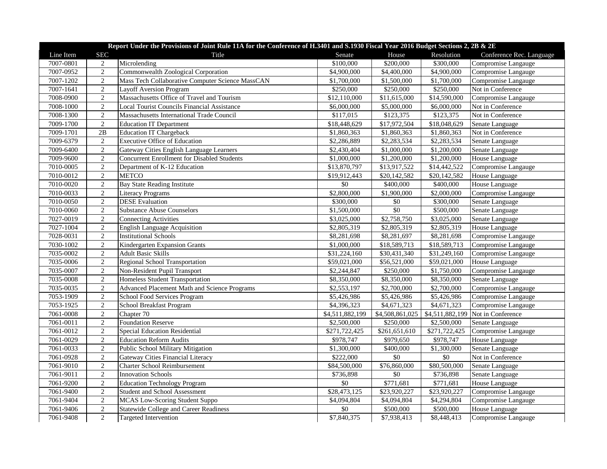| Report Under the Provisions of Joint Rule 11A for the Conference of H.3401 and S.1930 Fiscal Year 2016 Budget Sections 2, 2B & 2E |                 |                                                    |                 |                 |               |                                   |  |  |
|-----------------------------------------------------------------------------------------------------------------------------------|-----------------|----------------------------------------------------|-----------------|-----------------|---------------|-----------------------------------|--|--|
| Line Item                                                                                                                         | <b>SEC</b>      | Title                                              | Senate          | House           | Resolution    | Conference Rec. Language          |  |  |
| 7007-0801                                                                                                                         | $\overline{c}$  | Microlending                                       | \$100,000       | \$200,000       | \$300,000     | Compromise Langauge               |  |  |
| 7007-0952                                                                                                                         | $\overline{2}$  | Commonwealth Zoological Corporation                | \$4,900,000     | \$4,400,000     | \$4,900,000   | Compromise Langauge               |  |  |
| 7007-1202                                                                                                                         | $\overline{2}$  | Mass Tech Collaborative Computer Science MassCAN   | \$1,700,000     | \$1,500,000     | \$1,700,000   | Compromise Langauge               |  |  |
| 7007-1641                                                                                                                         | $\sqrt{2}$      | <b>Layoff Aversion Program</b>                     | \$250,000       | \$250,000       | \$250,000     | Not in Conference                 |  |  |
| 7008-0900                                                                                                                         | $\overline{2}$  | Massachusetts Office of Travel and Tourism         | \$12,110,000    | \$11,615,000    | \$14,590,000  | Compromise Langauge               |  |  |
| 7008-1000                                                                                                                         | $\overline{2}$  | <b>Local Tourist Councils Financial Assistance</b> | \$6,000,000     | \$5,000,000     | \$6,000,000   | Not in Conference                 |  |  |
| 7008-1300                                                                                                                         | $\overline{2}$  | Massachusetts International Trade Council          | \$117,015       | \$123,375       | \$123,375     | Not in Conference                 |  |  |
| 7009-1700                                                                                                                         | $\overline{2}$  | <b>Education IT Department</b>                     | \$18,448,629    | \$17,972,504    | \$18,048,629  | Senate Language                   |  |  |
| 7009-1701                                                                                                                         | $\overline{2B}$ | Education IT Chargeback                            | \$1,860,363     | \$1,860,363     | \$1,860,363   | Not in Conference                 |  |  |
| 7009-6379                                                                                                                         | $\mathbf{2}$    | <b>Executive Office of Education</b>               | \$2,286,889     | \$2,283,534     | \$2,283,534   | Senate Language                   |  |  |
| 7009-6400                                                                                                                         | $\sqrt{2}$      | Gateway Cities English Language Learners           | \$2,430,404     | \$1,000,000     | \$1,200,000   | Senate Language                   |  |  |
| 7009-9600                                                                                                                         | $\sqrt{2}$      | <b>Concurrent Enrollment for Disabled Students</b> | \$1,000,000     | \$1,200,000     | \$1,200,000   | House Language                    |  |  |
| 7010-0005                                                                                                                         | $\overline{2}$  | Department of K-12 Education                       | \$13,870,797    | \$13,917,522    | \$14,442,522  | Compromise Langauge               |  |  |
| 7010-0012                                                                                                                         | $\sqrt{2}$      | <b>METCO</b>                                       | \$19,912,443    | \$20,142,582    | \$20,142,582  | House Language                    |  |  |
| 7010-0020                                                                                                                         | $\overline{2}$  | <b>Bay State Reading Institute</b>                 | $\$0$           | \$400,000       | \$400,000     | House Language                    |  |  |
| 7010-0033                                                                                                                         | $\overline{2}$  | <b>Literacy Programs</b>                           | \$2,800,000     | \$1,900,000     | \$2,000,000   | Compromise Langauge               |  |  |
| 7010-0050                                                                                                                         | $\sqrt{2}$      | <b>DESE</b> Evaluation                             | \$300,000       | \$0             | \$300,000     | Senate Language                   |  |  |
| 7010-0060                                                                                                                         | $\overline{2}$  | <b>Substance Abuse Counselors</b>                  | \$1,500,000     | $\$0$           | \$500,000     | Senate Language                   |  |  |
| 7027-0019                                                                                                                         | $\overline{2}$  | <b>Connecting Activities</b>                       | \$3,025,000     | \$2,758,750     | \$3,025,000   | Senate Language                   |  |  |
| 7027-1004                                                                                                                         | $\overline{2}$  | <b>English Language Acquisition</b>                | \$2,805,319     | \$2,805,319     | \$2,805,319   | House Language                    |  |  |
| 7028-0031                                                                                                                         | $\mathbf{2}$    | <b>Institutional Schools</b>                       | \$8,281,698     | \$8,281,697     | \$8,281,698   | Compromise Langauge               |  |  |
| 7030-1002                                                                                                                         | $\sqrt{2}$      | Kindergarten Expansion Grants                      | \$1,000,000     | \$18,589,713    | \$18,589,713  | Compromise Langauge               |  |  |
| 7035-0002                                                                                                                         | $\sqrt{2}$      | <b>Adult Basic Skills</b>                          | \$31,224,160    | \$30,431,340    | \$31,249,160  | Compromise Langauge               |  |  |
| 7035-0006                                                                                                                         | $\overline{2}$  | Regional School Transportation                     | \$59,021,000    | \$56,521,000    | \$59,021,000  | House Language                    |  |  |
| 7035-0007                                                                                                                         | $\overline{2}$  | Non-Resident Pupil Transport                       | \$2,244,847     | \$250,000       | \$1,750,000   | Compromise Langauge               |  |  |
| 7035-0008                                                                                                                         | $\overline{2}$  | Homeless Student Transportation                    | \$8,350,000     | \$8,350,000     | \$8,350,000   | Senate Language                   |  |  |
| 7035-0035                                                                                                                         | $\sqrt{2}$      | Advanced Placement Math and Science Programs       | \$2,553,197     | \$2,700,000     | \$2,700,000   | Compromise Langauge               |  |  |
| 7053-1909                                                                                                                         | $\sqrt{2}$      | School Food Services Program                       | \$5,426,986     | \$5,426,986     | \$5,426,986   | Compromise Langauge               |  |  |
| 7053-1925                                                                                                                         | $\overline{2}$  | School Breakfast Program                           | \$4,396,323     | \$4,671,323     | \$4,671,323   | Compromise Langauge               |  |  |
| 7061-0008                                                                                                                         | $\overline{2}$  | Chapter 70                                         | \$4,511,882,199 | \$4,508,861,025 |               | \$4,511,882,199 Not in Conference |  |  |
| 7061-0011                                                                                                                         | $\sqrt{2}$      | <b>Foundation Reserve</b>                          | \$2,500,000     | \$250,000       | \$2,500,000   | Senate Language                   |  |  |
| 7061-0012                                                                                                                         | $\overline{2}$  | <b>Special Education Residential</b>               | \$271,722,425   | \$261,651,610   | \$271,722,425 | Compromise Langauge               |  |  |
| 7061-0029                                                                                                                         | $\sqrt{2}$      | <b>Education Reform Audits</b>                     | \$978,747       | \$979,650       | \$978,747     | House Language                    |  |  |
| 7061-0033                                                                                                                         | $\sqrt{2}$      | Public School Military Mitigation                  | \$1,300,000     | \$400,000       | \$1,300,000   | Senate Language                   |  |  |
| 7061-0928                                                                                                                         | $\overline{2}$  | Gateway Cities Financial Literacy                  | \$222,000       | $\$0$           | $\$0$         | Not in Conference                 |  |  |
| 7061-9010                                                                                                                         | $\overline{2}$  | <b>Charter School Reimbursement</b>                | \$84,500,000    | \$76,860,000    | \$80,500,000  | Senate Language                   |  |  |
| 7061-9011                                                                                                                         | $\overline{2}$  | <b>Innovation Schools</b>                          | \$736,898       | \$0             | \$736,898     | Senate Language                   |  |  |
| 7061-9200                                                                                                                         | $\sqrt{2}$      | <b>Education Technology Program</b>                | $\$0$           | \$771,681       | \$771,681     | House Language                    |  |  |
| 7061-9400                                                                                                                         | $\sqrt{2}$      | Student and School Assessment                      | \$28,473,125    | \$23,920,227    | \$23,920,227  | Compromise Langauge               |  |  |
| 7061-9404                                                                                                                         | $\overline{2}$  | <b>MCAS Low-Scoring Student Suppo</b>              | \$4,094,804     | \$4,094,804     | \$4,294,804   | Compromise Langauge               |  |  |
| 7061-9406                                                                                                                         | $\sqrt{2}$      | <b>Statewide College and Career Readiness</b>      | \$0             | \$500,000       | \$500,000     | House Language                    |  |  |
| 7061-9408                                                                                                                         | $\overline{2}$  | <b>Targeted Intervention</b>                       | \$7,840,375     |                 | \$8,448,413   | Compromise Langauge               |  |  |
|                                                                                                                                   |                 |                                                    |                 | \$7,938,413     |               |                                   |  |  |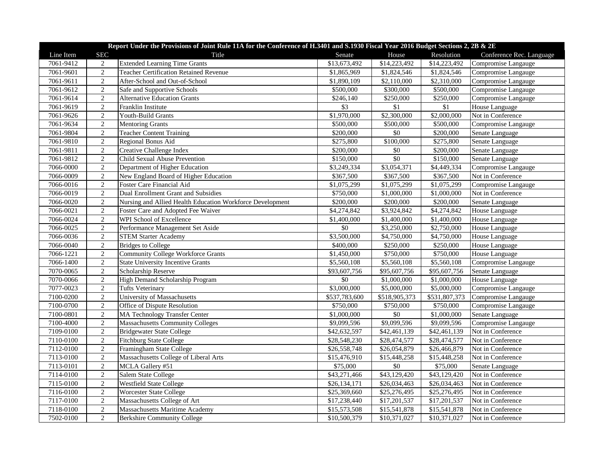| Report Under the Provisions of Joint Rule 11A for the Conference of H.3401 and S.1930 Fiscal Year 2016 Budget Sections 2, 2B & 2E |                |                                                           |               |               |               |                          |  |
|-----------------------------------------------------------------------------------------------------------------------------------|----------------|-----------------------------------------------------------|---------------|---------------|---------------|--------------------------|--|
| Line Item                                                                                                                         | <b>SEC</b>     | Title                                                     | Senate        | House         | Resolution    | Conference Rec. Language |  |
| 7061-9412                                                                                                                         | 2              | <b>Extended Learning Time Grants</b>                      | \$13,673,492  | \$14,223,492  | \$14,223,492  | Compromise Langauge      |  |
| 7061-9601                                                                                                                         | $\sqrt{2}$     | <b>Teacher Certification Retained Revenue</b>             | \$1,865,969   | \$1,824,546   | \$1,824,546   | Compromise Langauge      |  |
| 7061-9611                                                                                                                         | $\overline{2}$ | After-School and Out-of-School                            | \$1,890,109   | \$2,110,000   | \$2,310,000   | Compromise Langauge      |  |
| 7061-9612                                                                                                                         | $\sqrt{2}$     | Safe and Supportive Schools                               | \$500,000     | \$300,000     | \$500,000     | Compromise Langauge      |  |
| 7061-9614                                                                                                                         | $\overline{2}$ | <b>Alternative Education Grants</b>                       | \$246,140     | \$250,000     | \$250,000     | Compromise Langauge      |  |
| 7061-9619                                                                                                                         | $\overline{2}$ | Franklin Institute                                        | \$3           | \$1           | \$1           | House Language           |  |
| 7061-9626                                                                                                                         | $\overline{2}$ | <b>Youth-Build Grants</b>                                 | \$1,970,000   | \$2,300,000   | \$2,000,000   | Not in Conference        |  |
| 7061-9634                                                                                                                         | 2              | <b>Mentoring Grants</b>                                   | \$500,000     | \$500,000     | \$500,000     | Compromise Langauge      |  |
| 7061-9804                                                                                                                         | $\overline{2}$ | <b>Teacher Content Training</b>                           | \$200,000     | \$0           | \$200,000     | Senate Language          |  |
| 7061-9810                                                                                                                         | $\overline{2}$ | Regional Bonus Aid                                        | \$275,800     | \$100,000     | \$275,800     | Senate Language          |  |
| 7061-9811                                                                                                                         | $\sqrt{2}$     | Creative Challenge Index                                  | \$200,000     | \$0           | \$200,000     | Senate Language          |  |
| 7061-9812                                                                                                                         | $\overline{2}$ | Child Sexual Abuse Prevention                             | \$150,000     | $\sqrt{6}$    | \$150,000     | Senate Language          |  |
| 7066-0000                                                                                                                         | $\overline{2}$ | Department of Higher Education                            | \$3,249,334   | \$3,054,371   | \$4,449,334   | Compromise Langauge      |  |
| 7066-0009                                                                                                                         | $\sqrt{2}$     | New England Board of Higher Education                     | \$367,500     | \$367,500     | \$367,500     | Not in Conference        |  |
| 7066-0016                                                                                                                         | $\overline{2}$ | Foster Care Financial Aid                                 | \$1,075,299   | \$1,075,299   | \$1,075,299   | Compromise Langauge      |  |
| 7066-0019                                                                                                                         | $\overline{2}$ | Dual Enrollment Grant and Subsidies                       | \$750,000     | \$1,000,000   | \$1,000,000   | Not in Conference        |  |
| 7066-0020                                                                                                                         | $\overline{2}$ | Nursing and Allied Health Education Workforce Development | \$200,000     | \$200,000     | \$200,000     | Senate Language          |  |
| 7066-0021                                                                                                                         | $\overline{2}$ | Foster Care and Adopted Fee Waiver                        | \$4,274,842   | \$3,924,842   | \$4,274,842   | House Language           |  |
| 7066-0024                                                                                                                         | $\overline{2}$ | WPI School of Excellence                                  | \$1,400,000   | \$1,400,000   | \$1,400,000   | House Language           |  |
| 7066-0025                                                                                                                         | $\sqrt{2}$     | Performance Management Set Aside                          | \$0           | \$3,250,000   | \$2,750,000   | House Language           |  |
| 7066-0036                                                                                                                         | $\overline{2}$ | <b>STEM Starter Academy</b>                               | \$3,500,000   | \$4,750,000   | \$4,750,000   | House Language           |  |
| 7066-0040                                                                                                                         | $\sqrt{2}$     | <b>Bridges to College</b>                                 | \$400,000     | \$250,000     | \$250,000     | House Language           |  |
| 7066-1221                                                                                                                         | $\overline{2}$ | <b>Community College Workforce Grants</b>                 | \$1,450,000   | \$750,000     | \$750,000     | House Language           |  |
| 7066-1400                                                                                                                         | $\sqrt{2}$     | <b>State University Incentive Grants</b>                  | \$5,560,108   | \$5,560,108   | \$5,560,108   | Compromise Langauge      |  |
| 7070-0065                                                                                                                         | $\overline{2}$ | Scholarship Reserve                                       | \$93,607,756  | \$95,607,756  | \$95,607,756  | Senate Language          |  |
| 7070-0066                                                                                                                         | $\overline{2}$ | High Demand Scholarship Program                           | \$0           | \$1,000,000   | \$1,000,000   | House Language           |  |
| 7077-0023                                                                                                                         | $\sqrt{2}$     | <b>Tufts Veterinary</b>                                   | \$3,000,000   | \$5,000,000   | \$5,000,000   | Compromise Langauge      |  |
| 7100-0200                                                                                                                         | $\overline{2}$ | University of Massachusetts                               | \$537,783,600 | \$518,905,373 | \$531,807,373 | Compromise Langauge      |  |
| 7100-0700                                                                                                                         | $\overline{2}$ | Office of Dispute Resolution                              | \$750,000     | \$750,000     | \$750,000     | Compromise Langauge      |  |
| 7100-0801                                                                                                                         | $\overline{2}$ | <b>MA Technology Transfer Center</b>                      | \$1,000,000   | \$0           | \$1,000,000   | Senate Language          |  |
| 7100-4000                                                                                                                         | $\sqrt{2}$     | <b>Massachusetts Community Colleges</b>                   | \$9,099,596   | \$9,099,596   | \$9,099,596   | Compromise Langauge      |  |
| 7109-0100                                                                                                                         | $\sqrt{2}$     | <b>Bridgewater State College</b>                          | \$42,632,597  | \$42,461,139  | \$42,461,139  | Not in Conference        |  |
| 7110-0100                                                                                                                         | $\mathbf{2}$   | <b>Fitchburg State College</b>                            | \$28,548,230  | \$28,474,577  | \$28,474,577  | Not in Conference        |  |
| 7112-0100                                                                                                                         | $\sqrt{2}$     | Framingham State College                                  | \$26,558,748  | \$26,054,879  | \$26,466,879  | Not in Conference        |  |
| 7113-0100                                                                                                                         | $\overline{2}$ | Massachusetts College of Liberal Arts                     | \$15,476,910  | \$15,448,258  | \$15,448,258  | Not in Conference        |  |
| 7113-0101                                                                                                                         | $\overline{2}$ | MCLA Gallery #51                                          | \$75,000      | $\sqrt{$0}$   | \$75,000      | Senate Language          |  |
| 7114-0100                                                                                                                         | $\overline{2}$ | <b>Salem State College</b>                                | \$43,271,466  | \$43,129,420  | \$43,129,420  | Not in Conference        |  |
| 7115-0100                                                                                                                         | $\mathbf{2}$   | <b>Westfield State College</b>                            | \$26,134,171  | \$26,034,463  | \$26,034,463  | Not in Conference        |  |
| 7116-0100                                                                                                                         | $\overline{2}$ | <b>Worcester State College</b>                            | \$25,369,660  | \$25,276,495  | \$25,276,495  | Not in Conference        |  |
| 7117-0100                                                                                                                         | $\overline{2}$ | Massachusetts College of Art                              | \$17,238,440  | \$17,201,537  | \$17,201,537  | Not in Conference        |  |
| 7118-0100                                                                                                                         | $\sqrt{2}$     | <b>Massachusetts Maritime Academy</b>                     | \$15,573,508  | \$15,541,878  | \$15,541,878  | Not in Conference        |  |
| 7502-0100                                                                                                                         | $\overline{2}$ | <b>Berkshire Community College</b>                        | \$10,500,379  | \$10,371,027  | \$10,371,027  | Not in Conference        |  |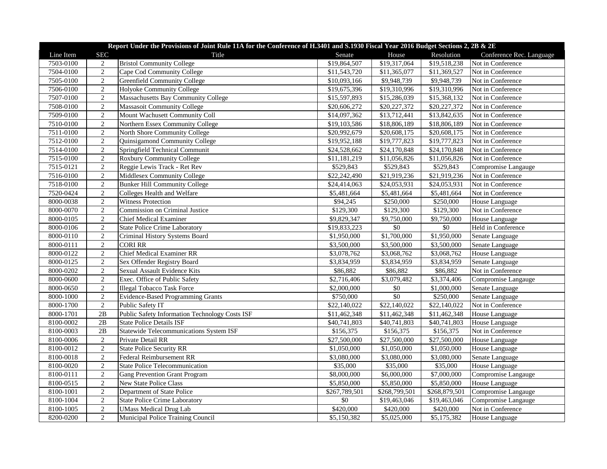| Report Under the Provisions of Joint Rule 11A for the Conference of H.3401 and S.1930 Fiscal Year 2016 Budget Sections 2, 2B & 2E           |                                                                                                                                  |                                                                                                                                                                                                                                                                                                                                                                |                                                                                                                                                                       |                                                                                                                                                                                |                                                                                                                                                                                |                                                                                                                                                                                                                                            |  |
|---------------------------------------------------------------------------------------------------------------------------------------------|----------------------------------------------------------------------------------------------------------------------------------|----------------------------------------------------------------------------------------------------------------------------------------------------------------------------------------------------------------------------------------------------------------------------------------------------------------------------------------------------------------|-----------------------------------------------------------------------------------------------------------------------------------------------------------------------|--------------------------------------------------------------------------------------------------------------------------------------------------------------------------------|--------------------------------------------------------------------------------------------------------------------------------------------------------------------------------|--------------------------------------------------------------------------------------------------------------------------------------------------------------------------------------------------------------------------------------------|--|
| Line Item                                                                                                                                   | <b>SEC</b>                                                                                                                       | Title                                                                                                                                                                                                                                                                                                                                                          | Senate                                                                                                                                                                | House                                                                                                                                                                          | Resolution                                                                                                                                                                     | Conference Rec. Language                                                                                                                                                                                                                   |  |
| 7503-0100                                                                                                                                   | 2                                                                                                                                | <b>Bristol Community College</b>                                                                                                                                                                                                                                                                                                                               | \$19,864,507                                                                                                                                                          | \$19,317,064                                                                                                                                                                   | \$19,518,238                                                                                                                                                                   | Not in Conference                                                                                                                                                                                                                          |  |
| 7504-0100                                                                                                                                   | $\sqrt{2}$                                                                                                                       | Cape Cod Community College                                                                                                                                                                                                                                                                                                                                     | \$11,543,720                                                                                                                                                          | \$11,365,077                                                                                                                                                                   | \$11,369,527                                                                                                                                                                   | Not in Conference                                                                                                                                                                                                                          |  |
| 7505-0100                                                                                                                                   | 2                                                                                                                                | <b>Greenfield Community College</b>                                                                                                                                                                                                                                                                                                                            | \$10,093,166                                                                                                                                                          | \$9,948,739                                                                                                                                                                    | \$9,948,739                                                                                                                                                                    | Not in Conference                                                                                                                                                                                                                          |  |
| 7506-0100                                                                                                                                   | $\overline{2}$                                                                                                                   | Holyoke Community College                                                                                                                                                                                                                                                                                                                                      | \$19,675,396                                                                                                                                                          | \$19,310,996                                                                                                                                                                   | \$19,310,996                                                                                                                                                                   | Not in Conference                                                                                                                                                                                                                          |  |
| 7507-0100                                                                                                                                   | $\overline{2}$                                                                                                                   | Massachusetts Bay Community College                                                                                                                                                                                                                                                                                                                            | \$15,597,893                                                                                                                                                          | \$15,286,039                                                                                                                                                                   | \$15,368,132                                                                                                                                                                   | Not in Conference                                                                                                                                                                                                                          |  |
| 7508-0100                                                                                                                                   | $\overline{2}$                                                                                                                   | Massasoit Community College                                                                                                                                                                                                                                                                                                                                    | \$20,606,272                                                                                                                                                          | \$20,227,372                                                                                                                                                                   | \$20,227,372                                                                                                                                                                   | Not in Conference                                                                                                                                                                                                                          |  |
| 7509-0100                                                                                                                                   | $\overline{2}$                                                                                                                   | Mount Wachusett Community Coll                                                                                                                                                                                                                                                                                                                                 | \$14,097,362                                                                                                                                                          | \$13,712,441                                                                                                                                                                   | \$13,842,635                                                                                                                                                                   | Not in Conference                                                                                                                                                                                                                          |  |
| 7510-0100                                                                                                                                   | 2                                                                                                                                | Northern Essex Community College                                                                                                                                                                                                                                                                                                                               | \$19,103,586                                                                                                                                                          | \$18,806,189                                                                                                                                                                   | \$18,806,189                                                                                                                                                                   | Not in Conference                                                                                                                                                                                                                          |  |
| 7511-0100                                                                                                                                   | $\overline{2}$                                                                                                                   | North Shore Community College                                                                                                                                                                                                                                                                                                                                  | \$20,992,679                                                                                                                                                          | $\overline{$}20,608,175$                                                                                                                                                       | \$20,608,175                                                                                                                                                                   | Not in Conference                                                                                                                                                                                                                          |  |
| 7512-0100                                                                                                                                   | $\overline{2}$                                                                                                                   | Quinsigamond Community College                                                                                                                                                                                                                                                                                                                                 | \$19,952,188                                                                                                                                                          | \$19,777,823                                                                                                                                                                   | \$19,777,823                                                                                                                                                                   | Not in Conference                                                                                                                                                                                                                          |  |
| 7514-0100                                                                                                                                   | $\overline{2}$                                                                                                                   | Springfield Technical Communit                                                                                                                                                                                                                                                                                                                                 | \$24,528,662                                                                                                                                                          | \$24,170,848                                                                                                                                                                   | \$24,170,848                                                                                                                                                                   | Not in Conference                                                                                                                                                                                                                          |  |
| 7515-0100                                                                                                                                   | $\overline{2}$                                                                                                                   | <b>Roxbury Community College</b>                                                                                                                                                                                                                                                                                                                               | \$11,181,219                                                                                                                                                          | \$11,056,826                                                                                                                                                                   | \$11,056,826                                                                                                                                                                   | Not in Conference                                                                                                                                                                                                                          |  |
| 7515-0121                                                                                                                                   | 2                                                                                                                                | Reggie Lewis Track - Ret Rev                                                                                                                                                                                                                                                                                                                                   | \$529,843                                                                                                                                                             | \$529,843                                                                                                                                                                      | \$529,843                                                                                                                                                                      | Compromise Langauge                                                                                                                                                                                                                        |  |
| 7516-0100                                                                                                                                   | $\sqrt{2}$                                                                                                                       | Middlesex Community College                                                                                                                                                                                                                                                                                                                                    | \$22,242,490                                                                                                                                                          | \$21,919,236                                                                                                                                                                   | \$21,919,236                                                                                                                                                                   | Not in Conference                                                                                                                                                                                                                          |  |
| 7518-0100                                                                                                                                   | $\overline{2}$                                                                                                                   | <b>Bunker Hill Community College</b>                                                                                                                                                                                                                                                                                                                           | \$24,414,063                                                                                                                                                          | \$24,053,931                                                                                                                                                                   | \$24,053,931                                                                                                                                                                   | Not in Conference                                                                                                                                                                                                                          |  |
| 7520-0424                                                                                                                                   | 2                                                                                                                                | Colleges Health and Welfare                                                                                                                                                                                                                                                                                                                                    | \$5,481,664                                                                                                                                                           | \$5,481,664                                                                                                                                                                    | \$5,481,664                                                                                                                                                                    | Not in Conference                                                                                                                                                                                                                          |  |
| 8000-0038                                                                                                                                   | $\overline{2}$                                                                                                                   | <b>Witness Protection</b>                                                                                                                                                                                                                                                                                                                                      | \$94,245                                                                                                                                                              | \$250,000                                                                                                                                                                      | \$250,000                                                                                                                                                                      | House Language                                                                                                                                                                                                                             |  |
| 8000-0070                                                                                                                                   | $\overline{2}$                                                                                                                   | Commission on Criminal Justice                                                                                                                                                                                                                                                                                                                                 | \$129,300                                                                                                                                                             | \$129,300                                                                                                                                                                      | \$129,300                                                                                                                                                                      | Not in Conference                                                                                                                                                                                                                          |  |
| 8000-0105                                                                                                                                   | $\overline{2}$                                                                                                                   | <b>Chief Medical Examiner</b>                                                                                                                                                                                                                                                                                                                                  | \$9,829,347                                                                                                                                                           | \$9,750,000                                                                                                                                                                    | \$9,750,000                                                                                                                                                                    | House Language                                                                                                                                                                                                                             |  |
| 8000-0106                                                                                                                                   | $\overline{2}$                                                                                                                   | <b>State Police Crime Laboratory</b>                                                                                                                                                                                                                                                                                                                           | \$19,833,223                                                                                                                                                          | \$0                                                                                                                                                                            | \$0                                                                                                                                                                            | Held in Conference                                                                                                                                                                                                                         |  |
| 8000-0110                                                                                                                                   | $\overline{2}$                                                                                                                   | Criminal History Systems Board                                                                                                                                                                                                                                                                                                                                 | \$1,950,000                                                                                                                                                           | \$1,700,000                                                                                                                                                                    | \$1,950,000                                                                                                                                                                    | Senate Language                                                                                                                                                                                                                            |  |
| 8000-0111                                                                                                                                   | 2                                                                                                                                | <b>CORI RR</b>                                                                                                                                                                                                                                                                                                                                                 | \$3,500,000                                                                                                                                                           | \$3,500,000                                                                                                                                                                    | \$3,500,000                                                                                                                                                                    | Senate Language                                                                                                                                                                                                                            |  |
| 8000-0122                                                                                                                                   | 2                                                                                                                                | <b>Chief Medical Examiner RR</b>                                                                                                                                                                                                                                                                                                                               | \$3,078,762                                                                                                                                                           | \$3,068,762                                                                                                                                                                    | \$3,068,762                                                                                                                                                                    | House Language                                                                                                                                                                                                                             |  |
| 8000-0125                                                                                                                                   | 2                                                                                                                                | Sex Offender Registry Board                                                                                                                                                                                                                                                                                                                                    | \$3,834,959                                                                                                                                                           | \$3,834,959                                                                                                                                                                    | \$3,834,959                                                                                                                                                                    | Senate Language                                                                                                                                                                                                                            |  |
| 8000-0202                                                                                                                                   | $\overline{2}$                                                                                                                   | <b>Sexual Assault Evidence Kits</b>                                                                                                                                                                                                                                                                                                                            | \$86,882                                                                                                                                                              | \$86,882                                                                                                                                                                       | \$86,882                                                                                                                                                                       | Not in Conference                                                                                                                                                                                                                          |  |
| 8000-0600                                                                                                                                   | $\overline{2}$                                                                                                                   | Exec. Office of Public Safety                                                                                                                                                                                                                                                                                                                                  | \$2,716,406                                                                                                                                                           | \$3,079,482                                                                                                                                                                    | \$3,374,406                                                                                                                                                                    | Compromise Langauge                                                                                                                                                                                                                        |  |
| 8000-0650                                                                                                                                   | $\overline{2}$                                                                                                                   | <b>Illegal Tobacco Task Force</b>                                                                                                                                                                                                                                                                                                                              | \$2,000,000                                                                                                                                                           | \$0                                                                                                                                                                            | \$1,000,000                                                                                                                                                                    | Senate Language                                                                                                                                                                                                                            |  |
| 8000-1000                                                                                                                                   | 2                                                                                                                                | <b>Evidence-Based Programming Grants</b>                                                                                                                                                                                                                                                                                                                       | \$750,000                                                                                                                                                             | \$0                                                                                                                                                                            | \$250,000                                                                                                                                                                      | Senate Language                                                                                                                                                                                                                            |  |
| 8000-1700                                                                                                                                   | $\sqrt{2}$                                                                                                                       | Public Safety IT                                                                                                                                                                                                                                                                                                                                               | \$22,140,022                                                                                                                                                          | \$22,140,022                                                                                                                                                                   | \$22,140,022                                                                                                                                                                   | Not in Conference                                                                                                                                                                                                                          |  |
| 8000-1701                                                                                                                                   | 2B                                                                                                                               | Public Safety Information Technology Costs ISF                                                                                                                                                                                                                                                                                                                 | \$11,462,348                                                                                                                                                          | \$11,462,348                                                                                                                                                                   | \$11,462,348                                                                                                                                                                   | House Language                                                                                                                                                                                                                             |  |
| 8100-0002                                                                                                                                   | $2\mathrm{B}$                                                                                                                    | <b>State Police Details ISF</b>                                                                                                                                                                                                                                                                                                                                |                                                                                                                                                                       |                                                                                                                                                                                |                                                                                                                                                                                |                                                                                                                                                                                                                                            |  |
|                                                                                                                                             |                                                                                                                                  |                                                                                                                                                                                                                                                                                                                                                                |                                                                                                                                                                       |                                                                                                                                                                                |                                                                                                                                                                                |                                                                                                                                                                                                                                            |  |
|                                                                                                                                             | 2                                                                                                                                |                                                                                                                                                                                                                                                                                                                                                                |                                                                                                                                                                       |                                                                                                                                                                                |                                                                                                                                                                                |                                                                                                                                                                                                                                            |  |
|                                                                                                                                             |                                                                                                                                  |                                                                                                                                                                                                                                                                                                                                                                |                                                                                                                                                                       |                                                                                                                                                                                |                                                                                                                                                                                |                                                                                                                                                                                                                                            |  |
|                                                                                                                                             |                                                                                                                                  |                                                                                                                                                                                                                                                                                                                                                                |                                                                                                                                                                       |                                                                                                                                                                                |                                                                                                                                                                                |                                                                                                                                                                                                                                            |  |
|                                                                                                                                             |                                                                                                                                  | <b>State Police Telecommunication</b>                                                                                                                                                                                                                                                                                                                          |                                                                                                                                                                       |                                                                                                                                                                                |                                                                                                                                                                                |                                                                                                                                                                                                                                            |  |
|                                                                                                                                             |                                                                                                                                  |                                                                                                                                                                                                                                                                                                                                                                |                                                                                                                                                                       |                                                                                                                                                                                |                                                                                                                                                                                |                                                                                                                                                                                                                                            |  |
|                                                                                                                                             |                                                                                                                                  |                                                                                                                                                                                                                                                                                                                                                                |                                                                                                                                                                       |                                                                                                                                                                                |                                                                                                                                                                                |                                                                                                                                                                                                                                            |  |
|                                                                                                                                             |                                                                                                                                  |                                                                                                                                                                                                                                                                                                                                                                |                                                                                                                                                                       |                                                                                                                                                                                |                                                                                                                                                                                |                                                                                                                                                                                                                                            |  |
|                                                                                                                                             |                                                                                                                                  |                                                                                                                                                                                                                                                                                                                                                                |                                                                                                                                                                       |                                                                                                                                                                                |                                                                                                                                                                                |                                                                                                                                                                                                                                            |  |
|                                                                                                                                             |                                                                                                                                  |                                                                                                                                                                                                                                                                                                                                                                |                                                                                                                                                                       |                                                                                                                                                                                |                                                                                                                                                                                |                                                                                                                                                                                                                                            |  |
|                                                                                                                                             |                                                                                                                                  |                                                                                                                                                                                                                                                                                                                                                                |                                                                                                                                                                       |                                                                                                                                                                                |                                                                                                                                                                                |                                                                                                                                                                                                                                            |  |
| 8100-0003<br>8100-0006<br>8100-0012<br>8100-0018<br>8100-0020<br>8100-0111<br>8100-0515<br>8100-1001<br>8100-1004<br>8100-1005<br>8200-0200 | $2\mathrm{B}$<br>$\overline{2}$<br>$\overline{2}$<br>2<br>$\sqrt{2}$<br>2<br>$\overline{2}$<br>2<br>$\sqrt{2}$<br>$\overline{2}$ | <b>Statewide Telecommunications System ISF</b><br>Private Detail RR<br><b>State Police Security RR</b><br><b>Federal Reimbursement RR</b><br><b>Gang Prevention Grant Program</b><br><b>New State Police Class</b><br>Department of State Police<br><b>State Police Crime Laboratory</b><br><b>UMass Medical Drug Lab</b><br>Municipal Police Training Council | \$40,741,803<br>\$156,375<br>\$27,500,000<br>\$1,050,000<br>\$3,080,000<br>\$35,000<br>\$8,000,000<br>\$5,850,000<br>\$267,789,501<br>\$0<br>\$420,000<br>\$5,150,382 | \$40,741,803<br>\$156,375<br>\$27,500,000<br>\$1,050,000<br>\$3,080,000<br>\$35,000<br>\$6,000,000<br>\$5,850,000<br>\$268,799,501<br>\$19,463,046<br>\$420,000<br>\$5,025,000 | \$40,741,803<br>\$156,375<br>\$27,500,000<br>\$1,050,000<br>\$3,080,000<br>\$35,000<br>\$7,000,000<br>\$5,850,000<br>\$268,879,501<br>\$19,463,046<br>\$420,000<br>\$5,175,382 | House Language<br>Not in Conference<br>House Language<br>House Language<br>Senate Language<br>House Language<br>Compromise Langauge<br>House Language<br>Compromise Langauge<br>Compromise Langauge<br>Not in Conference<br>House Language |  |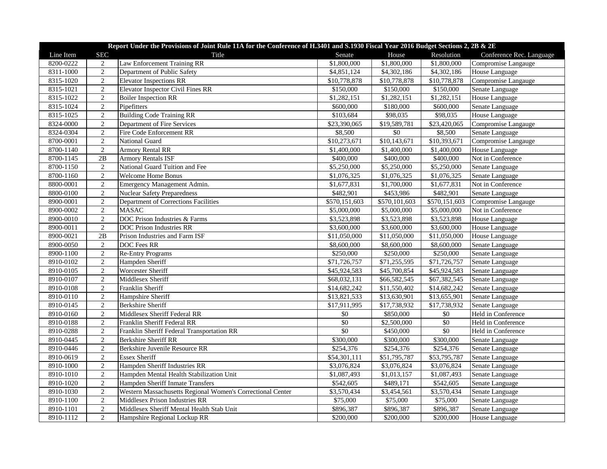| Report Under the Provisions of Joint Rule 11A for the Conference of H.3401 and S.1930 Fiscal Year 2016 Budget Sections 2, 2B & 2E |                |                                                            |                         |               |               |                          |  |
|-----------------------------------------------------------------------------------------------------------------------------------|----------------|------------------------------------------------------------|-------------------------|---------------|---------------|--------------------------|--|
| Line Item                                                                                                                         | <b>SEC</b>     | Title                                                      | Senate                  | House         | Resolution    | Conference Rec. Language |  |
| 8200-0222                                                                                                                         | 2              | Law Enforcement Training RR                                | \$1,800,000             | \$1,800,000   | \$1,800,000   | Compromise Langauge      |  |
| 8311-1000                                                                                                                         | $\overline{2}$ | Department of Public Safety                                | \$4,851,124             | \$4,302,186   | \$4,302,186   | House Language           |  |
| 8315-1020                                                                                                                         | 2              | <b>Elevator Inspections RR</b>                             | \$10,778,878            | \$10,778,878  | \$10,778,878  | Compromise Langauge      |  |
| 8315-1021                                                                                                                         | $\overline{2}$ | <b>Elevator Inspector Civil Fines RR</b>                   | \$150,000               | \$150,000     | \$150,000     | Senate Language          |  |
| 8315-1022                                                                                                                         | $\overline{2}$ | <b>Boiler Inspection RR</b>                                | $\overline{1,}282,151$  | \$1,282,151   | \$1,282,151   | House Language           |  |
| 8315-1024                                                                                                                         | $\overline{2}$ | Pipefitters                                                | \$600,000               | \$180,000     | \$600,000     | Senate Language          |  |
| 8315-1025                                                                                                                         | $\overline{2}$ | <b>Building Code Training RR</b>                           | \$103,684               | \$98,035      | \$98,035      | House Language           |  |
| 8324-0000                                                                                                                         | $\overline{2}$ | Department of Fire Services                                | \$23,390,065            | \$19,589,781  | \$23,420,065  | Compromise Langauge      |  |
| 8324-0304                                                                                                                         | $\overline{2}$ | Fire Code Enforcement RR                                   | \$8,500                 | $\$0$         | \$8,500       | Senate Language          |  |
| 8700-0001                                                                                                                         | $\sqrt{2}$     | National Guard                                             | \$10,273,671            | \$10,143,671  | \$10,393,671  | Compromise Langauge      |  |
| 8700-1140                                                                                                                         | $\overline{2}$ | <b>Armory Rental RR</b>                                    | \$1,400,000             | \$1,400,000   | \$1,400,000   | House Language           |  |
| 8700-1145                                                                                                                         | 2B             | <b>Armory Rentals ISF</b>                                  | \$400,000               | \$400,000     | \$400,000     | Not in Conference        |  |
| 8700-1150                                                                                                                         | 2              | National Guard Tuition and Fee                             | \$5,250,000             | \$5,250,000   | \$5,250,000   | Senate Language          |  |
| 8700-1160                                                                                                                         | 2              | <b>Welcome Home Bonus</b>                                  | \$1,076,325             | \$1,076,325   | \$1,076,325   | Senate Language          |  |
| 8800-0001                                                                                                                         | $\overline{2}$ | Emergency Management Admin.                                | \$1,677,831             | \$1,700,000   | \$1,677,831   | Not in Conference        |  |
| 8800-0100                                                                                                                         | $\overline{2}$ | <b>Nuclear Safety Preparedness</b>                         | \$482,901               | \$453,986     | \$482,901     | Senate Language          |  |
| 8900-0001                                                                                                                         | $\mathbf{2}$   | Department of Corrections Facilities                       | \$570,151,603           | \$570,101,603 | \$570,151,603 | Compromise Langauge      |  |
| 8900-0002                                                                                                                         | $\overline{2}$ | <b>MASAC</b>                                               | \$5,000,000             | \$5,000,000   | \$5,000,000   | Not in Conference        |  |
| 8900-0010                                                                                                                         | $\sqrt{2}$     | DOC Prison Industries & Farms                              | \$3,523,898             | \$3,523,898   | \$3,523,898   | House Language           |  |
| 8900-0011                                                                                                                         | $\overline{2}$ | <b>DOC Prison Industries RR</b>                            | \$3,600,000             | \$3,600,000   | \$3,600,000   | House Language           |  |
| 8900-0021                                                                                                                         | 2B             | Prison Industries and Farm ISF                             | \$11,050,000            | \$11,050,000  | \$11,050,000  | House Language           |  |
| 8900-0050                                                                                                                         | $\mathbf{2}$   | DOC Fees RR                                                | \$8,600,000             | \$8,600,000   | \$8,600,000   | Senate Language          |  |
| 8900-1100                                                                                                                         | $\sqrt{2}$     | <b>Re-Entry Programs</b>                                   | \$250,000               | \$250,000     | \$250,000     | Senate Language          |  |
| 8910-0102                                                                                                                         | 2              | Hampden Sheriff                                            | \$71,726,757            | \$71,255,595  | \$71,726,757  | Senate Language          |  |
| 8910-0105                                                                                                                         | $\overline{2}$ | Worcester Sheriff                                          | \$45,924,583            | \$45,700,854  | \$45,924,583  | Senate Language          |  |
| 8910-0107                                                                                                                         | $\overline{2}$ | Middlesex Sheriff                                          | \$68,032,131            | \$66,582,545  | \$67,382,545  | Senate Language          |  |
| 8910-0108                                                                                                                         | $\sqrt{2}$     | Franklin Sheriff                                           | \$14,682,242            | \$11,550,402  | \$14,682,242  | Senate Language          |  |
| 8910-0110                                                                                                                         | $\overline{2}$ | Hampshire Sheriff                                          | \$13,821,533            | \$13,630,901  | \$13,655,901  | Senate Language          |  |
| 8910-0145                                                                                                                         | $\overline{2}$ | Berkshire Sheriff                                          | \$17,911,995            | \$17,738,932  | \$17,738,932  | Senate Language          |  |
| 8910-0160                                                                                                                         | $\sqrt{2}$     | Middlesex Sheriff Federal RR                               | $\$0$                   | \$850,000     | \$0           | Held in Conference       |  |
| 8910-0188                                                                                                                         | $\mathbf{2}$   | Franklin Sheriff Federal RR                                | $\$0$                   | \$2,500,000   | $\$0$         | Held in Conference       |  |
| 8910-0288                                                                                                                         | $\overline{2}$ | Franklin Sheriff Federal Transportation RR                 | \$0                     | \$450,000     | \$0           | Held in Conference       |  |
| 8910-0445                                                                                                                         | $\sqrt{2}$     | <b>Berkshire Sheriff RR</b>                                | \$300,000               | \$300,000     | \$300,000     | Senate Language          |  |
| 8910-0446                                                                                                                         | $\sqrt{2}$     | Berkshire Juvenile Resource RR                             | \$254,376               | \$254,376     | \$254,376     | Senate Language          |  |
| 8910-0619                                                                                                                         | $\overline{2}$ | <b>Essex Sheriff</b>                                       | \$54,301,111            | \$51,795,787  | \$53,795,787  | Senate Language          |  |
| 8910-1000                                                                                                                         | $\overline{2}$ | Hampden Sheriff Industries RR                              | \$3,076,824             | \$3,076,824   | \$3,076,824   | Senate Language          |  |
| 8910-1010                                                                                                                         | $\mathbf{2}$   | Hampden Mental Health Stabilization Unit                   | $\overline{$1,087,493}$ | \$1,013,157   | \$1,087,493   | Senate Language          |  |
| 8910-1020                                                                                                                         | $\overline{2}$ | Hampden Sheriff Inmate Transfers                           | \$542,605               | \$489,171     | \$542,605     | Senate Language          |  |
| 8910-1030                                                                                                                         | $\overline{2}$ | Western Massachusetts Regional Women's Correctional Center | \$3,570,434             | \$3,454,561   | \$3,570,434   | Senate Language          |  |
| 8910-1100                                                                                                                         | $\sqrt{2}$     | Middlesex Prison Industries RR                             | \$75,000                | \$75,000      | \$75,000      | Senate Language          |  |
| 8910-1101                                                                                                                         | $\overline{2}$ | Middlesex Sheriff Mental Health Stab Unit                  | \$896,387               | \$896,387     | \$896,387     | Senate Language          |  |
| 8910-1112                                                                                                                         | $\overline{2}$ | Hampshire Regional Lockup RR                               | \$200,000               | \$200,000     | \$200,000     | House Language           |  |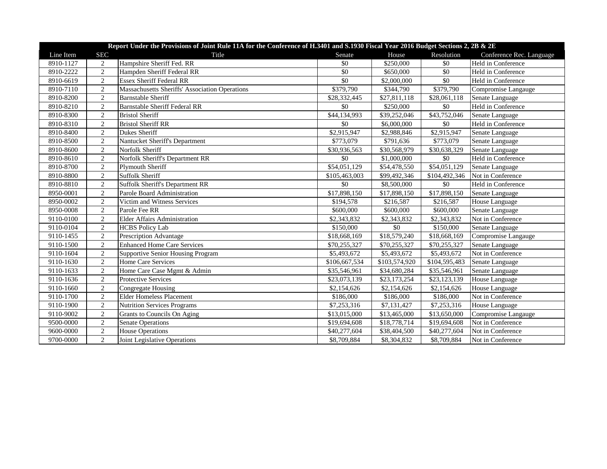| Report Under the Provisions of Joint Rule 11A for the Conference of H.3401 and S.1930 Fiscal Year 2016 Budget Sections 2, 2B & 2E |                |                                                |               |               |               |                          |  |
|-----------------------------------------------------------------------------------------------------------------------------------|----------------|------------------------------------------------|---------------|---------------|---------------|--------------------------|--|
| Line Item                                                                                                                         | <b>SEC</b>     | Title                                          | Senate        | House         | Resolution    | Conference Rec. Language |  |
| 8910-1127                                                                                                                         | 2              | Hampshire Sheriff Fed. RR                      | \$0           | \$250,000     | \$0           | Held in Conference       |  |
| 8910-2222                                                                                                                         | $\overline{2}$ | Hampden Sheriff Federal RR                     | \$0           | \$650,000     | \$0           | Held in Conference       |  |
| 8910-6619                                                                                                                         | $\overline{2}$ | <b>Essex Sheriff Federal RR</b>                | \$0           | \$2,000,000   | \$0           | Held in Conference       |  |
| 8910-7110                                                                                                                         | $\overline{2}$ | Massachusetts Sheriffs' Association Operations | \$379,790     | \$344,790     | \$379,790     | Compromise Langauge      |  |
| 8910-8200                                                                                                                         | $\overline{2}$ | <b>Barnstable Sheriff</b>                      | \$28,332,445  | \$27,811,118  | \$28,061,118  | Senate Language          |  |
| 8910-8210                                                                                                                         | $\overline{2}$ | <b>Barnstable Sheriff Federal RR</b>           | $\$0$         | \$250,000     | \$0           | Held in Conference       |  |
| 8910-8300                                                                                                                         | $\overline{2}$ | <b>Bristol Sheriff</b>                         | \$44,134,993  | \$39,252,046  | \$43,752,046  | Senate Language          |  |
| 8910-8310                                                                                                                         | $\overline{2}$ | <b>Bristol Sheriff RR</b>                      | \$0           | \$6,000,000   | \$0           | Held in Conference       |  |
| 8910-8400                                                                                                                         | $\overline{2}$ | Dukes Sheriff                                  | \$2,915,947   | \$2,988,846   | \$2,915,947   | Senate Language          |  |
| 8910-8500                                                                                                                         | $\overline{2}$ | Nantucket Sheriff's Department                 | \$773,079     | \$791,636     | \$773,079     | Senate Language          |  |
| 8910-8600                                                                                                                         | $\overline{2}$ | Norfolk Sheriff                                | \$30,936,563  | \$30,568,979  | \$30,638,329  | Senate Language          |  |
| 8910-8610                                                                                                                         | $\overline{2}$ | Norfolk Sheriff's Department RR                | \$0           | \$1,000,000   | \$0           | Held in Conference       |  |
| 8910-8700                                                                                                                         | $\overline{2}$ | Plymouth Sheriff                               | \$54,051,129  | \$54,478,550  | \$54,051,129  | Senate Language          |  |
| 8910-8800                                                                                                                         | $\overline{2}$ | <b>Suffolk Sheriff</b>                         | \$105,463,003 | \$99,492,346  | \$104,492,346 | Not in Conference        |  |
| 8910-8810                                                                                                                         | $\overline{2}$ | <b>Suffolk Sheriff's Department RR</b>         | \$0           | \$8,500,000   | \$0           | Held in Conference       |  |
| 8950-0001                                                                                                                         | $\overline{2}$ | Parole Board Administration                    | \$17,898,150  | \$17,898,150  | \$17,898,150  | Senate Language          |  |
| 8950-0002                                                                                                                         | 2              | Victim and Witness Services                    | \$194,578     | \$216,587     | \$216,587     | House Language           |  |
| 8950-0008                                                                                                                         | $\overline{2}$ | Parole Fee RR                                  | \$600,000     | \$600,000     | \$600,000     | Senate Language          |  |
| 9110-0100                                                                                                                         | $\overline{2}$ | <b>Elder Affairs Administration</b>            | \$2,343,832   | \$2,343,832   | \$2,343,832   | Not in Conference        |  |
| 9110-0104                                                                                                                         | $\overline{2}$ | <b>HCBS</b> Policy Lab                         | \$150,000     | \$0           | \$150,000     | Senate Language          |  |
| 9110-1455                                                                                                                         | $\overline{2}$ | Prescription Advantage                         | \$18,668,169  | \$18,579,240  | \$18,668,169  | Compromise Langauge      |  |
| 9110-1500                                                                                                                         | $\overline{2}$ | <b>Enhanced Home Care Services</b>             | \$70,255,327  | \$70,255,327  | \$70,255,327  | Senate Language          |  |
| 9110-1604                                                                                                                         | 2              | <b>Supportive Senior Housing Program</b>       | \$5,493,672   | \$5,493,672   | \$5,493,672   | Not in Conference        |  |
| 9110-1630                                                                                                                         | 2              | Home Care Services                             | \$106,667,534 | \$103,574,920 | \$104,595,483 | Senate Language          |  |
| 9110-1633                                                                                                                         | $\overline{2}$ | Home Care Case Mgmt & Admin                    | \$35,546,961  | \$34,680,284  | \$35,546,961  | Senate Language          |  |
| 9110-1636                                                                                                                         | $\overline{2}$ | <b>Protective Services</b>                     | \$23,073,139  | \$23,173,254  | \$23,123,139  | House Language           |  |
| 9110-1660                                                                                                                         | $\overline{2}$ | Congregate Housing                             | \$2,154,626   | \$2,154,626   | \$2,154,626   | House Language           |  |
| 9110-1700                                                                                                                         | $\overline{2}$ | <b>Elder Homeless Placement</b>                | \$186,000     | \$186,000     | \$186,000     | Not in Conference        |  |
| 9110-1900                                                                                                                         | $\overline{2}$ | <b>Nutrition Services Programs</b>             | \$7,253,316   | \$7,131,427   | \$7,253,316   | House Language           |  |
| 9110-9002                                                                                                                         | $\overline{2}$ | Grants to Councils On Aging                    | \$13,015,000  | \$13,465,000  | \$13,650,000  | Compromise Langauge      |  |
| 9500-0000                                                                                                                         | $\overline{2}$ | <b>Senate Operations</b>                       | \$19,694,608  | \$18,778,714  | \$19,694,608  | Not in Conference        |  |
| 9600-0000                                                                                                                         | $\overline{2}$ | <b>House Operations</b>                        | \$40,277,604  | \$38,404,500  | \$40,277,604  | Not in Conference        |  |
| 9700-0000                                                                                                                         | $\overline{2}$ | Joint Legislative Operations                   | \$8,709,884   | \$8,304,832   | \$8,709,884   | Not in Conference        |  |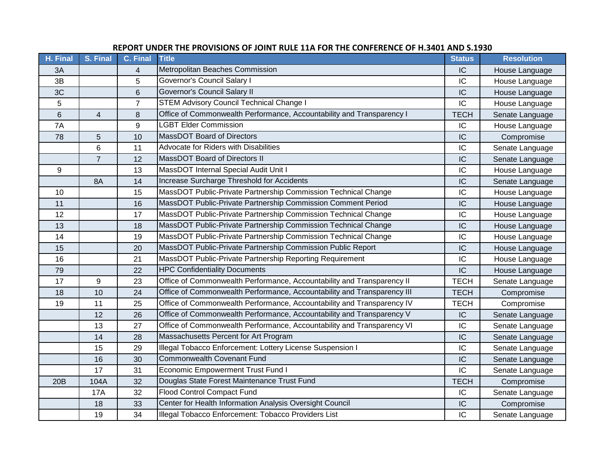| H. Final | S. Final       | C. Final       | <b>Title</b>                                                            | <b>Status</b> | <b>Resolution</b> |
|----------|----------------|----------------|-------------------------------------------------------------------------|---------------|-------------------|
| 3A       |                | 4              | Metropolitan Beaches Commission                                         | IC            | House Language    |
| 3B       |                | 5              | Governor's Council Salary I                                             | IC            | House Language    |
| 3C       |                | 6              | Governor's Council Salary II                                            | IC            | House Language    |
| 5        |                | $\overline{7}$ | <b>STEM Advisory Council Technical Change I</b>                         | IC            | House Language    |
| 6        | $\overline{4}$ | 8              | Office of Commonwealth Performance, Accountability and Transparency I   | <b>TECH</b>   | Senate Language   |
| 7A       |                | 9              | <b>LGBT Elder Commission</b>                                            | IC            | House Language    |
| 78       | 5              | 10             | MassDOT Board of Directors                                              | IC            | Compromise        |
|          | 6              | 11             | Advocate for Riders with Disabilities                                   | IC            | Senate Language   |
|          | $\overline{7}$ | 12             | <b>MassDOT Board of Directors II</b>                                    | IC            | Senate Language   |
| 9        |                | 13             | MassDOT Internal Special Audit Unit I                                   | IC            | House Language    |
|          | 8A             | 14             | Increase Surcharge Threshold for Accidents                              | IC            | Senate Language   |
| 10       |                | 15             | MassDOT Public-Private Partnership Commission Technical Change          | IC            | House Language    |
| 11       |                | 16             | MassDOT Public-Private Partnership Commission Comment Period            | IC            | House Language    |
| 12       |                | 17             | MassDOT Public-Private Partnership Commission Technical Change          | IC            | House Language    |
| 13       |                | 18             | MassDOT Public-Private Partnership Commission Technical Change          | IC            | House Language    |
| 14       |                | 19             | MassDOT Public-Private Partnership Commission Technical Change          | IC            | House Language    |
| 15       |                | 20             | MassDOT Public-Private Partnership Commission Public Report             | IC            | House Language    |
| 16       |                | 21             | MassDOT Public-Private Partnership Reporting Requirement                | IC            | House Language    |
| 79       |                | 22             | <b>HPC Confidentiality Documents</b>                                    | IC            | House Language    |
| 17       | 9              | 23             | Office of Commonwealth Performance, Accountability and Transparency II  | <b>TECH</b>   | Senate Language   |
| 18       | 10             | 24             | Office of Commonwealth Performance, Accountability and Transparency III | <b>TECH</b>   | Compromise        |
| 19       | 11             | 25             | Office of Commonwealth Performance, Accountability and Transparency IV  | <b>TECH</b>   | Compromise        |
|          | 12             | 26             | Office of Commonwealth Performance, Accountability and Transparency V   | IC            | Senate Language   |
|          | 13             | 27             | Office of Commonwealth Performance, Accountability and Transparency VI  | IC            | Senate Language   |
|          | 14             | 28             | Massachusetts Percent for Art Program                                   | IC            | Senate Language   |
|          | 15             | 29             | Illegal Tobacco Enforcement: Lottery License Suspension I               | IC            | Senate Language   |
|          | 16             | 30             | <b>Commonwealth Covenant Fund</b>                                       | IC            | Senate Language   |
|          | 17             | 31             | <b>Economic Empowerment Trust Fund I</b>                                | IC            | Senate Language   |
| 20B      | 104A           | 32             | Douglas State Forest Maintenance Trust Fund                             | <b>TECH</b>   | Compromise        |
|          | <b>17A</b>     | 32             | Flood Control Compact Fund                                              | IC            | Senate Language   |
|          | 18             | 33             | Center for Health Information Analysis Oversight Council                | IC            | Compromise        |
|          | 19             | 34             | Illegal Tobacco Enforcement: Tobacco Providers List                     | IC            | Senate Language   |

## **REPORT UNDER THE PROVISIONS OF JOINT RULE 11A FOR THE CONFERENCE OF H.3401 AND S.1930**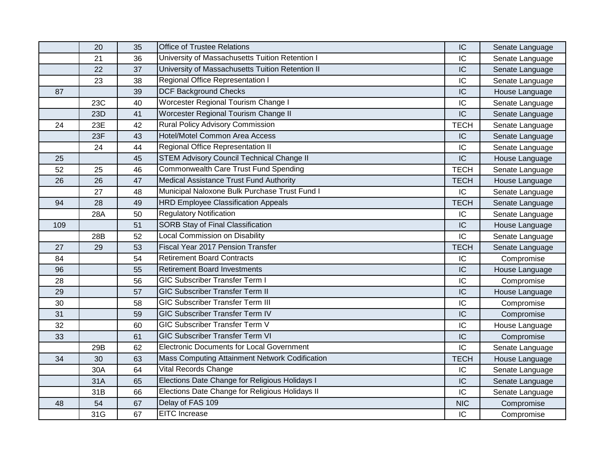|     | 20  | 35 | <b>Office of Trustee Relations</b>               | IC          | Senate Language |
|-----|-----|----|--------------------------------------------------|-------------|-----------------|
|     | 21  | 36 | University of Massachusetts Tuition Retention I  | IC          | Senate Language |
|     | 22  | 37 | University of Massachusetts Tuition Retention II | IC          | Senate Language |
|     | 23  | 38 | Regional Office Representation I                 | IC          | Senate Language |
| 87  |     | 39 | <b>DCF Background Checks</b>                     | IC          | House Language  |
|     | 23C | 40 | Worcester Regional Tourism Change I              | IC          | Senate Language |
|     | 23D | 41 | Worcester Regional Tourism Change II             | IC          | Senate Language |
| 24  | 23E | 42 | Rural Policy Advisory Commission                 | <b>TECH</b> | Senate Language |
|     | 23F | 43 | Hotel/Motel Common Area Access                   | IC          | Senate Language |
|     | 24  | 44 | <b>Regional Office Representation II</b>         | IC          | Senate Language |
| 25  |     | 45 | <b>STEM Advisory Council Technical Change II</b> | IC          | House Language  |
| 52  | 25  | 46 | Commonwealth Care Trust Fund Spending            | <b>TECH</b> | Senate Language |
| 26  | 26  | 47 | Medical Assistance Trust Fund Authority          | <b>TECH</b> | House Language  |
|     | 27  | 48 | Municipal Naloxone Bulk Purchase Trust Fund I    | IC          | Senate Language |
| 94  | 28  | 49 | <b>HRD Employee Classification Appeals</b>       | <b>TECH</b> | Senate Language |
|     | 28A | 50 | <b>Regulatory Notification</b>                   | IC          | Senate Language |
| 109 |     | 51 | SORB Stay of Final Classification                | IC          | House Language  |
|     | 28B | 52 | Local Commission on Disability                   | IC          | Senate Language |
| 27  | 29  | 53 | Fiscal Year 2017 Pension Transfer                | <b>TECH</b> | Senate Language |
| 84  |     | 54 | <b>Retirement Board Contracts</b>                | IC          | Compromise      |
| 96  |     | 55 | <b>Retirement Board Investments</b>              | IC          | House Language  |
| 28  |     | 56 | <b>GIC Subscriber Transfer Term I</b>            | IC          | Compromise      |
| 29  |     | 57 | <b>GIC Subscriber Transfer Term II</b>           | IC          | House Language  |
| 30  |     | 58 | <b>GIC Subscriber Transfer Term III</b>          | IC          | Compromise      |
| 31  |     | 59 | <b>GIC Subscriber Transfer Term IV</b>           | IC          | Compromise      |
| 32  |     | 60 | <b>GIC Subscriber Transfer Term V</b>            | IC          | House Language  |
| 33  |     | 61 | <b>GIC Subscriber Transfer Term VI</b>           | IC          | Compromise      |
|     | 29B | 62 | <b>Electronic Documents for Local Government</b> | IC          | Senate Language |
| 34  | 30  | 63 | Mass Computing Attainment Network Codification   | <b>TECH</b> | House Language  |
|     | 30A | 64 | <b>Vital Records Change</b>                      | IC          | Senate Language |
|     | 31A | 65 | Elections Date Change for Religious Holidays I   | IC          | Senate Language |
|     | 31B | 66 | Elections Date Change for Religious Holidays II  | IC          | Senate Language |
| 48  | 54  | 67 | Delay of FAS 109                                 | <b>NIC</b>  | Compromise      |
|     | 31G | 67 | <b>EITC</b> Increase                             | IC          | Compromise      |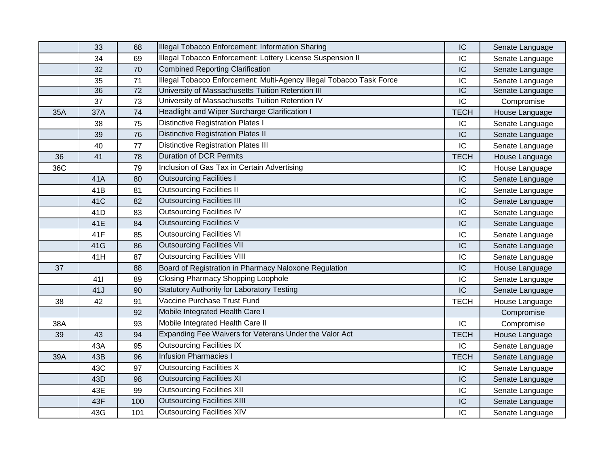|     | 33              | 68              | Illegal Tobacco Enforcement: Information Sharing                     | IC              | Senate Language |
|-----|-----------------|-----------------|----------------------------------------------------------------------|-----------------|-----------------|
|     | 34              | 69              | Illegal Tobacco Enforcement: Lottery License Suspension II           | IC              | Senate Language |
|     | 32              | 70              | <b>Combined Reporting Clarification</b>                              | IC              | Senate Language |
|     | 35              | 71              | Illegal Tobacco Enforcement: Multi-Agency Illegal Tobacco Task Force | IC              | Senate Language |
|     | 36              | $\overline{72}$ | University of Massachusetts Tuition Retention III                    | $\overline{IC}$ | Senate Language |
|     | 37              | 73              | University of Massachusetts Tuition Retention IV                     | IC              | Compromise      |
| 35A | 37A             | 74              | Headlight and Wiper Surcharge Clarification I                        | <b>TECH</b>     | House Language  |
|     | 38              | 75              | <b>Distinctive Registration Plates I</b>                             | IC              | Senate Language |
|     | 39              | 76              | <b>Distinctive Registration Plates II</b>                            | IC              | Senate Language |
|     | 40              | 77              | <b>Distinctive Registration Plates III</b>                           | IC              | Senate Language |
| 36  | 41              | 78              | <b>Duration of DCR Permits</b>                                       | <b>TECH</b>     | House Language  |
| 36C |                 | 79              | Inclusion of Gas Tax in Certain Advertising                          | IC              | House Language  |
|     | 41A             | 80              | <b>Outsourcing Facilities I</b>                                      | IC              | Senate Language |
|     | 41B             | 81              | <b>Outsourcing Facilities II</b>                                     | IC              | Senate Language |
|     | 41 <sub>C</sub> | 82              | <b>Outsourcing Facilities III</b>                                    | IC              | Senate Language |
|     | 41D             | 83              | <b>Outsourcing Facilities IV</b>                                     | IC              | Senate Language |
|     | 41E             | 84              | <b>Outsourcing Facilities V</b>                                      | IC              | Senate Language |
|     | 41F             | 85              | <b>Outsourcing Facilities VI</b>                                     | IC              | Senate Language |
|     | 41G             | 86              | <b>Outsourcing Facilities VII</b>                                    | IC              | Senate Language |
|     | 41H             | 87              | <b>Outsourcing Facilities VIII</b>                                   | IC              | Senate Language |
| 37  |                 | 88              | Board of Registration in Pharmacy Naloxone Regulation                | IC              | House Language  |
|     | 411             | 89              | <b>Closing Pharmacy Shopping Loophole</b>                            | IC              | Senate Language |
|     | 41J             | 90              | <b>Statutory Authority for Laboratory Testing</b>                    | IC              | Senate Language |
| 38  | 42              | 91              | Vaccine Purchase Trust Fund                                          | <b>TECH</b>     | House Language  |
|     |                 | 92              | Mobile Integrated Health Care I                                      |                 | Compromise      |
| 38A |                 | 93              | Mobile Integrated Health Care II                                     | IC              | Compromise      |
| 39  | 43              | 94              | Expanding Fee Waivers for Veterans Under the Valor Act               | <b>TECH</b>     | House Language  |
|     | 43A             | 95              | <b>Outsourcing Facilities IX</b>                                     | IC              | Senate Language |
| 39A | 43B             | 96              | <b>Infusion Pharmacies I</b>                                         | <b>TECH</b>     | Senate Language |
|     | 43C             | 97              | <b>Outsourcing Facilities X</b>                                      | IC              | Senate Language |
|     | 43D             | 98              | <b>Outsourcing Facilities XI</b>                                     | IC              | Senate Language |
|     | 43E             | 99              | <b>Outsourcing Facilities XII</b>                                    | IC              | Senate Language |
|     | 43F             | 100             | <b>Outsourcing Facilities XIII</b>                                   | IC              | Senate Language |
|     | 43G             | 101             | <b>Outsourcing Facilities XIV</b>                                    | IC              | Senate Language |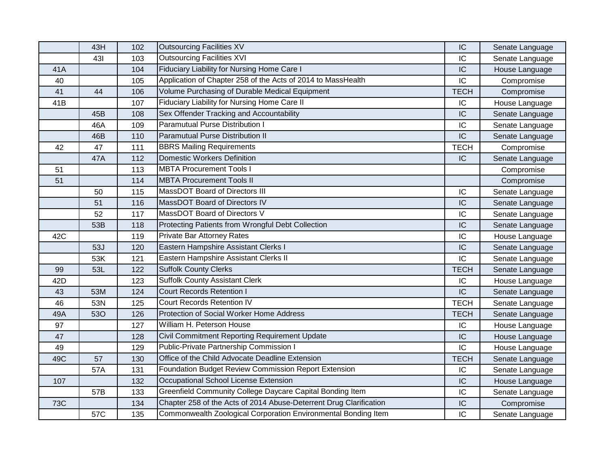|            | 43H | 102 | <b>Outsourcing Facilities XV</b>                                   | IC          | Senate Language |
|------------|-----|-----|--------------------------------------------------------------------|-------------|-----------------|
|            | 431 | 103 | <b>Outsourcing Facilities XVI</b>                                  | IC          | Senate Language |
| 41A        |     | 104 | Fiduciary Liability for Nursing Home Care I                        | IC          | House Language  |
| 40         |     | 105 | Application of Chapter 258 of the Acts of 2014 to MassHealth       | IC          | Compromise      |
| 41         | 44  | 106 | Volume Purchasing of Durable Medical Equipment                     | <b>TECH</b> | Compromise      |
| 41B        |     | 107 | Fiduciary Liability for Nursing Home Care II                       | IC          | House Language  |
|            | 45B | 108 | Sex Offender Tracking and Accountability                           | IC          | Senate Language |
|            | 46A | 109 | Paramutual Purse Distribution I                                    | IC          | Senate Language |
|            | 46B | 110 | <b>Paramutual Purse Distribution II</b>                            | IC          | Senate Language |
| 42         | 47  | 111 | <b>BBRS Mailing Requirements</b>                                   | <b>TECH</b> | Compromise      |
|            | 47A | 112 | <b>Domestic Workers Definition</b>                                 | IC          | Senate Language |
| 51         |     | 113 | <b>MBTA Procurement Tools I</b>                                    |             | Compromise      |
| 51         |     | 114 | <b>MBTA Procurement Tools II</b>                                   |             | Compromise      |
|            | 50  | 115 | MassDOT Board of Directors III                                     | IC          | Senate Language |
|            | 51  | 116 | MassDOT Board of Directors IV                                      | IC          | Senate Language |
|            | 52  | 117 | MassDOT Board of Directors V                                       | IC          | Senate Language |
|            | 53B | 118 | Protecting Patients from Wrongful Debt Collection                  | IC          | Senate Language |
| 42C        |     | 119 | Private Bar Attorney Rates                                         | IC          | House Language  |
|            | 53J | 120 | Eastern Hampshire Assistant Clerks I                               | IC          | Senate Language |
|            | 53K | 121 | Eastern Hampshire Assistant Clerks II                              | IC          | Senate Language |
| 99         | 53L | 122 | <b>Suffolk County Clerks</b>                                       | <b>TECH</b> | Senate Language |
| 42D        |     | 123 | <b>Suffolk County Assistant Clerk</b>                              | IC          | House Language  |
| 43         | 53M | 124 | <b>Court Records Retention I</b>                                   | IC          | Senate Language |
| 46         | 53N | 125 | <b>Court Records Retention IV</b>                                  | <b>TECH</b> | Senate Language |
| 49A        | 530 | 126 | Protection of Social Worker Home Address                           | <b>TECH</b> | Senate Language |
| 97         |     | 127 | William H. Peterson House                                          | IC          | House Language  |
| 47         |     | 128 | Civil Commitment Reporting Requirement Update                      | IC          | House Language  |
| 49         |     | 129 | <b>Public-Private Partnership Commission I</b>                     | IC          | House Language  |
| 49C        | 57  | 130 | Office of the Child Advocate Deadline Extension                    | <b>TECH</b> | Senate Language |
|            | 57A | 131 | Foundation Budget Review Commission Report Extension               | IC          | Senate Language |
| 107        |     | 132 | <b>Occupational School License Extension</b>                       | IC          | House Language  |
|            | 57B | 133 | Greenfield Community College Daycare Capital Bonding Item          | IC          | Senate Language |
| <b>73C</b> |     | 134 | Chapter 258 of the Acts of 2014 Abuse-Deterrent Drug Clarification | IC          | Compromise      |
|            | 57C | 135 | Commonwealth Zoological Corporation Environmental Bonding Item     | IC          | Senate Language |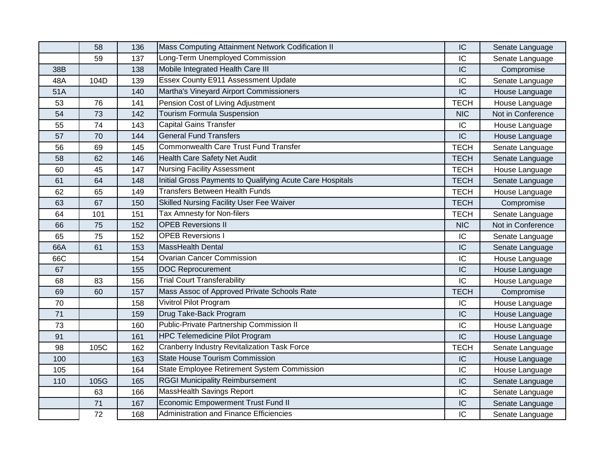|     | 58   | 136 | Mass Computing Attainment Network Codification II         | IC          | Senate Language   |
|-----|------|-----|-----------------------------------------------------------|-------------|-------------------|
|     | 59   | 137 | Long-Term Unemployed Commission                           | IC          | Senate Language   |
| 38B |      | 138 | Mobile Integrated Health Care III                         | IC          | Compromise        |
| 48A | 104D | 139 | Essex County E911 Assessment Update                       | IC          | Senate Language   |
| 51A |      | 140 | Martha's Vineyard Airport Commissioners                   | IC          | House Language    |
| 53  | 76   | 141 | Pension Cost of Living Adjustment                         | <b>TECH</b> | House Language    |
| 54  | 73   | 142 | <b>Tourism Formula Suspension</b>                         | <b>NIC</b>  | Not in Conference |
| 55  | 74   | 143 | <b>Capital Gains Transfer</b>                             | IC          | House Language    |
| 57  | 70   | 144 | <b>General Fund Transfers</b>                             | IC          | House Language    |
| 56  | 69   | 145 | <b>Commonwealth Care Trust Fund Transfer</b>              | <b>TECH</b> | Senate Language   |
| 58  | 62   | 146 | Health Care Safety Net Audit                              | <b>TECH</b> | Senate Language   |
| 60  | 45   | 147 | <b>Nursing Facility Assessment</b>                        | <b>TECH</b> | House Language    |
| 61  | 64   | 148 | Initial Gross Payments to Qualifying Acute Care Hospitals | <b>TECH</b> | Senate Language   |
| 62  | 65   | 149 | <b>Transfers Between Health Funds</b>                     | <b>TECH</b> | House Language    |
| 63  | 67   | 150 | <b>Skilled Nursing Facility User Fee Waiver</b>           | <b>TECH</b> | Compromise        |
| 64  | 101  | 151 | Tax Amnesty for Non-filers                                | <b>TECH</b> | Senate Language   |
| 66  | 75   | 152 | <b>OPEB Reversions II</b>                                 | <b>NIC</b>  | Not in Conference |
| 65  | 75   | 152 | <b>OPEB Reversions I</b>                                  | IC          | Senate Language   |
| 66A | 61   | 153 | MassHealth Dental                                         | IC          | Senate Language   |
| 66C |      | 154 | <b>Ovarian Cancer Commission</b>                          | IC          | House Language    |
| 67  |      | 155 | <b>DOC Reprocurement</b>                                  | IC          | House Language    |
| 68  | 83   | 156 | <b>Trial Court Transferability</b>                        | IC          | House Language    |
| 69  | 60   | 157 | Mass Assoc of Approved Private Schools Rate               | <b>TECH</b> | Compromise        |
| 70  |      | 158 | Vivitrol Pilot Program                                    | IC          | House Language    |
| 71  |      | 159 | Drug Take-Back Program                                    | IC          | House Language    |
| 73  |      | 160 | Public-Private Partnership Commission II                  | IC          | House Language    |
| 91  |      | 161 | HPC Telemedicine Pilot Program                            | IC          | House Language    |
| 98  | 105C | 162 | <b>Cranberry Industry Revitalization Task Force</b>       | <b>TECH</b> | Senate Language   |
| 100 |      | 163 | <b>State House Tourism Commission</b>                     | IC          | House Language    |
| 105 |      | 164 | State Employee Retirement System Commission               | IC          | House Language    |
| 110 | 105G | 165 | <b>RGGI Municipality Reimbursement</b>                    | IC          | Senate Language   |
|     | 63   | 166 | MassHealth Savings Report                                 | IC          | Senate Language   |
|     | 71   | 167 | <b>Economic Empowerment Trust Fund II</b>                 | IC          | Senate Language   |
|     | 72   | 168 | <b>Administration and Finance Efficiencies</b>            | IC          | Senate Language   |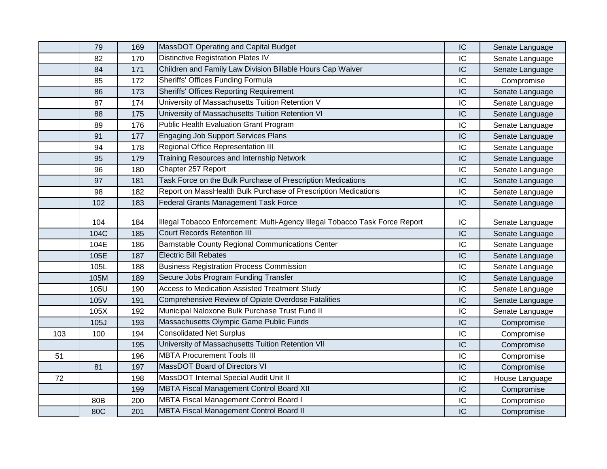|     | 79   | 169 | MassDOT Operating and Capital Budget                                        | IC | Senate Language |
|-----|------|-----|-----------------------------------------------------------------------------|----|-----------------|
|     | 82   | 170 | <b>Distinctive Registration Plates IV</b>                                   | IC | Senate Language |
|     | 84   | 171 | Children and Family Law Division Billable Hours Cap Waiver                  | IC | Senate Language |
|     | 85   | 172 | Sheriffs' Offices Funding Formula                                           | IC | Compromise      |
|     | 86   | 173 | <b>Sheriffs' Offices Reporting Requirement</b>                              | IC | Senate Language |
|     | 87   | 174 | University of Massachusetts Tuition Retention V                             | IC | Senate Language |
|     | 88   | 175 | University of Massachusetts Tuition Retention VI                            | IC | Senate Language |
|     | 89   | 176 | Public Health Evaluation Grant Program                                      | IC | Senate Language |
|     | 91   | 177 | <b>Engaging Job Support Services Plans</b>                                  | IC | Senate Language |
|     | 94   | 178 | Regional Office Representation III                                          | IC | Senate Language |
|     | 95   | 179 | Training Resources and Internship Network                                   | IC | Senate Language |
|     | 96   | 180 | Chapter 257 Report                                                          | IC | Senate Language |
|     | 97   | 181 | Task Force on the Bulk Purchase of Prescription Medications                 | IC | Senate Language |
|     | 98   | 182 | Report on MassHealth Bulk Purchase of Prescription Medications              | IC | Senate Language |
|     | 102  | 183 | <b>Federal Grants Management Task Force</b>                                 | IC | Senate Language |
|     |      |     |                                                                             |    |                 |
|     | 104  | 184 | Illegal Tobacco Enforcement: Multi-Agency Illegal Tobacco Task Force Report | IC | Senate Language |
|     | 104C | 185 | <b>Court Records Retention III</b>                                          | IC | Senate Language |
|     | 104E | 186 | Barnstable County Regional Communications Center                            | IC | Senate Language |
|     | 105E | 187 | <b>Electric Bill Rebates</b>                                                | IC | Senate Language |
|     | 105L | 188 | <b>Business Registration Process Commission</b>                             | IC | Senate Language |
|     | 105M | 189 | Secure Jobs Program Funding Transfer                                        | IC | Senate Language |
|     | 105U | 190 | Access to Medication Assisted Treatment Study                               | IC | Senate Language |
|     | 105V | 191 | Comprehensive Review of Opiate Overdose Fatalities                          | IC | Senate Language |
|     | 105X | 192 | Municipal Naloxone Bulk Purchase Trust Fund II                              | IC | Senate Language |
|     | 105J | 193 | Massachusetts Olympic Game Public Funds                                     | IC | Compromise      |
| 103 | 100  | 194 | <b>Consolidated Net Surplus</b>                                             | IC | Compromise      |
|     |      | 195 | University of Massachusetts Tuition Retention VII                           | IC | Compromise      |
| 51  |      | 196 | <b>MBTA Procurement Tools III</b>                                           | IC | Compromise      |
|     | 81   | 197 | MassDOT Board of Directors VI                                               | IC | Compromise      |
| 72  |      | 198 | MassDOT Internal Special Audit Unit II                                      | IC | House Language  |
|     |      | 199 | <b>MBTA Fiscal Management Control Board XII</b>                             | IC | Compromise      |
|     | 80B  | 200 | <b>MBTA Fiscal Management Control Board I</b>                               | IC | Compromise      |
|     | 80C  | 201 | <b>MBTA Fiscal Management Control Board II</b>                              | IC | Compromise      |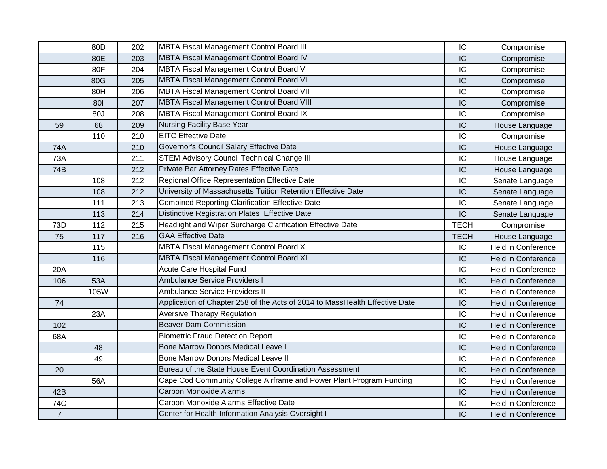|                | 80D  | 202 | <b>MBTA Fiscal Management Control Board III</b>                             | IC          | Compromise                |
|----------------|------|-----|-----------------------------------------------------------------------------|-------------|---------------------------|
|                | 80E  | 203 | MBTA Fiscal Management Control Board IV                                     | IC          | Compromise                |
|                | 80F  | 204 | MBTA Fiscal Management Control Board V                                      | IC          | Compromise                |
|                | 80G  | 205 | MBTA Fiscal Management Control Board VI                                     | IC          | Compromise                |
|                | 80H  | 206 | <b>MBTA Fiscal Management Control Board VII</b>                             | IC          | Compromise                |
|                | 801  | 207 | <b>MBTA Fiscal Management Control Board VIII</b>                            | IC          | Compromise                |
|                | 80J  | 208 | MBTA Fiscal Management Control Board IX                                     | IC          | Compromise                |
| 59             | 68   | 209 | <b>Nursing Facility Base Year</b>                                           | IC          | House Language            |
|                | 110  | 210 | <b>EITC Effective Date</b>                                                  | IC          | Compromise                |
| 74A            |      | 210 | Governor's Council Salary Effective Date                                    | IC          | House Language            |
| 73A            |      | 211 | <b>STEM Advisory Council Technical Change III</b>                           | IC          | House Language            |
| 74B            |      | 212 | Private Bar Attorney Rates Effective Date                                   | IC          | House Language            |
|                | 108  | 212 | Regional Office Representation Effective Date                               | IC          | Senate Language           |
|                | 108  | 212 | University of Massachusetts Tuition Retention Effective Date                | IC          | Senate Language           |
|                | 111  | 213 | <b>Combined Reporting Clarification Effective Date</b>                      | IC          | Senate Language           |
|                | 113  | 214 | <b>Distinctive Registration Plates Effective Date</b>                       | IC          | Senate Language           |
| 73D            | 112  | 215 | Headlight and Wiper Surcharge Clarification Effective Date                  | <b>TECH</b> | Compromise                |
| 75             | 117  | 216 | <b>GAA Effective Date</b>                                                   | <b>TECH</b> | House Language            |
|                | 115  |     | MBTA Fiscal Management Control Board X                                      | IC          | <b>Held in Conference</b> |
|                | 116  |     | MBTA Fiscal Management Control Board XI                                     | IC          | <b>Held in Conference</b> |
| 20A            |      |     | Acute Care Hospital Fund                                                    | IC          | Held in Conference        |
| 106            | 53A  |     | <b>Ambulance Service Providers I</b>                                        | IC          | Held in Conference        |
|                | 105W |     | Ambulance Service Providers II                                              | IC          | <b>Held in Conference</b> |
| 74             |      |     | Application of Chapter 258 of the Acts of 2014 to MassHealth Effective Date | IC          | Held in Conference        |
|                | 23A  |     | <b>Aversive Therapy Regulation</b>                                          | IC          | <b>Held in Conference</b> |
| 102            |      |     | <b>Beaver Dam Commission</b>                                                | IC          | Held in Conference        |
| 68A            |      |     | <b>Biometric Fraud Detection Report</b>                                     | IC          | Held in Conference        |
|                | 48   |     | <b>Bone Marrow Donors Medical Leave I</b>                                   | IC          | <b>Held in Conference</b> |
|                | 49   |     | Bone Marrow Donors Medical Leave II                                         | IC          | <b>Held in Conference</b> |
| 20             |      |     | Bureau of the State House Event Coordination Assessment                     | IC          | <b>Held in Conference</b> |
|                | 56A  |     | Cape Cod Community College Airframe and Power Plant Program Funding         | IC          | Held in Conference        |
| 42B            |      |     | <b>Carbon Monoxide Alarms</b>                                               | IC          | Held in Conference        |
| 74C            |      |     | Carbon Monoxide Alarms Effective Date                                       | IC          | Held in Conference        |
| $\overline{7}$ |      |     | Center for Health Information Analysis Oversight I                          | IC          | <b>Held in Conference</b> |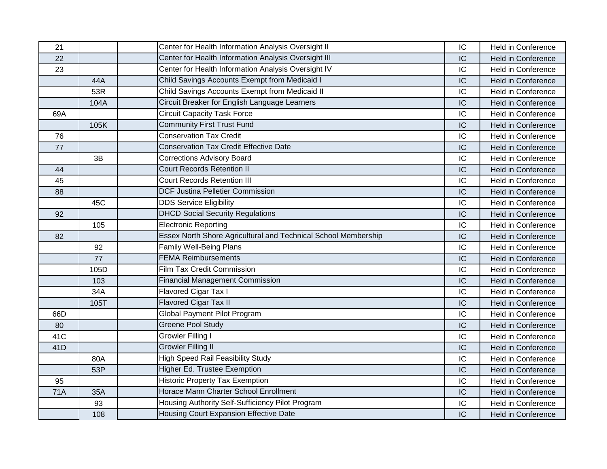| 21         |      | Center for Health Information Analysis Oversight II            | IC | Held in Conference        |
|------------|------|----------------------------------------------------------------|----|---------------------------|
| 22         |      | Center for Health Information Analysis Oversight III           | IC | <b>Held in Conference</b> |
| 23         |      | Center for Health Information Analysis Oversight IV            | IC | <b>Held in Conference</b> |
|            | 44A  | Child Savings Accounts Exempt from Medicaid I                  | IC | <b>Held in Conference</b> |
|            | 53R  | Child Savings Accounts Exempt from Medicaid II                 | IC | <b>Held in Conference</b> |
|            | 104A | Circuit Breaker for English Language Learners                  | IC | <b>Held in Conference</b> |
| 69A        |      | <b>Circuit Capacity Task Force</b>                             | IC | <b>Held in Conference</b> |
|            | 105K | <b>Community First Trust Fund</b>                              | IC | <b>Held in Conference</b> |
| 76         |      | <b>Conservation Tax Credit</b>                                 | IC | <b>Held in Conference</b> |
| 77         |      | <b>Conservation Tax Credit Effective Date</b>                  | IC | <b>Held in Conference</b> |
|            | 3B   | <b>Corrections Advisory Board</b>                              | IC | <b>Held in Conference</b> |
| 44         |      | <b>Court Records Retention II</b>                              | IC | <b>Held in Conference</b> |
| 45         |      | <b>Court Records Retention III</b>                             | IC | Held in Conference        |
| 88         |      | <b>DCF Justina Pelletier Commission</b>                        | IC | <b>Held in Conference</b> |
|            | 45C  | <b>DDS Service Eligibility</b>                                 | IC | <b>Held in Conference</b> |
| 92         |      | <b>DHCD Social Security Regulations</b>                        | IC | <b>Held in Conference</b> |
|            | 105  | <b>Electronic Reporting</b>                                    | IC | <b>Held in Conference</b> |
| 82         |      | Essex North Shore Agricultural and Technical School Membership | IC | <b>Held in Conference</b> |
|            | 92   | <b>Family Well-Being Plans</b>                                 | IC | <b>Held in Conference</b> |
|            | 77   | <b>FEMA Reimbursements</b>                                     | IC | <b>Held in Conference</b> |
|            | 105D | <b>Film Tax Credit Commission</b>                              | IC | <b>Held in Conference</b> |
|            | 103  | <b>Financial Management Commission</b>                         | IC | <b>Held in Conference</b> |
|            | 34A  | Flavored Cigar Tax I                                           | IC | <b>Held in Conference</b> |
|            | 105T | <b>Flavored Cigar Tax II</b>                                   | IC | <b>Held in Conference</b> |
| 66D        |      | <b>Global Payment Pilot Program</b>                            | IC | <b>Held in Conference</b> |
| 80         |      | <b>Greene Pool Study</b>                                       | IC | <b>Held in Conference</b> |
| 41C        |      | <b>Growler Filling I</b>                                       | IC | <b>Held in Conference</b> |
| 41D        |      | <b>Growler Filling II</b>                                      | IC | <b>Held in Conference</b> |
|            | 80A  | <b>High Speed Rail Feasibility Study</b>                       | IC | Held in Conference        |
|            | 53P  | Higher Ed. Trustee Exemption                                   | IC | <b>Held in Conference</b> |
| 95         |      | <b>Historic Property Tax Exemption</b>                         | IC | Held in Conference        |
| <b>71A</b> | 35A  | Horace Mann Charter School Enrollment                          | IC | <b>Held in Conference</b> |
|            | 93   | Housing Authority Self-Sufficiency Pilot Program               | IC | <b>Held in Conference</b> |
|            | 108  | Housing Court Expansion Effective Date                         | IC | <b>Held in Conference</b> |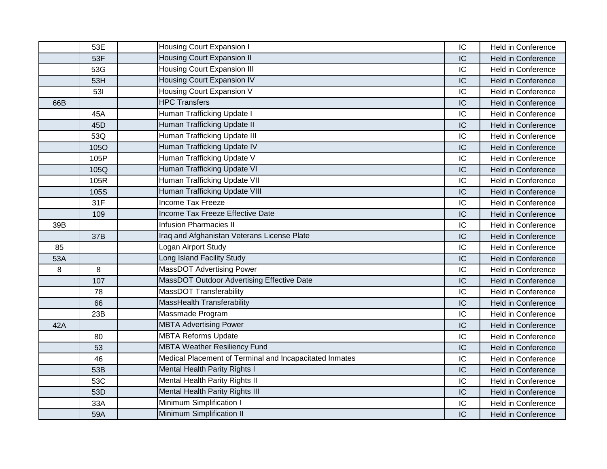|     | 53E         | Housing Court Expansion I                               | IC | Held in Conference        |
|-----|-------------|---------------------------------------------------------|----|---------------------------|
|     | 53F         | <b>Housing Court Expansion II</b>                       | IC | <b>Held in Conference</b> |
|     | 53G         | <b>Housing Court Expansion III</b>                      | IC | Held in Conference        |
|     | 53H         | <b>Housing Court Expansion IV</b>                       | IC | <b>Held in Conference</b> |
|     | 531         | <b>Housing Court Expansion V</b>                        | IC | <b>Held in Conference</b> |
| 66B |             | <b>HPC Transfers</b>                                    | IC | <b>Held in Conference</b> |
|     | 45A         | Human Trafficking Update I                              | IC | <b>Held in Conference</b> |
|     | 45D         | Human Trafficking Update II                             | IC | <b>Held in Conference</b> |
|     | 53Q         | Human Trafficking Update III                            | IC | <b>Held in Conference</b> |
|     | <b>105O</b> | Human Trafficking Update IV                             | IC | Held in Conference        |
|     | 105P        | Human Trafficking Update V                              | IC | <b>Held in Conference</b> |
|     | 105Q        | Human Trafficking Update VI                             | IC | <b>Held in Conference</b> |
|     | 105R        | Human Trafficking Update VII                            | IC | <b>Held in Conference</b> |
|     | 105S        | Human Trafficking Update VIII                           | IC | <b>Held in Conference</b> |
|     | 31F         | <b>Income Tax Freeze</b>                                | IC | Held in Conference        |
|     | 109         | <b>Income Tax Freeze Effective Date</b>                 | IC | <b>Held in Conference</b> |
| 39B |             | <b>Infusion Pharmacies II</b>                           | IC | Held in Conference        |
|     | 37B         | Iraq and Afghanistan Veterans License Plate             | IC | <b>Held in Conference</b> |
| 85  |             | Logan Airport Study                                     | IC | <b>Held in Conference</b> |
| 53A |             | Long Island Facility Study                              | IC | <b>Held in Conference</b> |
| 8   | 8           | MassDOT Advertising Power                               | IC | <b>Held in Conference</b> |
|     | 107         | MassDOT Outdoor Advertising Effective Date              | IC | <b>Held in Conference</b> |
|     | 78          | MassDOT Transferability                                 | IC | <b>Held in Conference</b> |
|     | 66          | <b>MassHealth Transferability</b>                       | IC | <b>Held in Conference</b> |
|     | 23B         | Massmade Program                                        | IC | <b>Held in Conference</b> |
| 42A |             | <b>MBTA Advertising Power</b>                           | IC | <b>Held in Conference</b> |
|     | 80          | <b>MBTA Reforms Update</b>                              | IC | <b>Held in Conference</b> |
|     | 53          | <b>MBTA Weather Resiliency Fund</b>                     | IC | <b>Held in Conference</b> |
|     | 46          | Medical Placement of Terminal and Incapacitated Inmates | IC | Held in Conference        |
|     | 53B         | Mental Health Parity Rights I                           | IC | <b>Held in Conference</b> |
|     | 53C         | Mental Health Parity Rights II                          | IC | Held in Conference        |
|     | 53D         | <b>Mental Health Parity Rights III</b>                  | IC | <b>Held in Conference</b> |
|     | 33A         | Minimum Simplification I                                | IC | <b>Held in Conference</b> |
|     | 59A         | Minimum Simplification II                               | IC | <b>Held in Conference</b> |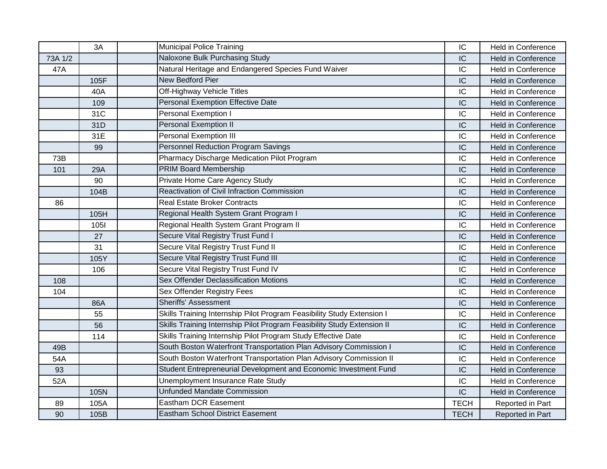|         | 3A          | <b>Municipal Police Training</b>                                        | IC          | <b>Held in Conference</b> |
|---------|-------------|-------------------------------------------------------------------------|-------------|---------------------------|
| 73A 1/2 |             | Naloxone Bulk Purchasing Study                                          | IC          | <b>Held in Conference</b> |
| 47A     |             | Natural Heritage and Endangered Species Fund Waiver                     | IC          | Held in Conference        |
|         | 105F        | New Bedford Pier                                                        | IC          | <b>Held in Conference</b> |
|         | 40A         | Off-Highway Vehicle Titles                                              | IC          | Held in Conference        |
|         | 109         | Personal Exemption Effective Date                                       | IC          | <b>Held in Conference</b> |
|         | 31C         | Personal Exemption I                                                    | IC          | <b>Held in Conference</b> |
|         | 31D         | Personal Exemption II                                                   | IC          | <b>Held in Conference</b> |
|         | 31E         | Personal Exemption III                                                  | IC          | <b>Held in Conference</b> |
|         | 99          | Personnel Reduction Program Savings                                     | IC          | <b>Held in Conference</b> |
| 73B     |             | Pharmacy Discharge Medication Pilot Program                             | IC          | <b>Held in Conference</b> |
| 101     | 29A         | <b>PRIM Board Membership</b>                                            | IC          | <b>Held in Conference</b> |
|         | 90          | Private Home Care Agency Study                                          | IC          | Held in Conference        |
|         | 104B        | Reactivation of Civil Infraction Commission                             | IC          | <b>Held in Conference</b> |
| 86      |             | <b>Real Estate Broker Contracts</b>                                     | IC          | <b>Held in Conference</b> |
|         | 105H        | Regional Health System Grant Program I                                  | IC          | <b>Held in Conference</b> |
|         | <b>1051</b> | Regional Health System Grant Program II                                 | IC          | <b>Held in Conference</b> |
|         | 27          | Secure Vital Registry Trust Fund I                                      | IC          | <b>Held in Conference</b> |
|         | 31          | Secure Vital Registry Trust Fund II                                     | IC          | Held in Conference        |
|         | 105Y        | Secure Vital Registry Trust Fund III                                    | IC          | <b>Held in Conference</b> |
|         | 106         | Secure Vital Registry Trust Fund IV                                     | IC          | <b>Held in Conference</b> |
| 108     |             | Sex Offender Declassification Motions                                   | IC          | <b>Held in Conference</b> |
| 104     |             | Sex Offender Registry Fees                                              | IC          | Held in Conference        |
|         | 86A         | <b>Sheriffs' Assessment</b>                                             | IC          | <b>Held in Conference</b> |
|         | 55          | Skills Training Internship Pilot Program Feasibility Study Extension I  | IC          | <b>Held in Conference</b> |
|         | 56          | Skills Training Internship Pilot Program Feasibility Study Extension II | IC          | <b>Held in Conference</b> |
|         | 114         | Skills Training Internship Pilot Program Study Effective Date           | IC          | <b>Held in Conference</b> |
| 49B     |             | South Boston Waterfront Transportation Plan Advisory Commission I       | IC          | <b>Held in Conference</b> |
| 54A     |             | South Boston Waterfront Transportation Plan Advisory Commission II      | IC          | <b>Held in Conference</b> |
| 93      |             | Student Entrepreneurial Development and Economic Investment Fund        | IC          | <b>Held in Conference</b> |
| 52A     |             | Unemployment Insurance Rate Study                                       | IC          | <b>Held in Conference</b> |
|         | 105N        | <b>Unfunded Mandate Commission</b>                                      | IC          | <b>Held in Conference</b> |
| 89      | 105A        | Eastham DCR Easement                                                    | <b>TECH</b> | Reported in Part          |
| 90      | 105B        | <b>Eastham School District Easement</b>                                 | <b>TECH</b> | Reported in Part          |